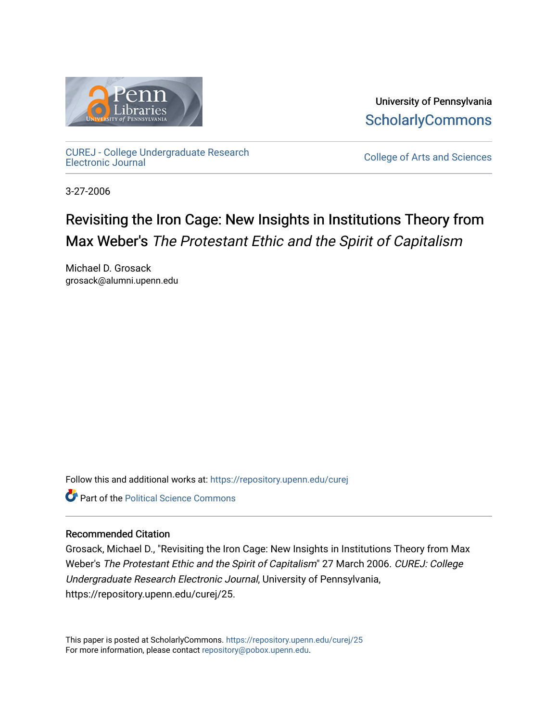

University of Pennsylvania **ScholarlyCommons** 

[CUREJ - College Undergraduate Research](https://repository.upenn.edu/curej) 

College of Arts and Sciences

3-27-2006

# Revisiting the Iron Cage: New Insights in Institutions Theory from Max Weber's The Protestant Ethic and the Spirit of Capitalism

Michael D. Grosack grosack@alumni.upenn.edu

Follow this and additional works at: [https://repository.upenn.edu/curej](https://repository.upenn.edu/curej?utm_source=repository.upenn.edu%2Fcurej%2F25&utm_medium=PDF&utm_campaign=PDFCoverPages)

**C** Part of the Political Science Commons

## Recommended Citation

Grosack, Michael D., "Revisiting the Iron Cage: New Insights in Institutions Theory from Max Weber's The Protestant Ethic and the Spirit of Capitalism" 27 March 2006. CUREJ: College Undergraduate Research Electronic Journal, University of Pennsylvania, https://repository.upenn.edu/curej/25.

This paper is posted at ScholarlyCommons.<https://repository.upenn.edu/curej/25> For more information, please contact [repository@pobox.upenn.edu.](mailto:repository@pobox.upenn.edu)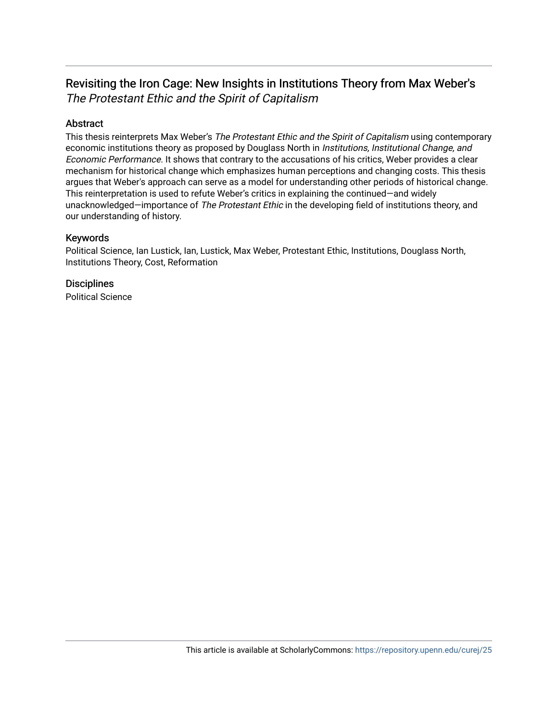# Revisiting the Iron Cage: New Insights in Institutions Theory from Max Weber's The Protestant Ethic and the Spirit of Capitalism

# Abstract

This thesis reinterprets Max Weber's The Protestant Ethic and the Spirit of Capitalism using contemporary economic institutions theory as proposed by Douglass North in *Institutions, Institutional Change, and* Economic Performance. It shows that contrary to the accusations of his critics, Weber provides a clear mechanism for historical change which emphasizes human perceptions and changing costs. This thesis argues that Weber's approach can serve as a model for understanding other periods of historical change. This reinterpretation is used to refute Weber's critics in explaining the continued—and widely unacknowledged-importance of The Protestant Ethic in the developing field of institutions theory, and our understanding of history.

## Keywords

Political Science, Ian Lustick, Ian, Lustick, Max Weber, Protestant Ethic, Institutions, Douglass North, Institutions Theory, Cost, Reformation

# **Disciplines**

Political Science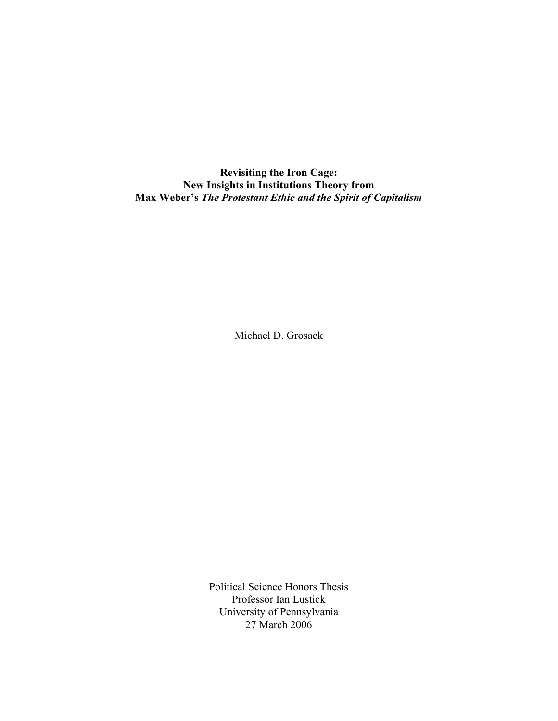**Revisiting the Iron Cage: New Insights in Institutions Theory from Max Weber's** *The Protestant Ethic and the Spirit of Capitalism*

Michael D. Grosack

Political Science Honors Thesis Professor Ian Lustick University of Pennsylvania 27 March 2006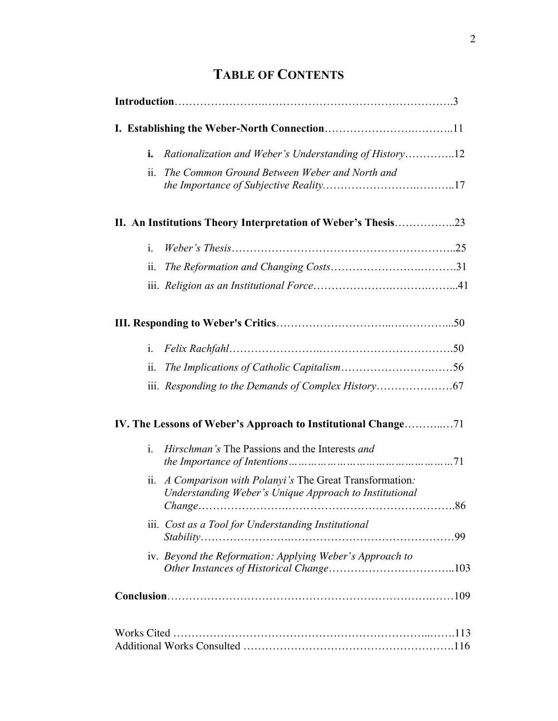# **TABLE OF CONTENTS**

| ii.                   | The Common Ground Between Weber and North and                                                                   |  |
|-----------------------|-----------------------------------------------------------------------------------------------------------------|--|
|                       | II. An Institutions Theory Interpretation of Weber's Thesis23                                                   |  |
| $\mathbf{i}$ .        |                                                                                                                 |  |
| $\ddot{\mathbf{u}}$ . |                                                                                                                 |  |
|                       |                                                                                                                 |  |
|                       |                                                                                                                 |  |
| $i_{-}$               |                                                                                                                 |  |
| 11.                   |                                                                                                                 |  |
|                       |                                                                                                                 |  |
|                       |                                                                                                                 |  |
| i.                    | <i>Hirschman's</i> The Passions and the Interests <i>and</i>                                                    |  |
| ii.                   | A Comparison with Polanyi's The Great Transformation:<br>Understanding Weber's Unique Approach to Institutional |  |
|                       | iii. Cost as a Tool for Understanding Institutional                                                             |  |
|                       | iv. Beyond the Reformation: Applying Weber's Approach to                                                        |  |
|                       |                                                                                                                 |  |
|                       |                                                                                                                 |  |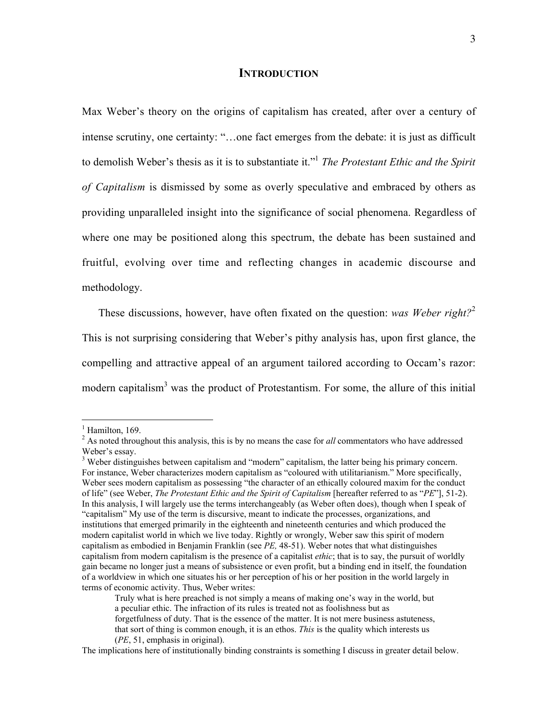#### **INTRODUCTION**

Max Weber's theory on the origins of capitalism has created, after over a century of intense scrutiny, one certainty: "…one fact emerges from the debate: it is just as difficult to demolish Weber's thesis as it is to substantiate it."1 *The Protestant Ethic and the Spirit of Capitalism* is dismissed by some as overly speculative and embraced by others as providing unparalleled insight into the significance of social phenomena. Regardless of where one may be positioned along this spectrum, the debate has been sustained and fruitful, evolving over time and reflecting changes in academic discourse and methodology.

These discussions, however, have often fixated on the question: *was Weber right?*<sup>2</sup> This is not surprising considering that Weber's pithy analysis has, upon first glance, the compelling and attractive appeal of an argument tailored according to Occam's razor: modern capitalism<sup>3</sup> was the product of Protestantism. For some, the allure of this initial

 $\frac{1}{1}$  $<sup>1</sup>$  Hamilton, 169.</sup>

<sup>&</sup>lt;sup>2</sup> As noted throughout this analysis, this is by no means the case for *all* commentators who have addressed Weber's essay.

<sup>&</sup>lt;sup>3</sup> Weber distinguishes between capitalism and "modern" capitalism, the latter being his primary concern. For instance, Weber characterizes modern capitalism as "coloured with utilitarianism." More specifically, Weber sees modern capitalism as possessing "the character of an ethically coloured maxim for the conduct of life" (see Weber, *The Protestant Ethic and the Spirit of Capitalism* [hereafter referred to as "*PE*"], 51-2). In this analysis, I will largely use the terms interchangeably (as Weber often does), though when I speak of "capitalism" My use of the term is discursive, meant to indicate the processes, organizations, and institutions that emerged primarily in the eighteenth and nineteenth centuries and which produced the modern capitalist world in which we live today. Rightly or wrongly, Weber saw this spirit of modern capitalism as embodied in Benjamin Franklin (see *PE,* 48-51). Weber notes that what distinguishes capitalism from modern capitalism is the presence of a capitalist *ethic*; that is to say, the pursuit of worldly gain became no longer just a means of subsistence or even profit, but a binding end in itself, the foundation of a worldview in which one situates his or her perception of his or her position in the world largely in terms of economic activity. Thus, Weber writes:

Truly what is here preached is not simply a means of making one's way in the world, but a peculiar ethic. The infraction of its rules is treated not as foolishness but as forgetfulness of duty. That is the essence of the matter. It is not mere business astuteness, that sort of thing is common enough, it is an ethos. *This* is the quality which interests us (*PE*, 51, emphasis in original).

The implications here of institutionally binding constraints is something I discuss in greater detail below.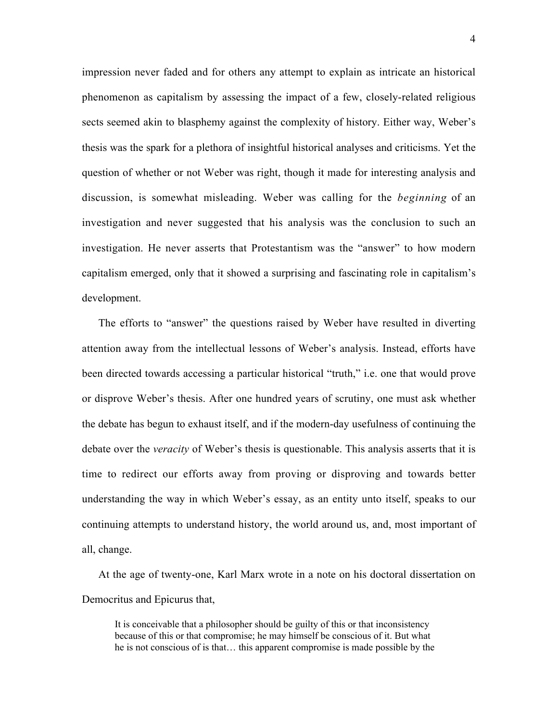impression never faded and for others any attempt to explain as intricate an historical phenomenon as capitalism by assessing the impact of a few, closely-related religious sects seemed akin to blasphemy against the complexity of history. Either way, Weber's thesis was the spark for a plethora of insightful historical analyses and criticisms. Yet the question of whether or not Weber was right, though it made for interesting analysis and discussion, is somewhat misleading. Weber was calling for the *beginning* of an investigation and never suggested that his analysis was the conclusion to such an investigation. He never asserts that Protestantism was the "answer" to how modern capitalism emerged, only that it showed a surprising and fascinating role in capitalism's development.

The efforts to "answer" the questions raised by Weber have resulted in diverting attention away from the intellectual lessons of Weber's analysis. Instead, efforts have been directed towards accessing a particular historical "truth," i.e. one that would prove or disprove Weber's thesis. After one hundred years of scrutiny, one must ask whether the debate has begun to exhaust itself, and if the modern-day usefulness of continuing the debate over the *veracity* of Weber's thesis is questionable. This analysis asserts that it is time to redirect our efforts away from proving or disproving and towards better understanding the way in which Weber's essay, as an entity unto itself, speaks to our continuing attempts to understand history, the world around us, and, most important of all, change.

At the age of twenty-one, Karl Marx wrote in a note on his doctoral dissertation on Democritus and Epicurus that,

It is conceivable that a philosopher should be guilty of this or that inconsistency because of this or that compromise; he may himself be conscious of it. But what he is not conscious of is that… this apparent compromise is made possible by the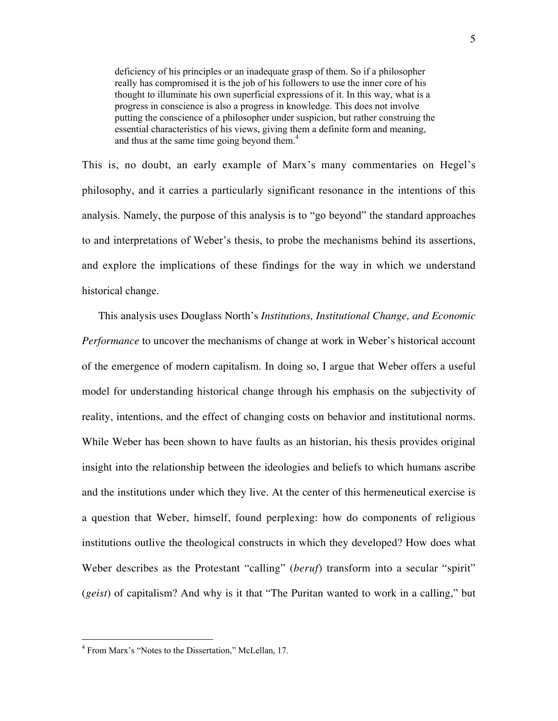deficiency of his principles or an inadequate grasp of them. So if a philosopher really has compromised it is the job of his followers to use the inner core of his thought to illuminate his own superficial expressions of it. In this way, what is a progress in conscience is also a progress in knowledge. This does not involve putting the conscience of a philosopher under suspicion, but rather construing the essential characteristics of his views, giving them a definite form and meaning, and thus at the same time going beyond them.<sup>4</sup>

This is, no doubt, an early example of Marx's many commentaries on Hegel's philosophy, and it carries a particularly significant resonance in the intentions of this analysis. Namely, the purpose of this analysis is to "go beyond" the standard approaches to and interpretations of Weber's thesis, to probe the mechanisms behind its assertions, and explore the implications of these findings for the way in which we understand historical change.

This analysis uses Douglass North's *Institutions, Institutional Change, and Economic Performance* to uncover the mechanisms of change at work in Weber's historical account of the emergence of modern capitalism. In doing so, I argue that Weber offers a useful model for understanding historical change through his emphasis on the subjectivity of reality, intentions, and the effect of changing costs on behavior and institutional norms. While Weber has been shown to have faults as an historian, his thesis provides original insight into the relationship between the ideologies and beliefs to which humans ascribe and the institutions under which they live. At the center of this hermeneutical exercise is a question that Weber, himself, found perplexing: how do components of religious institutions outlive the theological constructs in which they developed? How does what Weber describes as the Protestant "calling" (*beruf*) transform into a secular "spirit" (*geist*) of capitalism? And why is it that "The Puritan wanted to work in a calling," but

 $\frac{1}{4}$ <sup>4</sup> From Marx's "Notes to the Dissertation," McLellan, 17.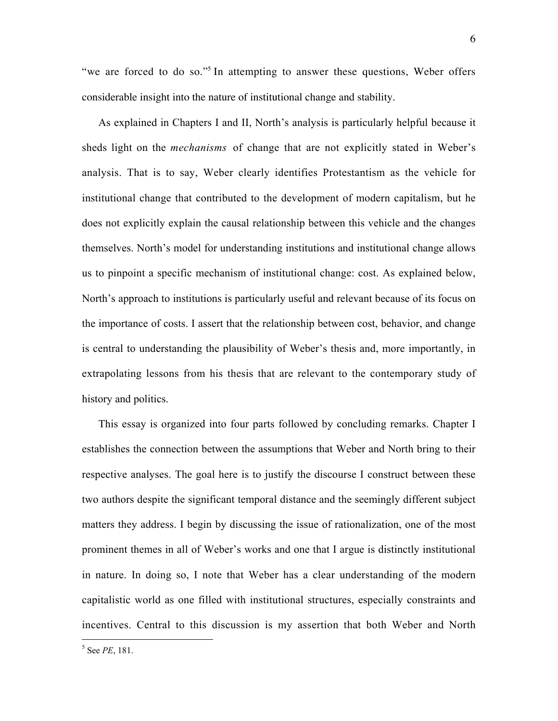"we are forced to do so."<sup>5</sup> In attempting to answer these questions, Weber offers considerable insight into the nature of institutional change and stability.

As explained in Chapters I and II, North's analysis is particularly helpful because it sheds light on the *mechanisms* of change that are not explicitly stated in Weber's analysis. That is to say, Weber clearly identifies Protestantism as the vehicle for institutional change that contributed to the development of modern capitalism, but he does not explicitly explain the causal relationship between this vehicle and the changes themselves. North's model for understanding institutions and institutional change allows us to pinpoint a specific mechanism of institutional change: cost. As explained below, North's approach to institutions is particularly useful and relevant because of its focus on the importance of costs. I assert that the relationship between cost, behavior, and change is central to understanding the plausibility of Weber's thesis and, more importantly, in extrapolating lessons from his thesis that are relevant to the contemporary study of history and politics.

This essay is organized into four parts followed by concluding remarks. Chapter I establishes the connection between the assumptions that Weber and North bring to their respective analyses. The goal here is to justify the discourse I construct between these two authors despite the significant temporal distance and the seemingly different subject matters they address. I begin by discussing the issue of rationalization, one of the most prominent themes in all of Weber's works and one that I argue is distinctly institutional in nature. In doing so, I note that Weber has a clear understanding of the modern capitalistic world as one filled with institutional structures, especially constraints and incentives. Central to this discussion is my assertion that both Weber and North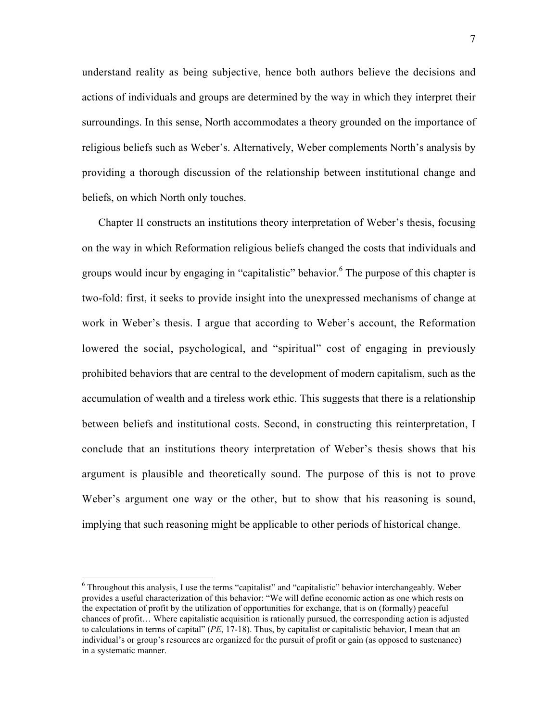understand reality as being subjective, hence both authors believe the decisions and actions of individuals and groups are determined by the way in which they interpret their surroundings. In this sense, North accommodates a theory grounded on the importance of religious beliefs such as Weber's. Alternatively, Weber complements North's analysis by providing a thorough discussion of the relationship between institutional change and beliefs, on which North only touches.

Chapter II constructs an institutions theory interpretation of Weber's thesis, focusing on the way in which Reformation religious beliefs changed the costs that individuals and groups would incur by engaging in "capitalistic" behavior.<sup>6</sup> The purpose of this chapter is two-fold: first, it seeks to provide insight into the unexpressed mechanisms of change at work in Weber's thesis. I argue that according to Weber's account, the Reformation lowered the social, psychological, and "spiritual" cost of engaging in previously prohibited behaviors that are central to the development of modern capitalism, such as the accumulation of wealth and a tireless work ethic. This suggests that there is a relationship between beliefs and institutional costs. Second, in constructing this reinterpretation, I conclude that an institutions theory interpretation of Weber's thesis shows that his argument is plausible and theoretically sound. The purpose of this is not to prove Weber's argument one way or the other, but to show that his reasoning is sound, implying that such reasoning might be applicable to other periods of historical change.

 $\frac{1}{6}$  $6$  Throughout this analysis, I use the terms "capitalist" and "capitalistic" behavior interchangeably. Weber provides a useful characterization of this behavior: "We will define economic action as one which rests on the expectation of profit by the utilization of opportunities for exchange, that is on (formally) peaceful chances of profit… Where capitalistic acquisition is rationally pursued, the corresponding action is adjusted to calculations in terms of capital" (*PE*, 17-18). Thus, by capitalist or capitalistic behavior, I mean that an individual's or group's resources are organized for the pursuit of profit or gain (as opposed to sustenance) in a systematic manner.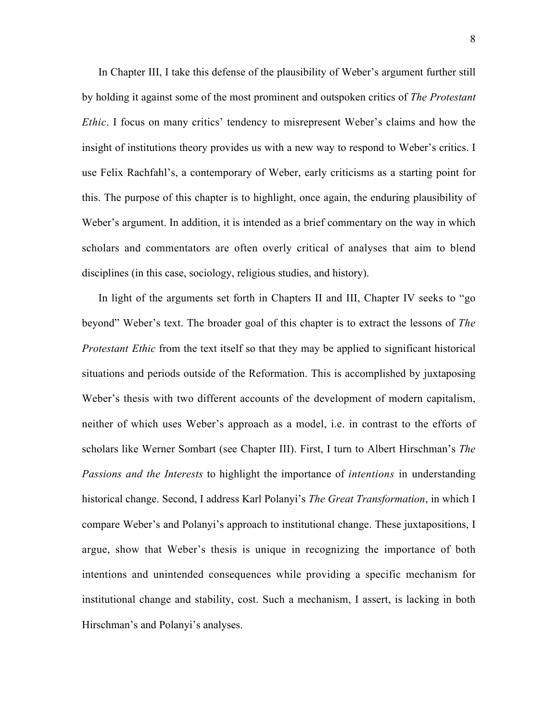In Chapter III, I take this defense of the plausibility of Weber's argument further still by holding it against some of the most prominent and outspoken critics of *The Protestant Ethic*. I focus on many critics' tendency to misrepresent Weber's claims and how the insight of institutions theory provides us with a new way to respond to Weber's critics. I use Felix Rachfahl's, a contemporary of Weber, early criticisms as a starting point for this. The purpose of this chapter is to highlight, once again, the enduring plausibility of Weber's argument. In addition, it is intended as a brief commentary on the way in which scholars and commentators are often overly critical of analyses that aim to blend disciplines (in this case, sociology, religious studies, and history).

In light of the arguments set forth in Chapters II and III, Chapter IV seeks to "go beyond" Weber's text. The broader goal of this chapter is to extract the lessons of *The Protestant Ethic* from the text itself so that they may be applied to significant historical situations and periods outside of the Reformation. This is accomplished by juxtaposing Weber's thesis with two different accounts of the development of modern capitalism, neither of which uses Weber's approach as a model, i.e. in contrast to the efforts of scholars like Werner Sombart (see Chapter III). First, I turn to Albert Hirschman's *The Passions and the Interests* to highlight the importance of *intentions* in understanding historical change. Second, I address Karl Polanyi's *The Great Transformation*, in which I compare Weber's and Polanyi's approach to institutional change. These juxtapositions, I argue, show that Weber's thesis is unique in recognizing the importance of both intentions and unintended consequences while providing a specific mechanism for institutional change and stability, cost. Such a mechanism, I assert, is lacking in both Hirschman's and Polanyi's analyses.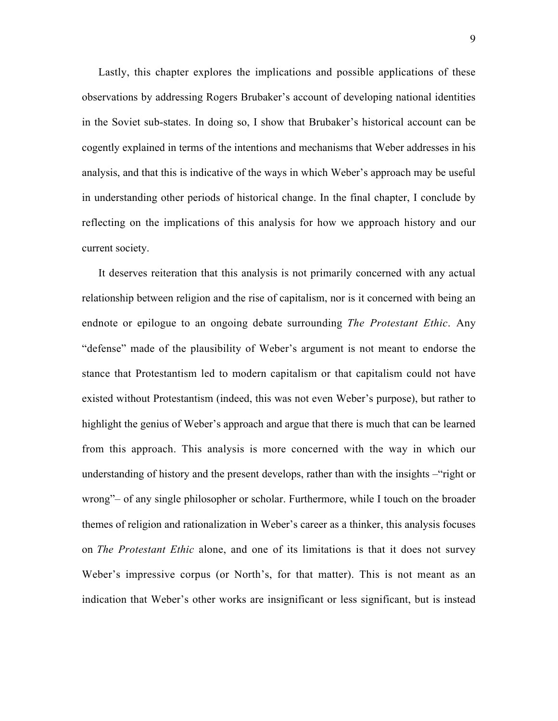Lastly, this chapter explores the implications and possible applications of these observations by addressing Rogers Brubaker's account of developing national identities in the Soviet sub-states. In doing so, I show that Brubaker's historical account can be cogently explained in terms of the intentions and mechanisms that Weber addresses in his analysis, and that this is indicative of the ways in which Weber's approach may be useful in understanding other periods of historical change. In the final chapter, I conclude by reflecting on the implications of this analysis for how we approach history and our current society.

It deserves reiteration that this analysis is not primarily concerned with any actual relationship between religion and the rise of capitalism, nor is it concerned with being an endnote or epilogue to an ongoing debate surrounding *The Protestant Ethic*. Any "defense" made of the plausibility of Weber's argument is not meant to endorse the stance that Protestantism led to modern capitalism or that capitalism could not have existed without Protestantism (indeed, this was not even Weber's purpose), but rather to highlight the genius of Weber's approach and argue that there is much that can be learned from this approach. This analysis is more concerned with the way in which our understanding of history and the present develops, rather than with the insights –"right or wrong"– of any single philosopher or scholar. Furthermore, while I touch on the broader themes of religion and rationalization in Weber's career as a thinker, this analysis focuses on *The Protestant Ethic* alone, and one of its limitations is that it does not survey Weber's impressive corpus (or North's, for that matter). This is not meant as an indication that Weber's other works are insignificant or less significant, but is instead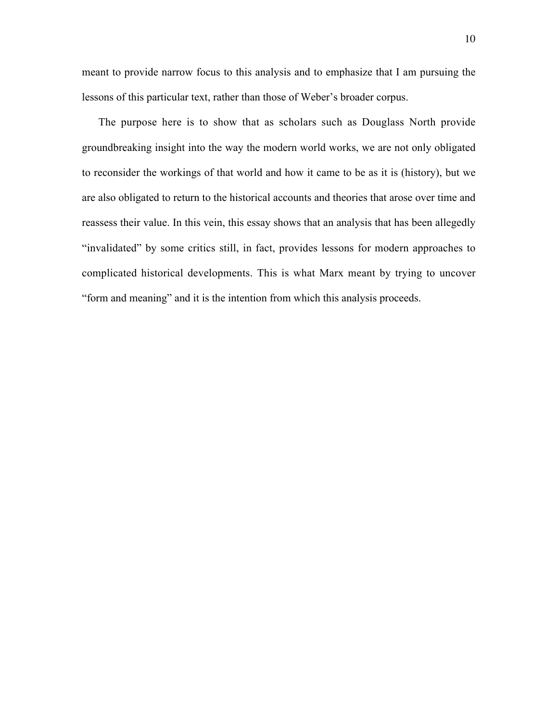meant to provide narrow focus to this analysis and to emphasize that I am pursuing the lessons of this particular text, rather than those of Weber's broader corpus.

The purpose here is to show that as scholars such as Douglass North provide groundbreaking insight into the way the modern world works, we are not only obligated to reconsider the workings of that world and how it came to be as it is (history), but we are also obligated to return to the historical accounts and theories that arose over time and reassess their value. In this vein, this essay shows that an analysis that has been allegedly "invalidated" by some critics still, in fact, provides lessons for modern approaches to complicated historical developments. This is what Marx meant by trying to uncover "form and meaning" and it is the intention from which this analysis proceeds.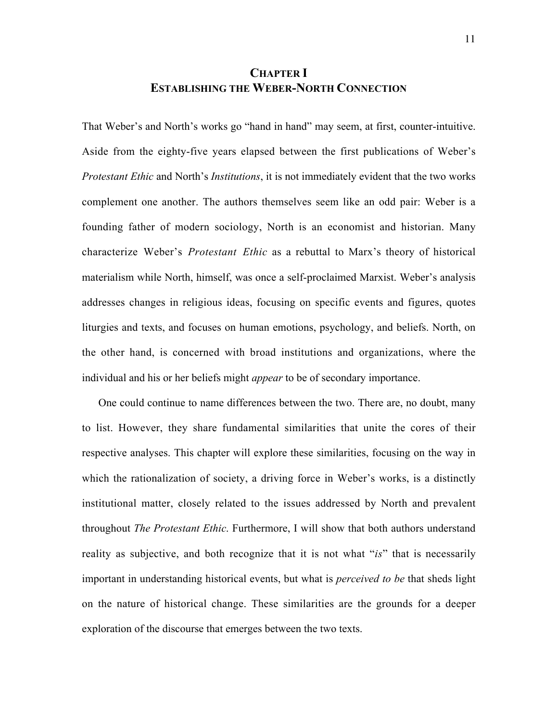# **CHAPTER I ESTABLISHING THE WEBER-NORTH CONNECTION**

That Weber's and North's works go "hand in hand" may seem, at first, counter-intuitive. Aside from the eighty-five years elapsed between the first publications of Weber's *Protestant Ethic* and North's *Institutions*, it is not immediately evident that the two works complement one another. The authors themselves seem like an odd pair: Weber is a founding father of modern sociology, North is an economist and historian. Many characterize Weber's *Protestant Ethic* as a rebuttal to Marx's theory of historical materialism while North, himself, was once a self-proclaimed Marxist. Weber's analysis addresses changes in religious ideas, focusing on specific events and figures, quotes liturgies and texts, and focuses on human emotions, psychology, and beliefs. North, on the other hand, is concerned with broad institutions and organizations, where the individual and his or her beliefs might *appear* to be of secondary importance.

One could continue to name differences between the two. There are, no doubt, many to list. However, they share fundamental similarities that unite the cores of their respective analyses. This chapter will explore these similarities, focusing on the way in which the rationalization of society, a driving force in Weber's works, is a distinctly institutional matter, closely related to the issues addressed by North and prevalent throughout *The Protestant Ethic*. Furthermore, I will show that both authors understand reality as subjective, and both recognize that it is not what "*is*" that is necessarily important in understanding historical events, but what is *perceived to be* that sheds light on the nature of historical change. These similarities are the grounds for a deeper exploration of the discourse that emerges between the two texts.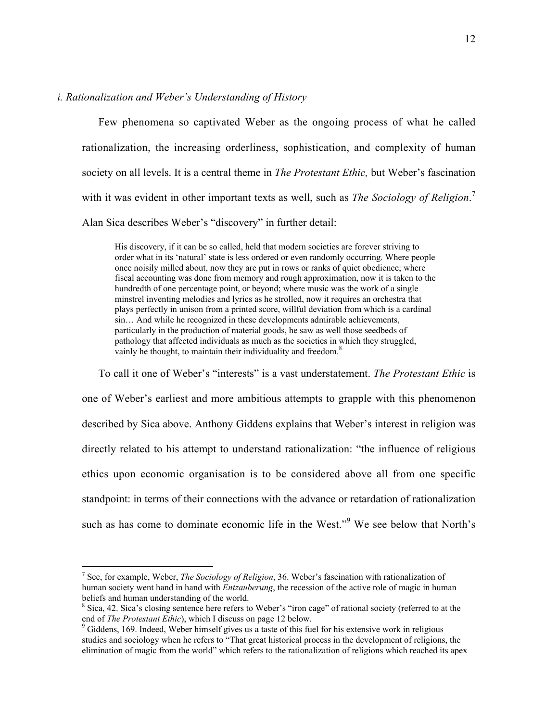## *i. Rationalization and Weber's Understanding of History*

Few phenomena so captivated Weber as the ongoing process of what he called rationalization, the increasing orderliness, sophistication, and complexity of human society on all levels. It is a central theme in *The Protestant Ethic,* but Weber's fascination with it was evident in other important texts as well, such as *The Sociology of Religion*. 7 Alan Sica describes Weber's "discovery" in further detail:

His discovery, if it can be so called, held that modern societies are forever striving to order what in its 'natural' state is less ordered or even randomly occurring. Where people once noisily milled about, now they are put in rows or ranks of quiet obedience; where fiscal accounting was done from memory and rough approximation, now it is taken to the hundredth of one percentage point, or beyond; where music was the work of a single minstrel inventing melodies and lyrics as he strolled, now it requires an orchestra that plays perfectly in unison from a printed score, willful deviation from which is a cardinal sin… And while he recognized in these developments admirable achievements, particularly in the production of material goods, he saw as well those seedbeds of pathology that affected individuals as much as the societies in which they struggled, vainly he thought, to maintain their individuality and freedom.<sup>8</sup>

To call it one of Weber's "interests" is a vast understatement. *The Protestant Ethic* is one of Weber's earliest and more ambitious attempts to grapple with this phenomenon described by Sica above. Anthony Giddens explains that Weber's interest in religion was directly related to his attempt to understand rationalization: "the influence of religious ethics upon economic organisation is to be considered above all from one specific standpoint: in terms of their connections with the advance or retardation of rationalization such as has come to dominate economic life in the West."<sup>9</sup> We see below that North's

<sup>-&</sup>lt;br>7 See, for example, Weber, *The Sociology of Religion*, 36. Weber's fascination with rationalization of human society went hand in hand with *Entzauberung*, the recession of the active role of magic in human beliefs and human understanding of the world.

<sup>&</sup>lt;sup>8</sup> Sica, 42. Sica's closing sentence here refers to Weber's "iron cage" of rational society (referred to at the end of *The Protestant Ethic*), which I discuss on page 12 below.

<sup>&</sup>lt;sup>9</sup> Giddens, 169. Indeed, Weber himself gives us a taste of this fuel for his extensive work in religious studies and sociology when he refers to "That great historical process in the development of religions, the elimination of magic from the world" which refers to the rationalization of religions which reached its apex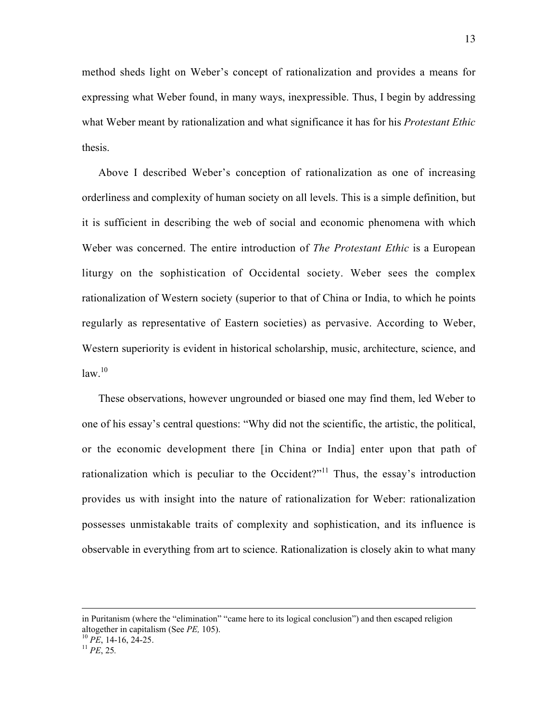method sheds light on Weber's concept of rationalization and provides a means for expressing what Weber found, in many ways, inexpressible. Thus, I begin by addressing what Weber meant by rationalization and what significance it has for his *Protestant Ethic* thesis.

Above I described Weber's conception of rationalization as one of increasing orderliness and complexity of human society on all levels. This is a simple definition, but it is sufficient in describing the web of social and economic phenomena with which Weber was concerned. The entire introduction of *The Protestant Ethic* is a European liturgy on the sophistication of Occidental society. Weber sees the complex rationalization of Western society (superior to that of China or India, to which he points regularly as representative of Eastern societies) as pervasive. According to Weber, Western superiority is evident in historical scholarship, music, architecture, science, and  $law.<sup>10</sup>$ 

These observations, however ungrounded or biased one may find them, led Weber to one of his essay's central questions: "Why did not the scientific, the artistic, the political, or the economic development there [in China or India] enter upon that path of rationalization which is peculiar to the Occident?"<sup>11</sup> Thus, the essay's introduction provides us with insight into the nature of rationalization for Weber: rationalization possesses unmistakable traits of complexity and sophistication, and its influence is observable in everything from art to science. Rationalization is closely akin to what many

 $\overline{a}$ 

in Puritanism (where the "elimination" "came here to its logical conclusion") and then escaped religion altogether in capitalism (See *PE,* 105). <sup>10</sup> *PE*, 14-16, 24-25. <sup>11</sup> *PE*, 25*.*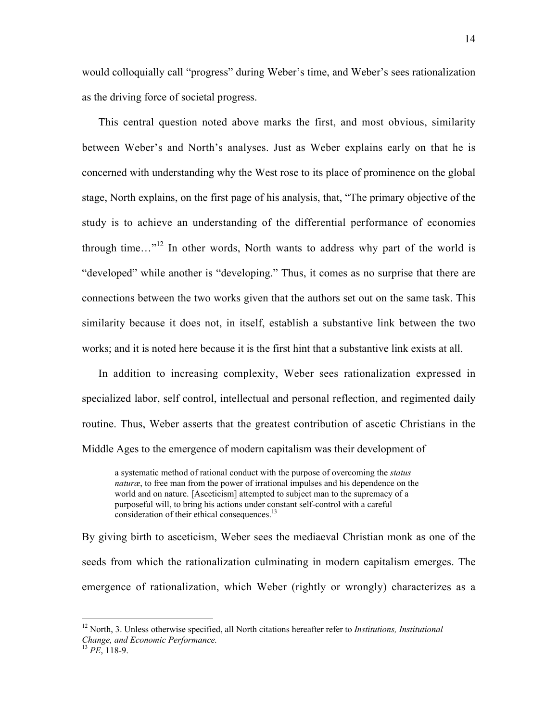would colloquially call "progress" during Weber's time, and Weber's sees rationalization as the driving force of societal progress.

This central question noted above marks the first, and most obvious, similarity between Weber's and North's analyses. Just as Weber explains early on that he is concerned with understanding why the West rose to its place of prominence on the global stage, North explains, on the first page of his analysis, that, "The primary objective of the study is to achieve an understanding of the differential performance of economies through time..."<sup>12</sup> In other words, North wants to address why part of the world is "developed" while another is "developing." Thus, it comes as no surprise that there are connections between the two works given that the authors set out on the same task. This similarity because it does not, in itself, establish a substantive link between the two works; and it is noted here because it is the first hint that a substantive link exists at all.

In addition to increasing complexity, Weber sees rationalization expressed in specialized labor, self control, intellectual and personal reflection, and regimented daily routine. Thus, Weber asserts that the greatest contribution of ascetic Christians in the Middle Ages to the emergence of modern capitalism was their development of

a systematic method of rational conduct with the purpose of overcoming the *status naturæ*, to free man from the power of irrational impulses and his dependence on the world and on nature. [Asceticism] attempted to subject man to the supremacy of a purposeful will, to bring his actions under constant self-control with a careful consideration of their ethical consequences.<sup>13</sup>

By giving birth to asceticism, Weber sees the mediaeval Christian monk as one of the seeds from which the rationalization culminating in modern capitalism emerges. The emergence of rationalization, which Weber (rightly or wrongly) characterizes as a

12 North, 3. Unless otherwise specified, all North citations hereafter refer to *Institutions, Institutional Change, and Economic Performance.*

<sup>13</sup> *PE*, 118-9.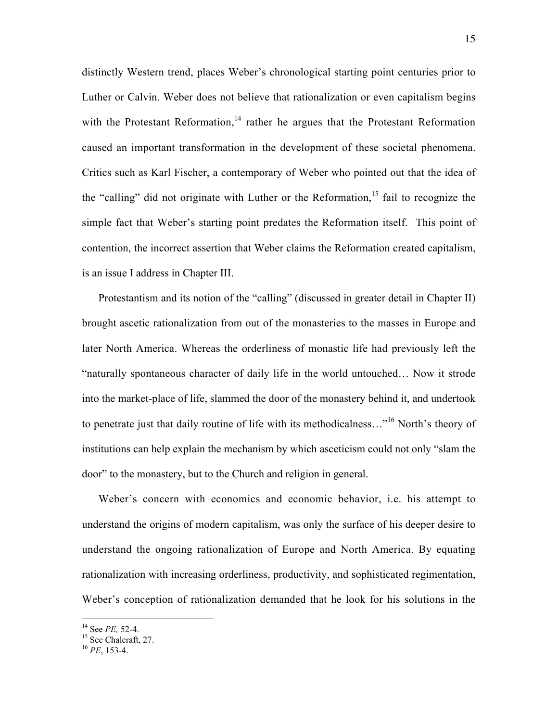distinctly Western trend, places Weber's chronological starting point centuries prior to Luther or Calvin. Weber does not believe that rationalization or even capitalism begins with the Protestant Reformation,<sup>14</sup> rather he argues that the Protestant Reformation caused an important transformation in the development of these societal phenomena. Critics such as Karl Fischer, a contemporary of Weber who pointed out that the idea of the "calling" did not originate with Luther or the Reformation, $15$  fail to recognize the simple fact that Weber's starting point predates the Reformation itself. This point of contention, the incorrect assertion that Weber claims the Reformation created capitalism, is an issue I address in Chapter III.

Protestantism and its notion of the "calling" (discussed in greater detail in Chapter II) brought ascetic rationalization from out of the monasteries to the masses in Europe and later North America. Whereas the orderliness of monastic life had previously left the "naturally spontaneous character of daily life in the world untouched… Now it strode into the market-place of life, slammed the door of the monastery behind it, and undertook to penetrate just that daily routine of life with its methodicalness..."<sup>16</sup> North's theory of institutions can help explain the mechanism by which asceticism could not only "slam the door" to the monastery, but to the Church and religion in general.

Weber's concern with economics and economic behavior, i.e. his attempt to understand the origins of modern capitalism, was only the surface of his deeper desire to understand the ongoing rationalization of Europe and North America. By equating rationalization with increasing orderliness, productivity, and sophisticated regimentation, Weber's conception of rationalization demanded that he look for his solutions in the

 $\frac{14}{14}$ 

<sup>&</sup>lt;sup>14</sup> See *PE*, 52-4.<br><sup>15</sup> See Chalcraft, 27.

<sup>16</sup> *PE*, 153-4.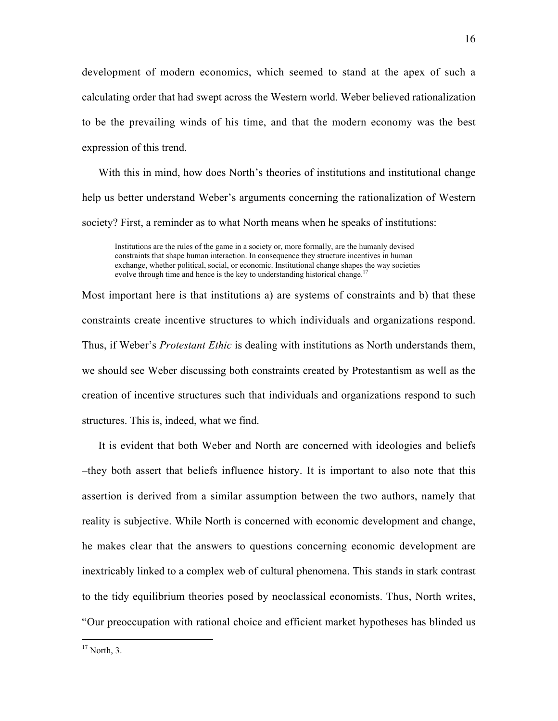development of modern economics, which seemed to stand at the apex of such a calculating order that had swept across the Western world. Weber believed rationalization to be the prevailing winds of his time, and that the modern economy was the best expression of this trend.

With this in mind, how does North's theories of institutions and institutional change help us better understand Weber's arguments concerning the rationalization of Western society? First, a reminder as to what North means when he speaks of institutions:

Institutions are the rules of the game in a society or, more formally, are the humanly devised constraints that shape human interaction. In consequence they structure incentives in human exchange, whether political, social, or economic. Institutional change shapes the way societies evolve through time and hence is the key to understanding historical change.<sup>17</sup>

Most important here is that institutions a) are systems of constraints and b) that these constraints create incentive structures to which individuals and organizations respond. Thus, if Weber's *Protestant Ethic* is dealing with institutions as North understands them, we should see Weber discussing both constraints created by Protestantism as well as the creation of incentive structures such that individuals and organizations respond to such structures. This is, indeed, what we find.

It is evident that both Weber and North are concerned with ideologies and beliefs –they both assert that beliefs influence history. It is important to also note that this assertion is derived from a similar assumption between the two authors, namely that reality is subjective. While North is concerned with economic development and change, he makes clear that the answers to questions concerning economic development are inextricably linked to a complex web of cultural phenomena. This stands in stark contrast to the tidy equilibrium theories posed by neoclassical economists. Thus, North writes, "Our preoccupation with rational choice and efficient market hypotheses has blinded us

 $\frac{17}{17}$  North, 3.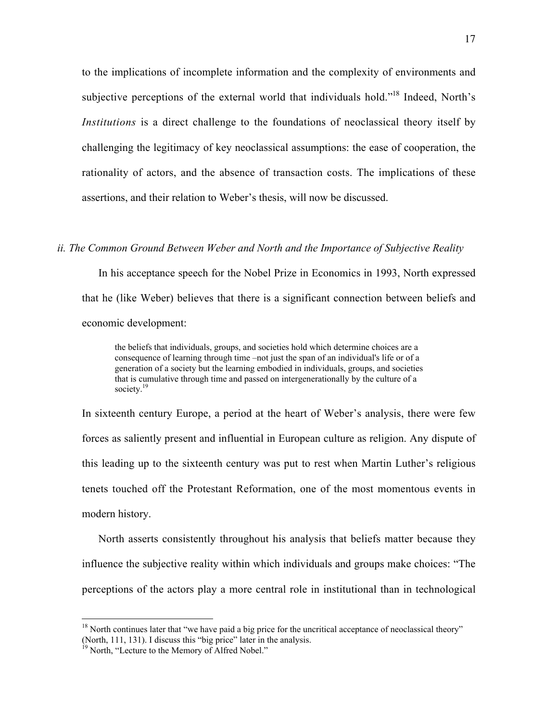to the implications of incomplete information and the complexity of environments and subjective perceptions of the external world that individuals hold."<sup>18</sup> Indeed, North's *Institutions* is a direct challenge to the foundations of neoclassical theory itself by challenging the legitimacy of key neoclassical assumptions: the ease of cooperation, the rationality of actors, and the absence of transaction costs. The implications of these assertions, and their relation to Weber's thesis, will now be discussed.

## *ii. The Common Ground Between Weber and North and the Importance of Subjective Reality*

In his acceptance speech for the Nobel Prize in Economics in 1993, North expressed that he (like Weber) believes that there is a significant connection between beliefs and economic development:

the beliefs that individuals, groups, and societies hold which determine choices are a consequence of learning through time –not just the span of an individual's life or of a generation of a society but the learning embodied in individuals, groups, and societies that is cumulative through time and passed on intergenerationally by the culture of a society.<sup>19</sup>

In sixteenth century Europe, a period at the heart of Weber's analysis, there were few forces as saliently present and influential in European culture as religion. Any dispute of this leading up to the sixteenth century was put to rest when Martin Luther's religious tenets touched off the Protestant Reformation, one of the most momentous events in modern history.

North asserts consistently throughout his analysis that beliefs matter because they influence the subjective reality within which individuals and groups make choices: "The perceptions of the actors play a more central role in institutional than in technological

<sup>&</sup>lt;sup>18</sup> North continues later that "we have paid a big price for the uncritical acceptance of neoclassical theory" (North, 111, 131). I discuss this "big price" later in the analysis.

<sup>&</sup>lt;sup>19</sup> North, "Lecture to the Memory of Alfred Nobel."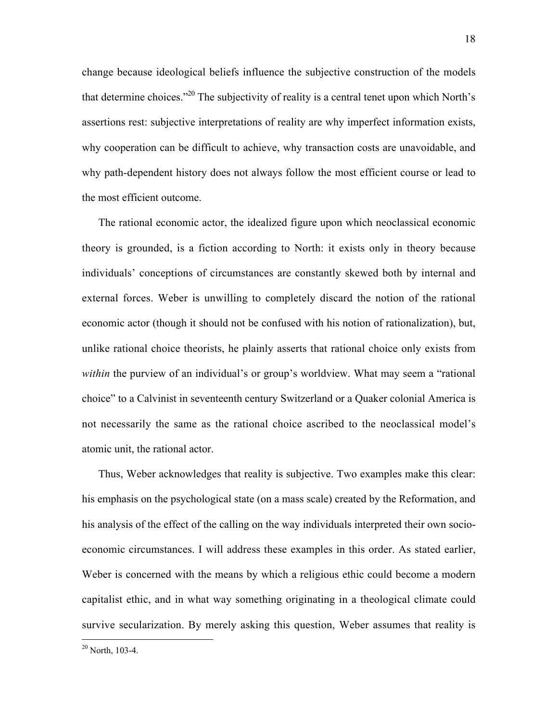change because ideological beliefs influence the subjective construction of the models that determine choices."20 The subjectivity of reality is a central tenet upon which North's assertions rest: subjective interpretations of reality are why imperfect information exists, why cooperation can be difficult to achieve, why transaction costs are unavoidable, and why path-dependent history does not always follow the most efficient course or lead to the most efficient outcome.

The rational economic actor, the idealized figure upon which neoclassical economic theory is grounded, is a fiction according to North: it exists only in theory because individuals' conceptions of circumstances are constantly skewed both by internal and external forces. Weber is unwilling to completely discard the notion of the rational economic actor (though it should not be confused with his notion of rationalization), but, unlike rational choice theorists, he plainly asserts that rational choice only exists from *within* the purview of an individual's or group's worldview. What may seem a "rational" choice" to a Calvinist in seventeenth century Switzerland or a Quaker colonial America is not necessarily the same as the rational choice ascribed to the neoclassical model's atomic unit, the rational actor.

Thus, Weber acknowledges that reality is subjective. Two examples make this clear: his emphasis on the psychological state (on a mass scale) created by the Reformation, and his analysis of the effect of the calling on the way individuals interpreted their own socioeconomic circumstances. I will address these examples in this order. As stated earlier, Weber is concerned with the means by which a religious ethic could become a modern capitalist ethic, and in what way something originating in a theological climate could survive secularization. By merely asking this question, Weber assumes that reality is

 $^{20}$  North, 103-4.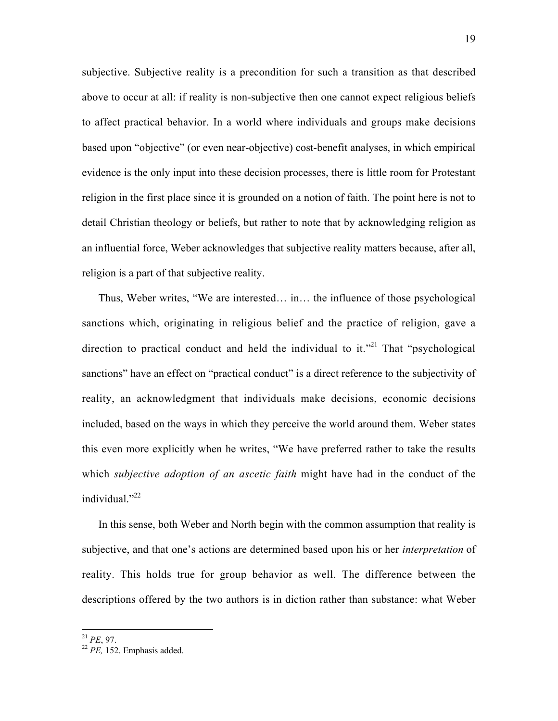subjective. Subjective reality is a precondition for such a transition as that described above to occur at all: if reality is non-subjective then one cannot expect religious beliefs to affect practical behavior. In a world where individuals and groups make decisions based upon "objective" (or even near-objective) cost-benefit analyses, in which empirical evidence is the only input into these decision processes, there is little room for Protestant religion in the first place since it is grounded on a notion of faith. The point here is not to detail Christian theology or beliefs, but rather to note that by acknowledging religion as an influential force, Weber acknowledges that subjective reality matters because, after all, religion is a part of that subjective reality.

Thus, Weber writes, "We are interested… in… the influence of those psychological sanctions which, originating in religious belief and the practice of religion, gave a direction to practical conduct and held the individual to it.<sup> $21$ </sup> That "psychological" sanctions" have an effect on "practical conduct" is a direct reference to the subjectivity of reality, an acknowledgment that individuals make decisions, economic decisions included, based on the ways in which they perceive the world around them. Weber states this even more explicitly when he writes, "We have preferred rather to take the results which *subjective adoption of an ascetic faith* might have had in the conduct of the individual." $^{22}$ 

In this sense, both Weber and North begin with the common assumption that reality is subjective, and that one's actions are determined based upon his or her *interpretation* of reality. This holds true for group behavior as well. The difference between the descriptions offered by the two authors is in diction rather than substance: what Weber

<sup>21</sup> *PE*, 97. <sup>22</sup> *PE,* 152. Emphasis added.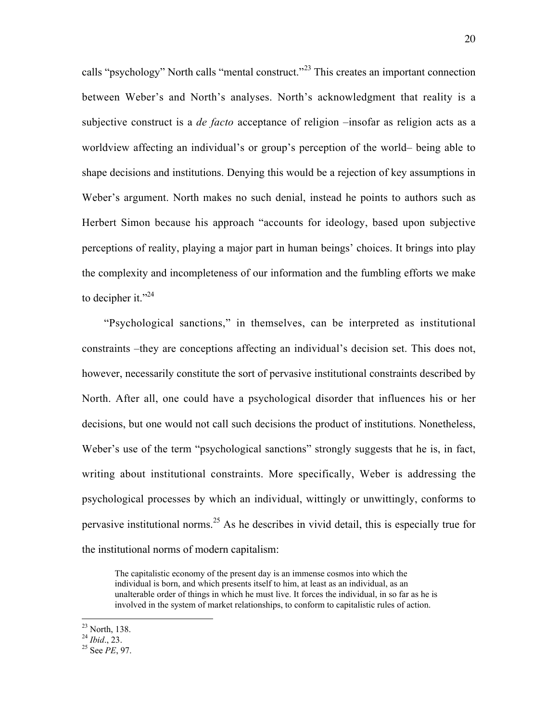calls "psychology" North calls "mental construct."<sup>23</sup> This creates an important connection between Weber's and North's analyses. North's acknowledgment that reality is a subjective construct is a *de facto* acceptance of religion –insofar as religion acts as a worldview affecting an individual's or group's perception of the world– being able to shape decisions and institutions. Denying this would be a rejection of key assumptions in Weber's argument. North makes no such denial, instead he points to authors such as Herbert Simon because his approach "accounts for ideology, based upon subjective perceptions of reality, playing a major part in human beings' choices. It brings into play the complexity and incompleteness of our information and the fumbling efforts we make to decipher it." $^{24}$ 

"Psychological sanctions," in themselves, can be interpreted as institutional constraints –they are conceptions affecting an individual's decision set. This does not, however, necessarily constitute the sort of pervasive institutional constraints described by North. After all, one could have a psychological disorder that influences his or her decisions, but one would not call such decisions the product of institutions. Nonetheless, Weber's use of the term "psychological sanctions" strongly suggests that he is, in fact, writing about institutional constraints. More specifically, Weber is addressing the psychological processes by which an individual, wittingly or unwittingly, conforms to pervasive institutional norms.<sup>25</sup> As he describes in vivid detail, this is especially true for the institutional norms of modern capitalism:

The capitalistic economy of the present day is an immense cosmos into which the individual is born, and which presents itself to him, at least as an individual, as an unalterable order of things in which he must live. It forces the individual, in so far as he is involved in the system of market relationships, to conform to capitalistic rules of action.

<sup>&</sup>lt;sup>23</sup> North, 138.

 $^{24}$  *Ibid.*, 23.

<sup>&</sup>lt;sup>25</sup> See *PE*, 97.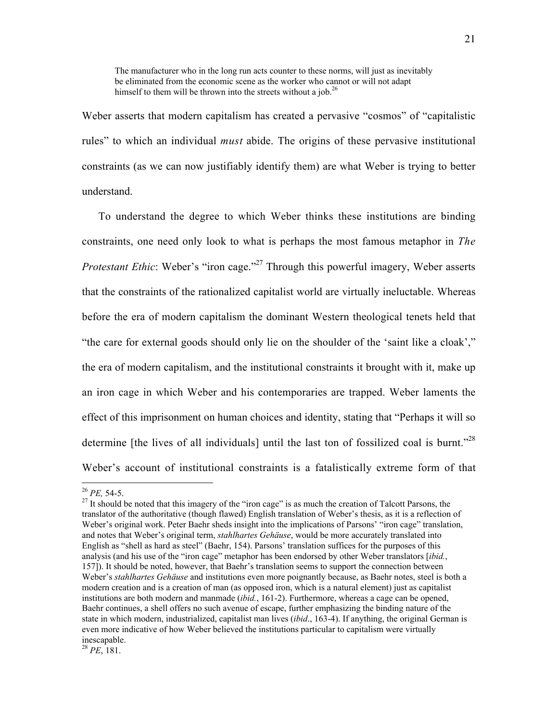The manufacturer who in the long run acts counter to these norms, will just as inevitably be eliminated from the economic scene as the worker who cannot or will not adapt himself to them will be thrown into the streets without a job.<sup>26</sup>

Weber asserts that modern capitalism has created a pervasive "cosmos" of "capitalistic rules" to which an individual *must* abide. The origins of these pervasive institutional constraints (as we can now justifiably identify them) are what Weber is trying to better understand.

To understand the degree to which Weber thinks these institutions are binding constraints, one need only look to what is perhaps the most famous metaphor in *The Protestant Ethic*: Weber's "iron cage."<sup>27</sup> Through this powerful imagery, Weber asserts that the constraints of the rationalized capitalist world are virtually ineluctable. Whereas before the era of modern capitalism the dominant Western theological tenets held that "the care for external goods should only lie on the shoulder of the 'saint like a cloak'," the era of modern capitalism, and the institutional constraints it brought with it, make up an iron cage in which Weber and his contemporaries are trapped. Weber laments the effect of this imprisonment on human choices and identity, stating that "Perhaps it will so determine [the lives of all individuals] until the last ton of fossilized coal is burnt.<sup>228</sup> Weber's account of institutional constraints is a fatalistically extreme form of that

<sup>28</sup> *PE*, 181.

 $^{26}$  *PE*, 54-5.

 $27$  It should be noted that this imagery of the "iron cage" is as much the creation of Talcott Parsons, the translator of the authoritative (though flawed) English translation of Weber's thesis, as it is a reflection of Weber's original work. Peter Baehr sheds insight into the implications of Parsons' "iron cage" translation, and notes that Weber's original term, *stahlhartes Gehäuse*, would be more accurately translated into English as "shell as hard as steel" (Baehr, 154). Parsons' translation suffices for the purposes of this analysis (and his use of the "iron cage" metaphor has been endorsed by other Weber translators [*ibid.*, 157]). It should be noted, however, that Baehr's translation seems to support the connection between Weber's *stahlhartes Gehäuse* and institutions even more poignantly because, as Baehr notes, steel is both a modern creation and is a creation of man (as opposed iron, which is a natural element) just as capitalist institutions are both modern and manmade (*ibid.*, 161-2). Furthermore, whereas a cage can be opened, Baehr continues, a shell offers no such avenue of escape, further emphasizing the binding nature of the state in which modern, industrialized, capitalist man lives (*ibid*., 163-4). If anything, the original German is even more indicative of how Weber believed the institutions particular to capitalism were virtually inescapable.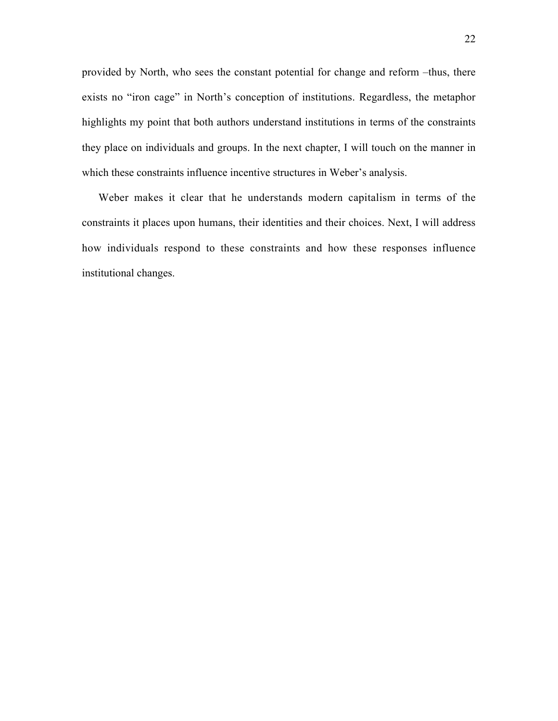provided by North, who sees the constant potential for change and reform –thus, there exists no "iron cage" in North's conception of institutions. Regardless, the metaphor highlights my point that both authors understand institutions in terms of the constraints they place on individuals and groups. In the next chapter, I will touch on the manner in which these constraints influence incentive structures in Weber's analysis.

Weber makes it clear that he understands modern capitalism in terms of the constraints it places upon humans, their identities and their choices. Next, I will address how individuals respond to these constraints and how these responses influence institutional changes.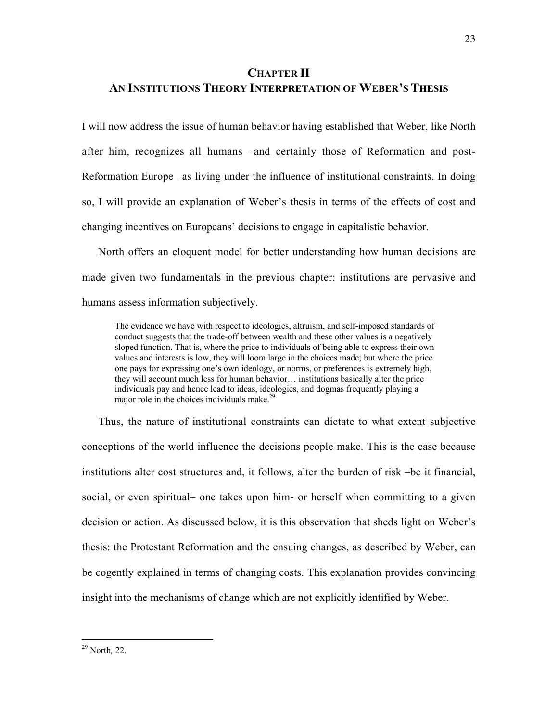# **CHAPTER II AN INSTITUTIONS THEORY INTERPRETATION OF WEBER'S THESIS**

I will now address the issue of human behavior having established that Weber, like North after him, recognizes all humans –and certainly those of Reformation and post-Reformation Europe– as living under the influence of institutional constraints. In doing so, I will provide an explanation of Weber's thesis in terms of the effects of cost and changing incentives on Europeans' decisions to engage in capitalistic behavior.

North offers an eloquent model for better understanding how human decisions are made given two fundamentals in the previous chapter: institutions are pervasive and humans assess information subjectively.

The evidence we have with respect to ideologies, altruism, and self-imposed standards of conduct suggests that the trade-off between wealth and these other values is a negatively sloped function. That is, where the price to individuals of being able to express their own values and interests is low, they will loom large in the choices made; but where the price one pays for expressing one's own ideology, or norms, or preferences is extremely high, they will account much less for human behavior… institutions basically alter the price individuals pay and hence lead to ideas, ideologies, and dogmas frequently playing a major role in the choices individuals make.<sup>29</sup>

Thus, the nature of institutional constraints can dictate to what extent subjective conceptions of the world influence the decisions people make. This is the case because institutions alter cost structures and, it follows, alter the burden of risk –be it financial, social, or even spiritual– one takes upon him- or herself when committing to a given decision or action. As discussed below, it is this observation that sheds light on Weber's thesis: the Protestant Reformation and the ensuing changes, as described by Weber, can be cogently explained in terms of changing costs. This explanation provides convincing insight into the mechanisms of change which are not explicitly identified by Weber.

29 North*,* 22.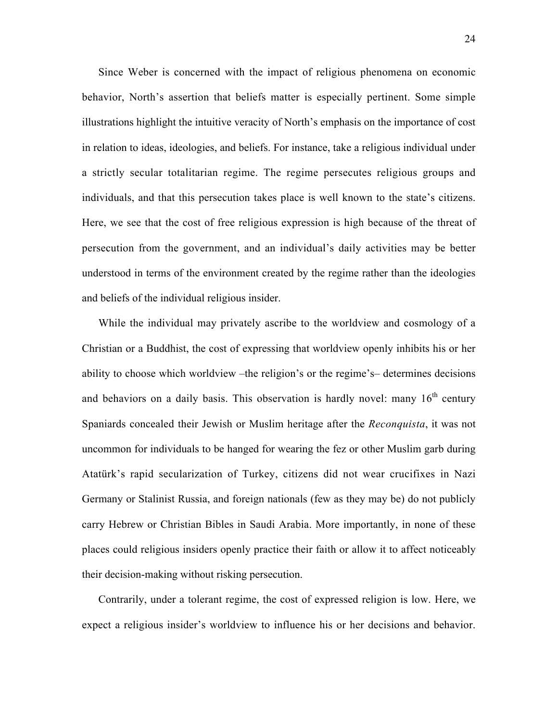Since Weber is concerned with the impact of religious phenomena on economic behavior, North's assertion that beliefs matter is especially pertinent. Some simple illustrations highlight the intuitive veracity of North's emphasis on the importance of cost in relation to ideas, ideologies, and beliefs. For instance, take a religious individual under a strictly secular totalitarian regime. The regime persecutes religious groups and individuals, and that this persecution takes place is well known to the state's citizens. Here, we see that the cost of free religious expression is high because of the threat of persecution from the government, and an individual's daily activities may be better understood in terms of the environment created by the regime rather than the ideologies and beliefs of the individual religious insider.

While the individual may privately ascribe to the worldview and cosmology of a Christian or a Buddhist, the cost of expressing that worldview openly inhibits his or her ability to choose which worldview –the religion's or the regime's– determines decisions and behaviors on a daily basis. This observation is hardly novel: many  $16<sup>th</sup>$  century Spaniards concealed their Jewish or Muslim heritage after the *Reconquista*, it was not uncommon for individuals to be hanged for wearing the fez or other Muslim garb during Atatürk's rapid secularization of Turkey, citizens did not wear crucifixes in Nazi Germany or Stalinist Russia, and foreign nationals (few as they may be) do not publicly carry Hebrew or Christian Bibles in Saudi Arabia. More importantly, in none of these places could religious insiders openly practice their faith or allow it to affect noticeably their decision-making without risking persecution.

Contrarily, under a tolerant regime, the cost of expressed religion is low. Here, we expect a religious insider's worldview to influence his or her decisions and behavior.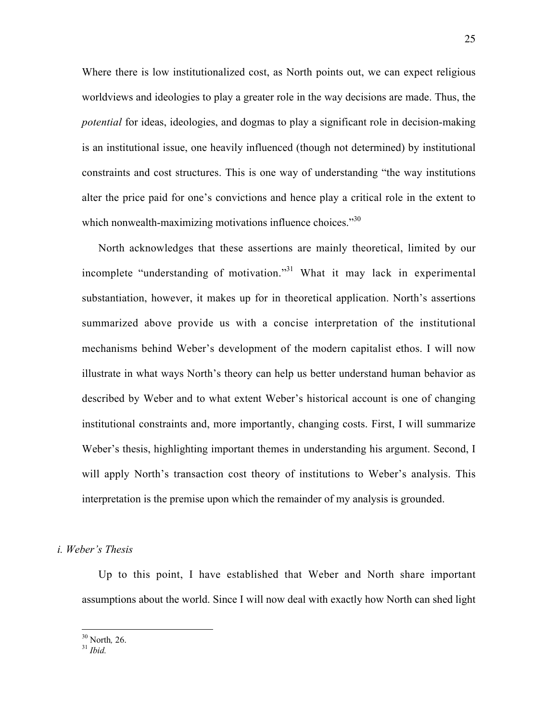Where there is low institutionalized cost, as North points out, we can expect religious worldviews and ideologies to play a greater role in the way decisions are made. Thus, the *potential* for ideas, ideologies, and dogmas to play a significant role in decision-making is an institutional issue, one heavily influenced (though not determined) by institutional constraints and cost structures. This is one way of understanding "the way institutions alter the price paid for one's convictions and hence play a critical role in the extent to which nonwealth-maximizing motivations influence choices. $\cdot^{30}$ 

North acknowledges that these assertions are mainly theoretical, limited by our incomplete "understanding of motivation."<sup>31</sup> What it may lack in experimental substantiation, however, it makes up for in theoretical application. North's assertions summarized above provide us with a concise interpretation of the institutional mechanisms behind Weber's development of the modern capitalist ethos. I will now illustrate in what ways North's theory can help us better understand human behavior as described by Weber and to what extent Weber's historical account is one of changing institutional constraints and, more importantly, changing costs. First, I will summarize Weber's thesis, highlighting important themes in understanding his argument. Second, I will apply North's transaction cost theory of institutions to Weber's analysis. This interpretation is the premise upon which the remainder of my analysis is grounded.

*i. Weber's Thesis*

Up to this point, I have established that Weber and North share important assumptions about the world. Since I will now deal with exactly how North can shed light

<sup>&</sup>lt;sup>30</sup> North*,* 26. <sup>31</sup> *Ibid.*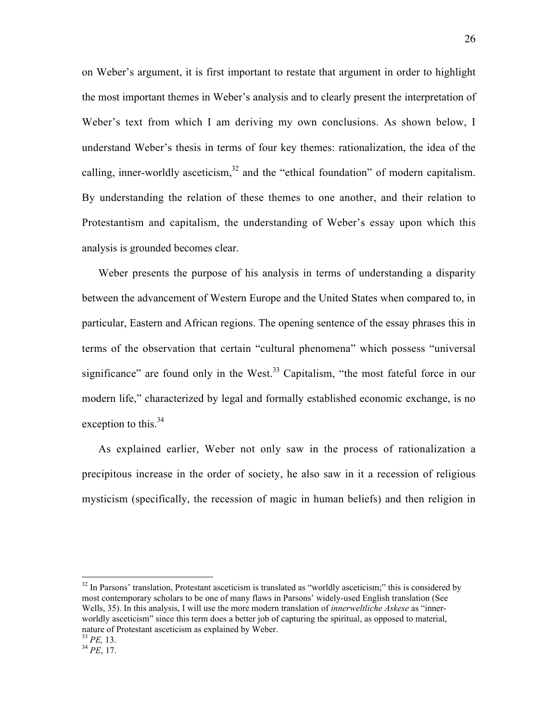on Weber's argument, it is first important to restate that argument in order to highlight the most important themes in Weber's analysis and to clearly present the interpretation of Weber's text from which I am deriving my own conclusions. As shown below, I understand Weber's thesis in terms of four key themes: rationalization, the idea of the calling, inner-worldly asceticism, $32$  and the "ethical foundation" of modern capitalism. By understanding the relation of these themes to one another, and their relation to Protestantism and capitalism, the understanding of Weber's essay upon which this analysis is grounded becomes clear.

Weber presents the purpose of his analysis in terms of understanding a disparity between the advancement of Western Europe and the United States when compared to, in particular, Eastern and African regions. The opening sentence of the essay phrases this in terms of the observation that certain "cultural phenomena" which possess "universal significance" are found only in the West.<sup>33</sup> Capitalism, "the most fateful force in our modern life," characterized by legal and formally established economic exchange, is no exception to this.<sup>34</sup>

As explained earlier, Weber not only saw in the process of rationalization a precipitous increase in the order of society, he also saw in it a recession of religious mysticism (specifically, the recession of magic in human beliefs) and then religion in

<sup>&</sup>lt;sup>32</sup> In Parsons' translation, Protestant asceticism is translated as "worldly asceticism;" this is considered by most contemporary scholars to be one of many flaws in Parsons' widely-used English translation (See Wells, 35). In this analysis, I will use the more modern translation of *innerweltliche Askese* as "innerworldly asceticism" since this term does a better job of capturing the spiritual, as opposed to material, nature of Protestant asceticism as explained by Weber.

<sup>33</sup> *PE,* 13. <sup>34</sup> *PE*, 17.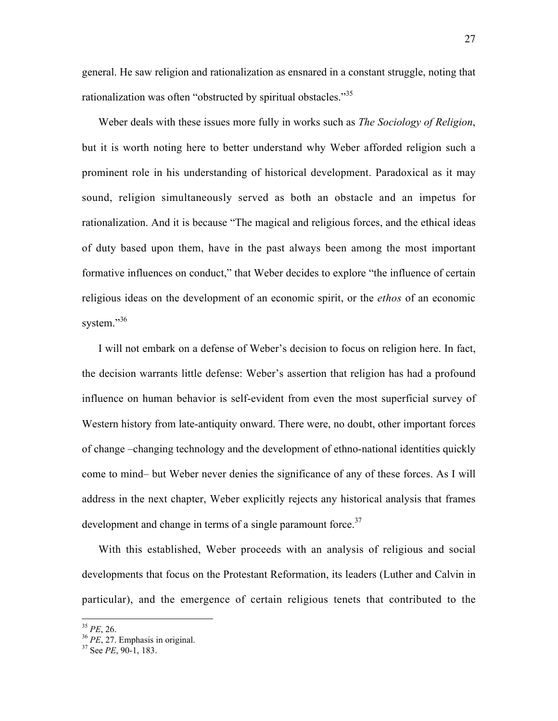general. He saw religion and rationalization as ensnared in a constant struggle, noting that rationalization was often "obstructed by spiritual obstacles."<sup>35</sup>

Weber deals with these issues more fully in works such as *The Sociology of Religion*, but it is worth noting here to better understand why Weber afforded religion such a prominent role in his understanding of historical development. Paradoxical as it may sound, religion simultaneously served as both an obstacle and an impetus for rationalization. And it is because "The magical and religious forces, and the ethical ideas of duty based upon them, have in the past always been among the most important formative influences on conduct," that Weber decides to explore "the influence of certain religious ideas on the development of an economic spirit, or the *ethos* of an economic system."<sup>36</sup>

I will not embark on a defense of Weber's decision to focus on religion here. In fact, the decision warrants little defense: Weber's assertion that religion has had a profound influence on human behavior is self-evident from even the most superficial survey of Western history from late-antiquity onward. There were, no doubt, other important forces of change –changing technology and the development of ethno-national identities quickly come to mind– but Weber never denies the significance of any of these forces. As I will address in the next chapter, Weber explicitly rejects any historical analysis that frames development and change in terms of a single paramount force. $37$ 

With this established, Weber proceeds with an analysis of religious and social developments that focus on the Protestant Reformation, its leaders (Luther and Calvin in particular), and the emergence of certain religious tenets that contributed to the

<sup>&</sup>lt;sup>35</sup> *PE*, 26.<br><sup>36</sup> *PE*, 27. Emphasis in original.

<sup>&</sup>lt;sup>37</sup> See *PE*, 90-1, 183.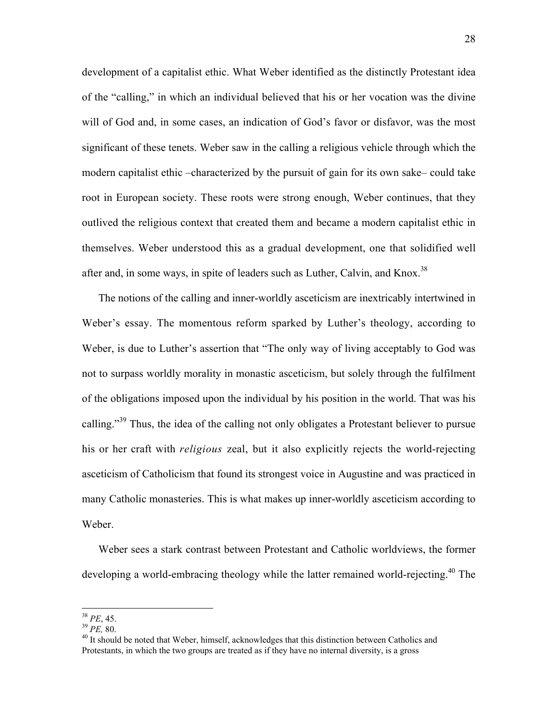development of a capitalist ethic. What Weber identified as the distinctly Protestant idea of the "calling," in which an individual believed that his or her vocation was the divine will of God and, in some cases, an indication of God's favor or disfavor, was the most significant of these tenets. Weber saw in the calling a religious vehicle through which the modern capitalist ethic –characterized by the pursuit of gain for its own sake– could take root in European society. These roots were strong enough, Weber continues, that they outlived the religious context that created them and became a modern capitalist ethic in themselves. Weber understood this as a gradual development, one that solidified well after and, in some ways, in spite of leaders such as Luther, Calvin, and Knox.<sup>38</sup>

The notions of the calling and inner-worldly asceticism are inextricably intertwined in Weber's essay. The momentous reform sparked by Luther's theology, according to Weber, is due to Luther's assertion that "The only way of living acceptably to God was not to surpass worldly morality in monastic asceticism, but solely through the fulfilment of the obligations imposed upon the individual by his position in the world. That was his calling."<sup>39</sup> Thus, the idea of the calling not only obligates a Protestant believer to pursue his or her craft with *religious* zeal, but it also explicitly rejects the world-rejecting asceticism of Catholicism that found its strongest voice in Augustine and was practiced in many Catholic monasteries. This is what makes up inner-worldly asceticism according to Weber.

Weber sees a stark contrast between Protestant and Catholic worldviews, the former developing a world-embracing theology while the latter remained world-rejecting.<sup>40</sup> The

38 *PE*, 45. 39 *PE,* 80. 40

 $40$  It should be noted that Weber, himself, acknowledges that this distinction between Catholics and Protestants, in which the two groups are treated as if they have no internal diversity, is a gross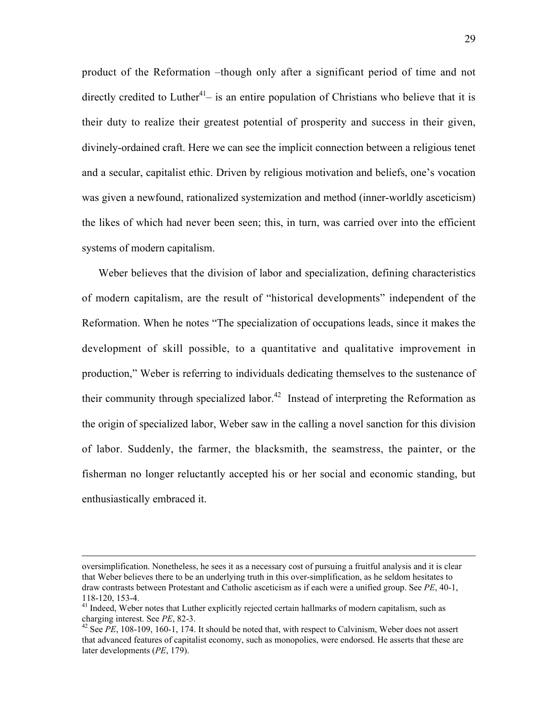product of the Reformation –though only after a significant period of time and not directly credited to Luther<sup>41</sup> – is an entire population of Christians who believe that it is their duty to realize their greatest potential of prosperity and success in their given, divinely-ordained craft. Here we can see the implicit connection between a religious tenet and a secular, capitalist ethic. Driven by religious motivation and beliefs, one's vocation was given a newfound, rationalized systemization and method (inner-worldly asceticism) the likes of which had never been seen; this, in turn, was carried over into the efficient systems of modern capitalism.

Weber believes that the division of labor and specialization, defining characteristics of modern capitalism, are the result of "historical developments" independent of the Reformation. When he notes "The specialization of occupations leads, since it makes the development of skill possible, to a quantitative and qualitative improvement in production," Weber is referring to individuals dedicating themselves to the sustenance of their community through specialized labor.<sup>42</sup> Instead of interpreting the Reformation as the origin of specialized labor, Weber saw in the calling a novel sanction for this division of labor. Suddenly, the farmer, the blacksmith, the seamstress, the painter, or the fisherman no longer reluctantly accepted his or her social and economic standing, but enthusiastically embraced it.

 $\overline{a}$ 

oversimplification. Nonetheless, he sees it as a necessary cost of pursuing a fruitful analysis and it is clear that Weber believes there to be an underlying truth in this over-simplification, as he seldom hesitates to draw contrasts between Protestant and Catholic asceticism as if each were a unified group. See *PE*, 40-1, 118-120, 153-4.

<sup>&</sup>lt;sup>41</sup> Indeed, Weber notes that Luther explicitly rejected certain hallmarks of modern capitalism, such as charging interest. See PE, 82-3.

<sup>&</sup>lt;sup>42</sup> See *PE*, 108-109, 160-1, 174. It should be noted that, with respect to Calvinism, Weber does not assert that advanced features of capitalist economy, such as monopolies, were endorsed. He asserts that these are later developments (*PE*, 179).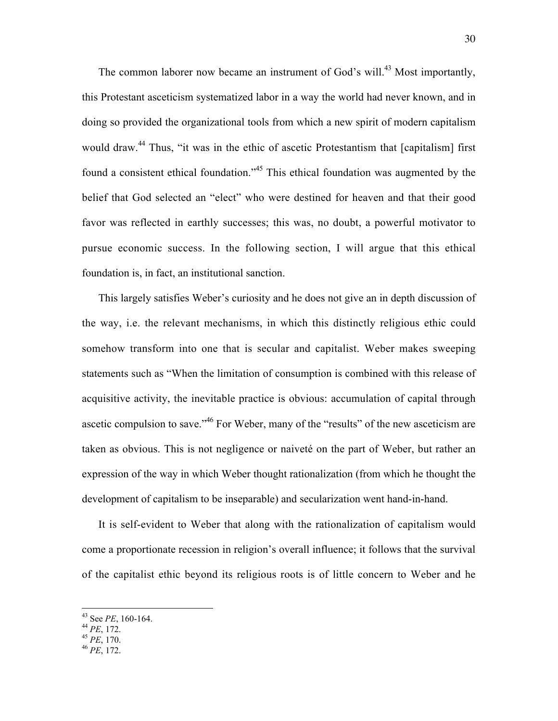The common laborer now became an instrument of God's will.<sup>43</sup> Most importantly, this Protestant asceticism systematized labor in a way the world had never known, and in doing so provided the organizational tools from which a new spirit of modern capitalism would draw.<sup>44</sup> Thus, "it was in the ethic of ascetic Protestantism that [capitalism] first found a consistent ethical foundation."45 This ethical foundation was augmented by the belief that God selected an "elect" who were destined for heaven and that their good favor was reflected in earthly successes; this was, no doubt, a powerful motivator to pursue economic success. In the following section, I will argue that this ethical foundation is, in fact, an institutional sanction.

This largely satisfies Weber's curiosity and he does not give an in depth discussion of the way, i.e. the relevant mechanisms, in which this distinctly religious ethic could somehow transform into one that is secular and capitalist. Weber makes sweeping statements such as "When the limitation of consumption is combined with this release of acquisitive activity, the inevitable practice is obvious: accumulation of capital through ascetic compulsion to save."46 For Weber, many of the "results" of the new asceticism are taken as obvious. This is not negligence or naiveté on the part of Weber, but rather an expression of the way in which Weber thought rationalization (from which he thought the development of capitalism to be inseparable) and secularization went hand-in-hand.

It is self-evident to Weber that along with the rationalization of capitalism would come a proportionate recession in religion's overall influence; it follows that the survival of the capitalist ethic beyond its religious roots is of little concern to Weber and he

 $\frac{1}{43}$ See *PE*, 160-164. <sup>44</sup> *PE*, 172. <sup>45</sup> *PE*, 170. <sup>46</sup> *PE*, 172.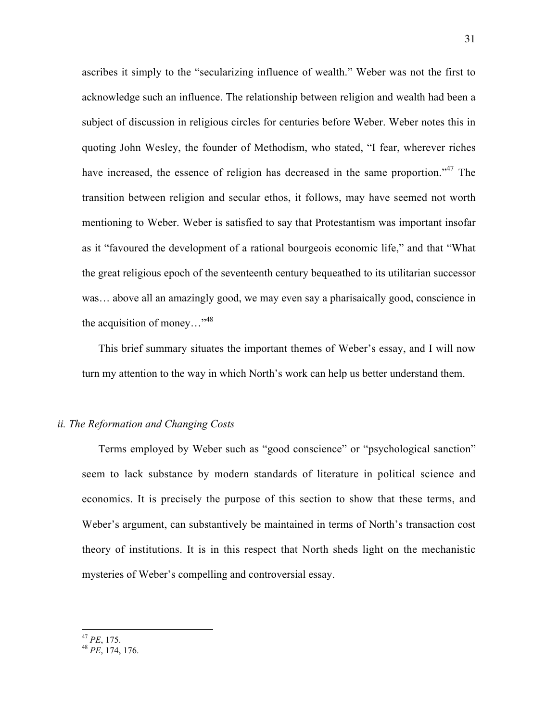ascribes it simply to the "secularizing influence of wealth." Weber was not the first to acknowledge such an influence. The relationship between religion and wealth had been a subject of discussion in religious circles for centuries before Weber. Weber notes this in quoting John Wesley, the founder of Methodism, who stated, "I fear, wherever riches have increased, the essence of religion has decreased in the same proportion."<sup>47</sup> The transition between religion and secular ethos, it follows, may have seemed not worth mentioning to Weber. Weber is satisfied to say that Protestantism was important insofar as it "favoured the development of a rational bourgeois economic life," and that "What the great religious epoch of the seventeenth century bequeathed to its utilitarian successor was… above all an amazingly good, we may even say a pharisaically good, conscience in the acquisition of money..."<sup>48</sup>

This brief summary situates the important themes of Weber's essay, and I will now turn my attention to the way in which North's work can help us better understand them.

## *ii. The Reformation and Changing Costs*

Terms employed by Weber such as "good conscience" or "psychological sanction" seem to lack substance by modern standards of literature in political science and economics. It is precisely the purpose of this section to show that these terms, and Weber's argument, can substantively be maintained in terms of North's transaction cost theory of institutions. It is in this respect that North sheds light on the mechanistic mysteries of Weber's compelling and controversial essay.

<sup>47</sup> *PE*, 175. <sup>48</sup> *PE*, 174, 176.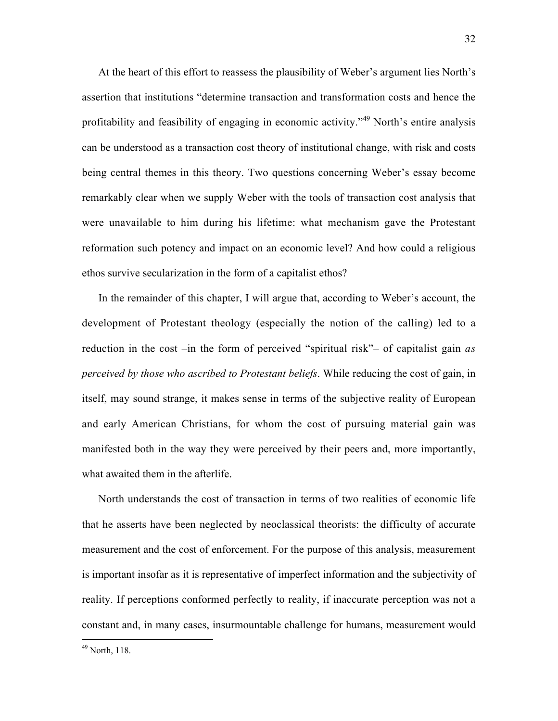At the heart of this effort to reassess the plausibility of Weber's argument lies North's assertion that institutions "determine transaction and transformation costs and hence the profitability and feasibility of engaging in economic activity."<sup>49</sup> North's entire analysis can be understood as a transaction cost theory of institutional change, with risk and costs being central themes in this theory. Two questions concerning Weber's essay become remarkably clear when we supply Weber with the tools of transaction cost analysis that were unavailable to him during his lifetime: what mechanism gave the Protestant reformation such potency and impact on an economic level? And how could a religious ethos survive secularization in the form of a capitalist ethos?

In the remainder of this chapter, I will argue that, according to Weber's account, the development of Protestant theology (especially the notion of the calling) led to a reduction in the cost –in the form of perceived "spiritual risk"– of capitalist gain *as perceived by those who ascribed to Protestant beliefs*. While reducing the cost of gain, in itself, may sound strange, it makes sense in terms of the subjective reality of European and early American Christians, for whom the cost of pursuing material gain was manifested both in the way they were perceived by their peers and, more importantly, what awaited them in the afterlife.

North understands the cost of transaction in terms of two realities of economic life that he asserts have been neglected by neoclassical theorists: the difficulty of accurate measurement and the cost of enforcement. For the purpose of this analysis, measurement is important insofar as it is representative of imperfect information and the subjectivity of reality. If perceptions conformed perfectly to reality, if inaccurate perception was not a constant and, in many cases, insurmountable challenge for humans, measurement would

49 North, 118.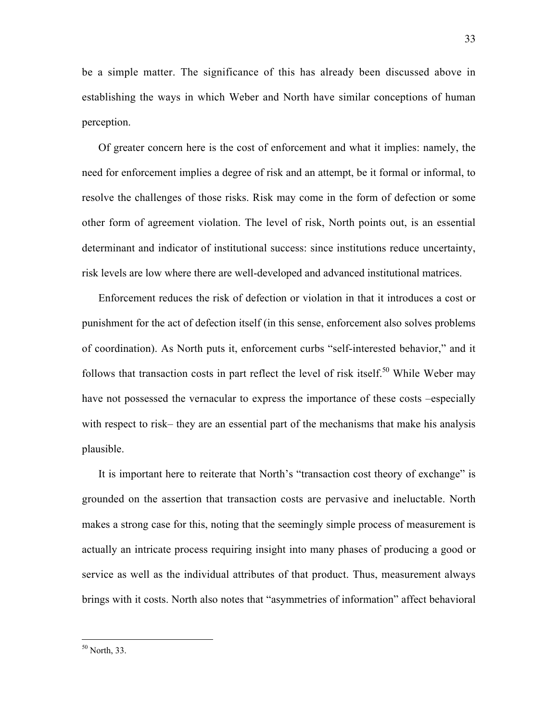be a simple matter. The significance of this has already been discussed above in establishing the ways in which Weber and North have similar conceptions of human perception.

Of greater concern here is the cost of enforcement and what it implies: namely, the need for enforcement implies a degree of risk and an attempt, be it formal or informal, to resolve the challenges of those risks. Risk may come in the form of defection or some other form of agreement violation. The level of risk, North points out, is an essential determinant and indicator of institutional success: since institutions reduce uncertainty, risk levels are low where there are well-developed and advanced institutional matrices.

Enforcement reduces the risk of defection or violation in that it introduces a cost or punishment for the act of defection itself (in this sense, enforcement also solves problems of coordination). As North puts it, enforcement curbs "self-interested behavior," and it follows that transaction costs in part reflect the level of risk itself.<sup>50</sup> While Weber may have not possessed the vernacular to express the importance of these costs –especially with respect to risk– they are an essential part of the mechanisms that make his analysis plausible.

It is important here to reiterate that North's "transaction cost theory of exchange" is grounded on the assertion that transaction costs are pervasive and ineluctable. North makes a strong case for this, noting that the seemingly simple process of measurement is actually an intricate process requiring insight into many phases of producing a good or service as well as the individual attributes of that product. Thus, measurement always brings with it costs. North also notes that "asymmetries of information" affect behavioral

50 North, 33.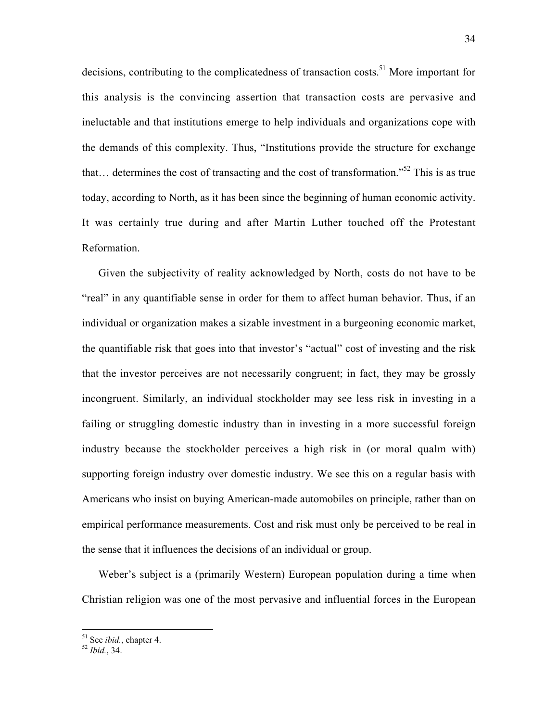decisions, contributing to the complicatedness of transaction costs.<sup>51</sup> More important for this analysis is the convincing assertion that transaction costs are pervasive and ineluctable and that institutions emerge to help individuals and organizations cope with the demands of this complexity. Thus, "Institutions provide the structure for exchange that... determines the cost of transacting and the cost of transformation."<sup>52</sup> This is as true today, according to North, as it has been since the beginning of human economic activity. It was certainly true during and after Martin Luther touched off the Protestant Reformation.

Given the subjectivity of reality acknowledged by North, costs do not have to be "real" in any quantifiable sense in order for them to affect human behavior. Thus, if an individual or organization makes a sizable investment in a burgeoning economic market, the quantifiable risk that goes into that investor's "actual" cost of investing and the risk that the investor perceives are not necessarily congruent; in fact, they may be grossly incongruent. Similarly, an individual stockholder may see less risk in investing in a failing or struggling domestic industry than in investing in a more successful foreign industry because the stockholder perceives a high risk in (or moral qualm with) supporting foreign industry over domestic industry. We see this on a regular basis with Americans who insist on buying American-made automobiles on principle, rather than on empirical performance measurements. Cost and risk must only be perceived to be real in the sense that it influences the decisions of an individual or group.

Weber's subject is a (primarily Western) European population during a time when Christian religion was one of the most pervasive and influential forces in the European

51 See *ibid.*, chapter 4. <sup>52</sup> *Ibid.*, 34.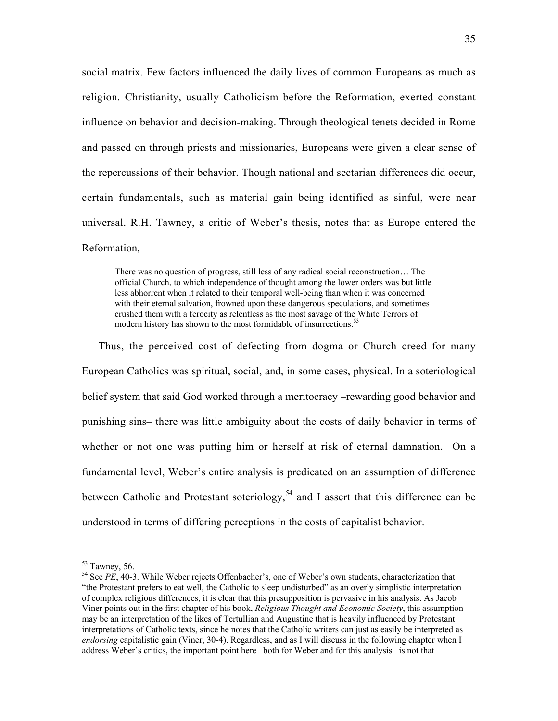social matrix. Few factors influenced the daily lives of common Europeans as much as religion. Christianity, usually Catholicism before the Reformation, exerted constant influence on behavior and decision-making. Through theological tenets decided in Rome and passed on through priests and missionaries, Europeans were given a clear sense of the repercussions of their behavior. Though national and sectarian differences did occur, certain fundamentals, such as material gain being identified as sinful, were near universal. R.H. Tawney, a critic of Weber's thesis, notes that as Europe entered the Reformation,

There was no question of progress, still less of any radical social reconstruction… The official Church, to which independence of thought among the lower orders was but little less abhorrent when it related to their temporal well-being than when it was concerned with their eternal salvation, frowned upon these dangerous speculations, and sometimes crushed them with a ferocity as relentless as the most savage of the White Terrors of modern history has shown to the most formidable of insurrections.<sup>53</sup>

Thus, the perceived cost of defecting from dogma or Church creed for many European Catholics was spiritual, social, and, in some cases, physical. In a soteriological belief system that said God worked through a meritocracy –rewarding good behavior and punishing sins– there was little ambiguity about the costs of daily behavior in terms of whether or not one was putting him or herself at risk of eternal damnation. On a fundamental level, Weber's entire analysis is predicated on an assumption of difference between Catholic and Protestant soteriology,<sup>54</sup> and I assert that this difference can be understood in terms of differing perceptions in the costs of capitalist behavior.

 $\frac{53}{12}$  Tawney, 56.

<sup>&</sup>lt;sup>54</sup> See *PE*, 40-3. While Weber rejects Offenbacher's, one of Weber's own students, characterization that "the Protestant prefers to eat well, the Catholic to sleep undisturbed" as an overly simplistic interpretation of complex religious differences, it is clear that this presupposition is pervasive in his analysis. As Jacob Viner points out in the first chapter of his book, *Religious Thought and Economic Society*, this assumption may be an interpretation of the likes of Tertullian and Augustine that is heavily influenced by Protestant interpretations of Catholic texts, since he notes that the Catholic writers can just as easily be interpreted as *endorsing* capitalistic gain (Viner, 30-4). Regardless, and as I will discuss in the following chapter when I address Weber's critics, the important point here –both for Weber and for this analysis– is not that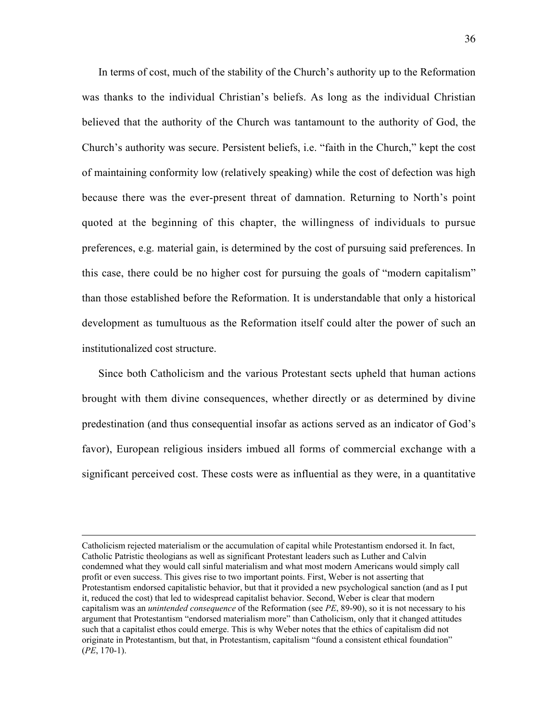In terms of cost, much of the stability of the Church's authority up to the Reformation was thanks to the individual Christian's beliefs. As long as the individual Christian believed that the authority of the Church was tantamount to the authority of God, the Church's authority was secure. Persistent beliefs, i.e. "faith in the Church," kept the cost of maintaining conformity low (relatively speaking) while the cost of defection was high because there was the ever-present threat of damnation. Returning to North's point quoted at the beginning of this chapter, the willingness of individuals to pursue preferences, e.g. material gain, is determined by the cost of pursuing said preferences. In this case, there could be no higher cost for pursuing the goals of "modern capitalism" than those established before the Reformation. It is understandable that only a historical development as tumultuous as the Reformation itself could alter the power of such an institutionalized cost structure.

Since both Catholicism and the various Protestant sects upheld that human actions brought with them divine consequences, whether directly or as determined by divine predestination (and thus consequential insofar as actions served as an indicator of God's favor), European religious insiders imbued all forms of commercial exchange with a significant perceived cost. These costs were as influential as they were, in a quantitative

 $\overline{a}$ 

Catholicism rejected materialism or the accumulation of capital while Protestantism endorsed it. In fact, Catholic Patristic theologians as well as significant Protestant leaders such as Luther and Calvin condemned what they would call sinful materialism and what most modern Americans would simply call profit or even success. This gives rise to two important points. First, Weber is not asserting that Protestantism endorsed capitalistic behavior, but that it provided a new psychological sanction (and as I put it, reduced the cost) that led to widespread capitalist behavior. Second, Weber is clear that modern capitalism was an *unintended consequence* of the Reformation (see *PE*, 89-90), so it is not necessary to his argument that Protestantism "endorsed materialism more" than Catholicism, only that it changed attitudes such that a capitalist ethos could emerge. This is why Weber notes that the ethics of capitalism did not originate in Protestantism, but that, in Protestantism, capitalism "found a consistent ethical foundation" (*PE*, 170-1).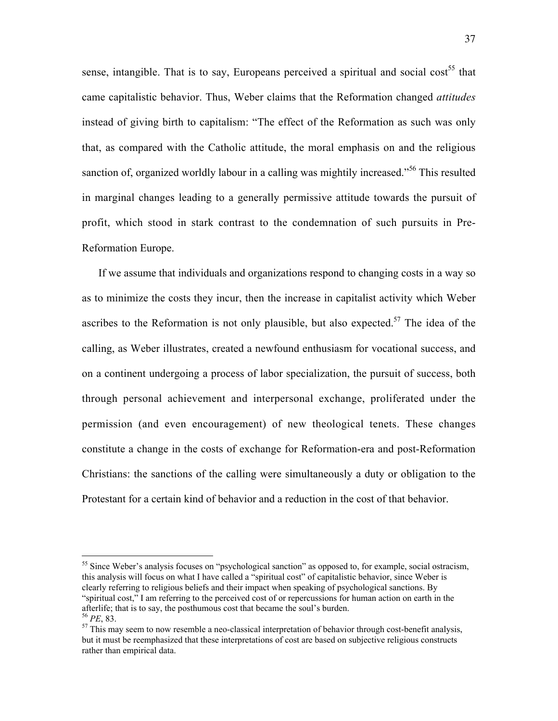sense, intangible. That is to say, Europeans perceived a spiritual and social cost<sup>55</sup> that came capitalistic behavior. Thus, Weber claims that the Reformation changed *attitudes* instead of giving birth to capitalism: "The effect of the Reformation as such was only that, as compared with the Catholic attitude, the moral emphasis on and the religious sanction of, organized worldly labour in a calling was mightily increased."<sup>56</sup> This resulted in marginal changes leading to a generally permissive attitude towards the pursuit of profit, which stood in stark contrast to the condemnation of such pursuits in Pre-Reformation Europe.

If we assume that individuals and organizations respond to changing costs in a way so as to minimize the costs they incur, then the increase in capitalist activity which Weber ascribes to the Reformation is not only plausible, but also expected.<sup>57</sup> The idea of the calling, as Weber illustrates, created a newfound enthusiasm for vocational success, and on a continent undergoing a process of labor specialization, the pursuit of success, both through personal achievement and interpersonal exchange, proliferated under the permission (and even encouragement) of new theological tenets. These changes constitute a change in the costs of exchange for Reformation-era and post-Reformation Christians: the sanctions of the calling were simultaneously a duty or obligation to the Protestant for a certain kind of behavior and a reduction in the cost of that behavior.

<sup>&</sup>lt;sup>55</sup> Since Weber's analysis focuses on "psychological sanction" as opposed to, for example, social ostracism, this analysis will focus on what I have called a "spiritual cost" of capitalistic behavior, since Weber is clearly referring to religious beliefs and their impact when speaking of psychological sanctions. By "spiritual cost," I am referring to the perceived cost of or repercussions for human action on earth in the afterlife; that is to say, the posthumous cost that became the soul's burden.  $56$  *PE*, 83.

 $57$  This may seem to now resemble a neo-classical interpretation of behavior through cost-benefit analysis, but it must be reemphasized that these interpretations of cost are based on subjective religious constructs rather than empirical data.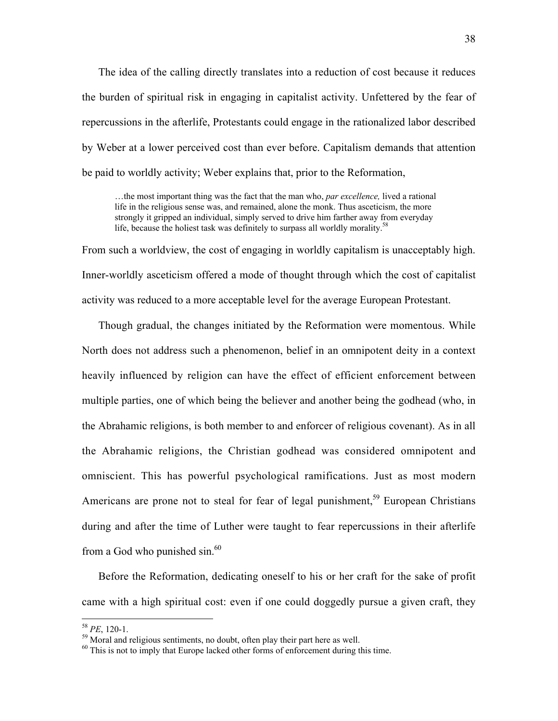The idea of the calling directly translates into a reduction of cost because it reduces the burden of spiritual risk in engaging in capitalist activity. Unfettered by the fear of repercussions in the afterlife, Protestants could engage in the rationalized labor described by Weber at a lower perceived cost than ever before. Capitalism demands that attention be paid to worldly activity; Weber explains that, prior to the Reformation,

…the most important thing was the fact that the man who, *par excellence,* lived a rational life in the religious sense was, and remained, alone the monk. Thus asceticism, the more strongly it gripped an individual, simply served to drive him farther away from everyday life, because the holiest task was definitely to surpass all worldly morality.<sup>58</sup>

From such a worldview, the cost of engaging in worldly capitalism is unacceptably high. Inner-worldly asceticism offered a mode of thought through which the cost of capitalist activity was reduced to a more acceptable level for the average European Protestant.

Though gradual, the changes initiated by the Reformation were momentous. While North does not address such a phenomenon, belief in an omnipotent deity in a context heavily influenced by religion can have the effect of efficient enforcement between multiple parties, one of which being the believer and another being the godhead (who, in the Abrahamic religions, is both member to and enforcer of religious covenant). As in all the Abrahamic religions, the Christian godhead was considered omnipotent and omniscient. This has powerful psychological ramifications. Just as most modern Americans are prone not to steal for fear of legal punishment,<sup>59</sup> European Christians during and after the time of Luther were taught to fear repercussions in their afterlife from a God who punished sin.<sup>60</sup>

Before the Reformation, dedicating oneself to his or her craft for the sake of profit came with a high spiritual cost: even if one could doggedly pursue a given craft, they

 $58$  *PE*, 120-1.

 $59$  Moral and religious sentiments, no doubt, often play their part here as well.

 $60$  This is not to imply that Europe lacked other forms of enforcement during this time.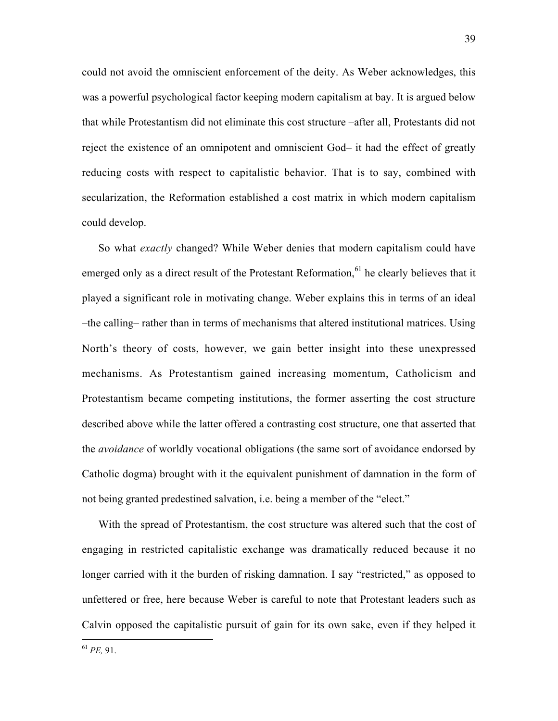could not avoid the omniscient enforcement of the deity. As Weber acknowledges, this was a powerful psychological factor keeping modern capitalism at bay. It is argued below that while Protestantism did not eliminate this cost structure –after all, Protestants did not reject the existence of an omnipotent and omniscient God– it had the effect of greatly reducing costs with respect to capitalistic behavior. That is to say, combined with secularization, the Reformation established a cost matrix in which modern capitalism could develop.

So what *exactly* changed? While Weber denies that modern capitalism could have emerged only as a direct result of the Protestant Reformation,  $61$  he clearly believes that it played a significant role in motivating change. Weber explains this in terms of an ideal –the calling– rather than in terms of mechanisms that altered institutional matrices. Using North's theory of costs, however, we gain better insight into these unexpressed mechanisms. As Protestantism gained increasing momentum, Catholicism and Protestantism became competing institutions, the former asserting the cost structure described above while the latter offered a contrasting cost structure, one that asserted that the *avoidance* of worldly vocational obligations (the same sort of avoidance endorsed by Catholic dogma) brought with it the equivalent punishment of damnation in the form of not being granted predestined salvation, i.e. being a member of the "elect."

With the spread of Protestantism, the cost structure was altered such that the cost of engaging in restricted capitalistic exchange was dramatically reduced because it no longer carried with it the burden of risking damnation. I say "restricted," as opposed to unfettered or free, here because Weber is careful to note that Protestant leaders such as Calvin opposed the capitalistic pursuit of gain for its own sake, even if they helped it

<sup>61</sup> *PE,* 91.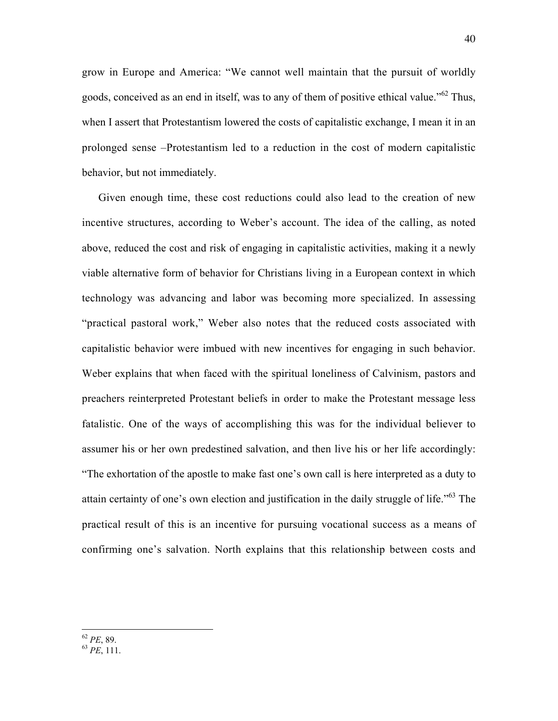grow in Europe and America: "We cannot well maintain that the pursuit of worldly goods, conceived as an end in itself, was to any of them of positive ethical value."<sup>62</sup> Thus, when I assert that Protestantism lowered the costs of capitalistic exchange, I mean it in an prolonged sense –Protestantism led to a reduction in the cost of modern capitalistic behavior, but not immediately.

Given enough time, these cost reductions could also lead to the creation of new incentive structures, according to Weber's account. The idea of the calling, as noted above, reduced the cost and risk of engaging in capitalistic activities, making it a newly viable alternative form of behavior for Christians living in a European context in which technology was advancing and labor was becoming more specialized. In assessing "practical pastoral work," Weber also notes that the reduced costs associated with capitalistic behavior were imbued with new incentives for engaging in such behavior. Weber explains that when faced with the spiritual loneliness of Calvinism, pastors and preachers reinterpreted Protestant beliefs in order to make the Protestant message less fatalistic. One of the ways of accomplishing this was for the individual believer to assumer his or her own predestined salvation, and then live his or her life accordingly: "The exhortation of the apostle to make fast one's own call is here interpreted as a duty to attain certainty of one's own election and justification in the daily struggle of life."<sup>63</sup> The practical result of this is an incentive for pursuing vocational success as a means of confirming one's salvation. North explains that this relationship between costs and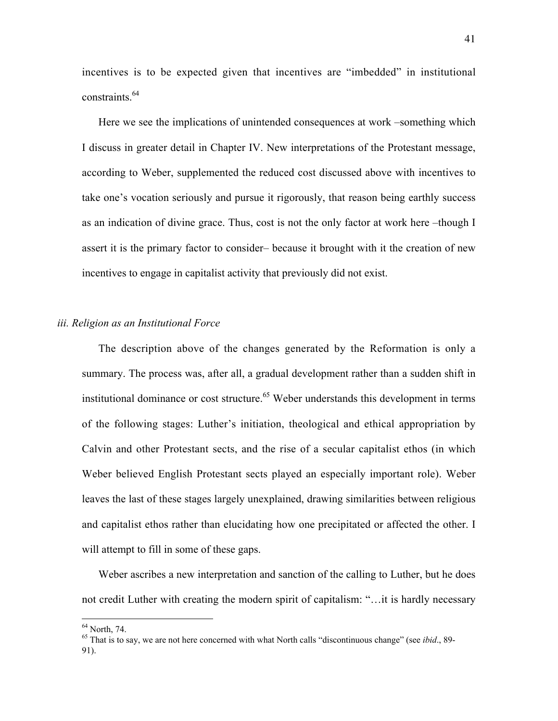incentives is to be expected given that incentives are "imbedded" in institutional constraints.<sup>64</sup>

Here we see the implications of unintended consequences at work –something which I discuss in greater detail in Chapter IV. New interpretations of the Protestant message, according to Weber, supplemented the reduced cost discussed above with incentives to take one's vocation seriously and pursue it rigorously, that reason being earthly success as an indication of divine grace. Thus, cost is not the only factor at work here –though I assert it is the primary factor to consider– because it brought with it the creation of new incentives to engage in capitalist activity that previously did not exist.

## *iii. Religion as an Institutional Force*

The description above of the changes generated by the Reformation is only a summary. The process was, after all, a gradual development rather than a sudden shift in institutional dominance or cost structure.<sup>65</sup> Weber understands this development in terms of the following stages: Luther's initiation, theological and ethical appropriation by Calvin and other Protestant sects, and the rise of a secular capitalist ethos (in which Weber believed English Protestant sects played an especially important role). Weber leaves the last of these stages largely unexplained, drawing similarities between religious and capitalist ethos rather than elucidating how one precipitated or affected the other. I will attempt to fill in some of these gaps.

Weber ascribes a new interpretation and sanction of the calling to Luther, but he does not credit Luther with creating the modern spirit of capitalism: "…it is hardly necessary

<sup>&</sup>lt;sup>64</sup> North, 74.

<sup>65</sup> That is to say, we are not here concerned with what North calls "discontinuous change" (see *ibid*., 89- 91).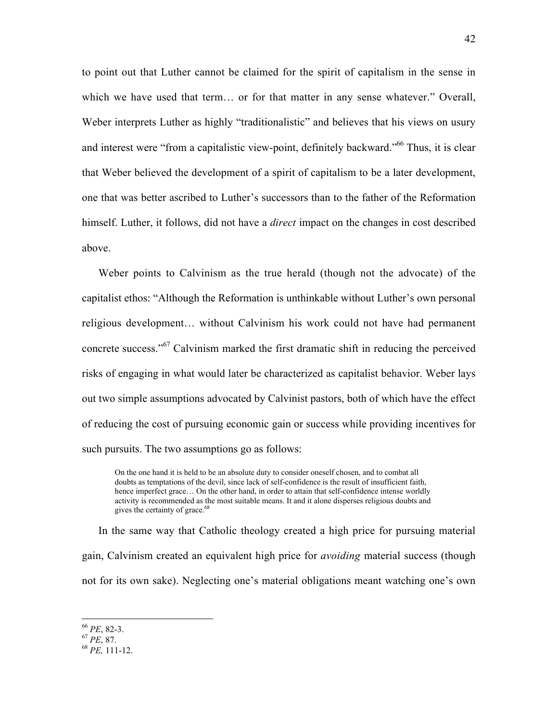to point out that Luther cannot be claimed for the spirit of capitalism in the sense in which we have used that term... or for that matter in any sense whatever." Overall, Weber interprets Luther as highly "traditionalistic" and believes that his views on usury and interest were "from a capitalistic view-point, definitely backward."<sup>66</sup> Thus, it is clear that Weber believed the development of a spirit of capitalism to be a later development, one that was better ascribed to Luther's successors than to the father of the Reformation himself. Luther, it follows, did not have a *direct* impact on the changes in cost described above.

Weber points to Calvinism as the true herald (though not the advocate) of the capitalist ethos: "Although the Reformation is unthinkable without Luther's own personal religious development… without Calvinism his work could not have had permanent concrete success."<sup>67</sup> Calvinism marked the first dramatic shift in reducing the perceived risks of engaging in what would later be characterized as capitalist behavior. Weber lays out two simple assumptions advocated by Calvinist pastors, both of which have the effect of reducing the cost of pursuing economic gain or success while providing incentives for such pursuits. The two assumptions go as follows:

On the one hand it is held to be an absolute duty to consider oneself chosen, and to combat all doubts as temptations of the devil, since lack of self-confidence is the result of insufficient faith, hence imperfect grace… On the other hand, in order to attain that self-confidence intense worldly activity is recommended as the most suitable means. It and it alone disperses religious doubts and gives the certainty of grace.<sup>68</sup>

In the same way that Catholic theology created a high price for pursuing material gain, Calvinism created an equivalent high price for *avoiding* material success (though not for its own sake). Neglecting one's material obligations meant watching one's own

<sup>66</sup> *PE*, 82-3. <sup>67</sup> *PE*, 87. <sup>68</sup> *PE,* 111-12.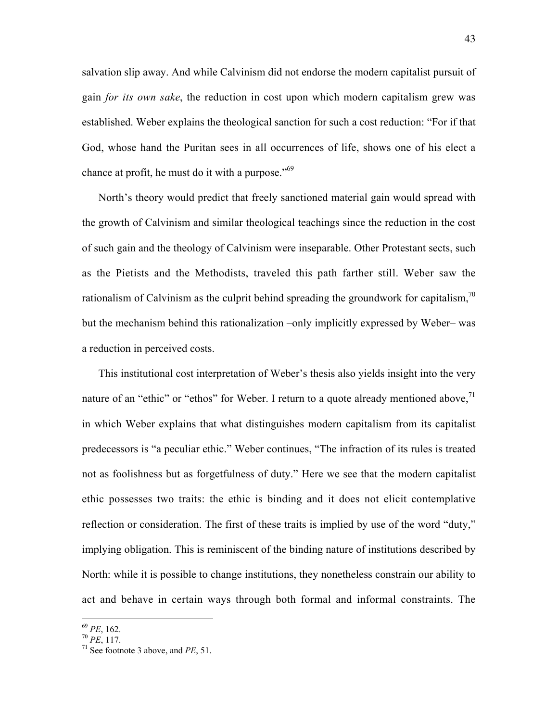salvation slip away. And while Calvinism did not endorse the modern capitalist pursuit of gain *for its own sake*, the reduction in cost upon which modern capitalism grew was established. Weber explains the theological sanction for such a cost reduction: "For if that God, whose hand the Puritan sees in all occurrences of life, shows one of his elect a chance at profit, he must do it with a purpose."<sup>69</sup>

North's theory would predict that freely sanctioned material gain would spread with the growth of Calvinism and similar theological teachings since the reduction in the cost of such gain and the theology of Calvinism were inseparable. Other Protestant sects, such as the Pietists and the Methodists, traveled this path farther still. Weber saw the rationalism of Calvinism as the culprit behind spreading the groundwork for capitalism, $\frac{70}{2}$ but the mechanism behind this rationalization –only implicitly expressed by Weber– was a reduction in perceived costs.

This institutional cost interpretation of Weber's thesis also yields insight into the very nature of an "ethic" or "ethos" for Weber. I return to a quote already mentioned above.<sup>71</sup> in which Weber explains that what distinguishes modern capitalism from its capitalist predecessors is "a peculiar ethic." Weber continues, "The infraction of its rules is treated not as foolishness but as forgetfulness of duty." Here we see that the modern capitalist ethic possesses two traits: the ethic is binding and it does not elicit contemplative reflection or consideration. The first of these traits is implied by use of the word "duty," implying obligation. This is reminiscent of the binding nature of institutions described by North: while it is possible to change institutions, they nonetheless constrain our ability to act and behave in certain ways through both formal and informal constraints. The

<sup>&</sup>lt;sup>69</sup> *PE*, 162.<br><sup>70</sup> *PE*, 117.

 $^{71}$  See footnote 3 above, and *PE*, 51.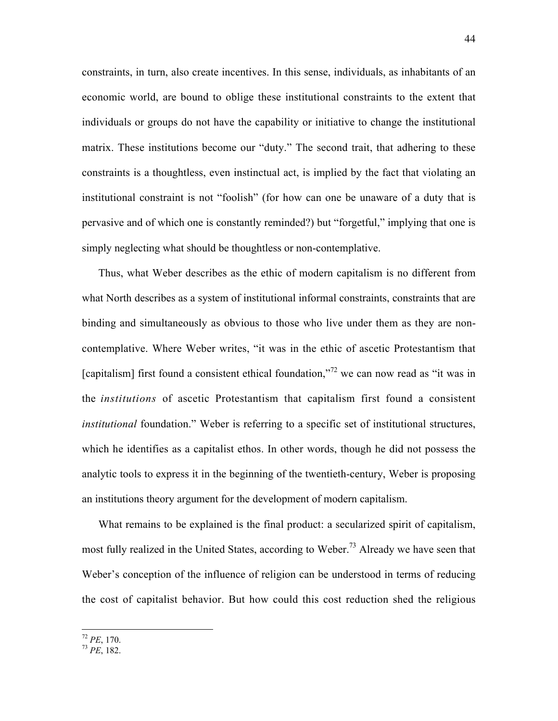constraints, in turn, also create incentives. In this sense, individuals, as inhabitants of an economic world, are bound to oblige these institutional constraints to the extent that individuals or groups do not have the capability or initiative to change the institutional matrix. These institutions become our "duty." The second trait, that adhering to these constraints is a thoughtless, even instinctual act, is implied by the fact that violating an institutional constraint is not "foolish" (for how can one be unaware of a duty that is pervasive and of which one is constantly reminded?) but "forgetful," implying that one is simply neglecting what should be thoughtless or non-contemplative.

Thus, what Weber describes as the ethic of modern capitalism is no different from what North describes as a system of institutional informal constraints, constraints that are binding and simultaneously as obvious to those who live under them as they are noncontemplative. Where Weber writes, "it was in the ethic of ascetic Protestantism that [capitalism] first found a consistent ethical foundation,"<sup>72</sup> we can now read as "it was in the *institutions* of ascetic Protestantism that capitalism first found a consistent *institutional* foundation." Weber is referring to a specific set of institutional structures, which he identifies as a capitalist ethos. In other words, though he did not possess the analytic tools to express it in the beginning of the twentieth-century, Weber is proposing an institutions theory argument for the development of modern capitalism.

What remains to be explained is the final product: a secularized spirit of capitalism, most fully realized in the United States, according to Weber.<sup>73</sup> Already we have seen that Weber's conception of the influence of religion can be understood in terms of reducing the cost of capitalist behavior. But how could this cost reduction shed the religious

<sup>72</sup> *PE*, 170. <sup>73</sup> *PE*, 182.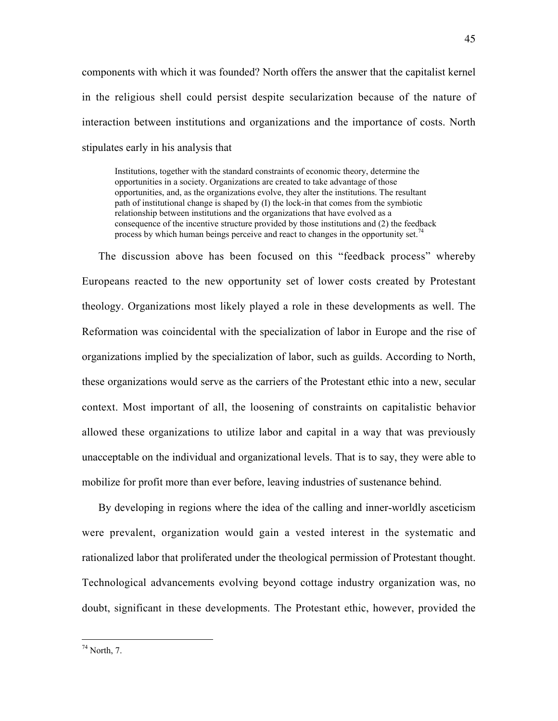components with which it was founded? North offers the answer that the capitalist kernel in the religious shell could persist despite secularization because of the nature of interaction between institutions and organizations and the importance of costs. North stipulates early in his analysis that

Institutions, together with the standard constraints of economic theory, determine the opportunities in a society. Organizations are created to take advantage of those opportunities, and, as the organizations evolve, they alter the institutions. The resultant path of institutional change is shaped by (I) the lock-in that comes from the symbiotic relationship between institutions and the organizations that have evolved as a consequence of the incentive structure provided by those institutions and (2) the feedback process by which human beings perceive and react to changes in the opportunity set.<sup>74</sup>

The discussion above has been focused on this "feedback process" whereby Europeans reacted to the new opportunity set of lower costs created by Protestant theology. Organizations most likely played a role in these developments as well. The Reformation was coincidental with the specialization of labor in Europe and the rise of organizations implied by the specialization of labor, such as guilds. According to North, these organizations would serve as the carriers of the Protestant ethic into a new, secular context. Most important of all, the loosening of constraints on capitalistic behavior allowed these organizations to utilize labor and capital in a way that was previously unacceptable on the individual and organizational levels. That is to say, they were able to mobilize for profit more than ever before, leaving industries of sustenance behind.

By developing in regions where the idea of the calling and inner-worldly asceticism were prevalent, organization would gain a vested interest in the systematic and rationalized labor that proliferated under the theological permission of Protestant thought. Technological advancements evolving beyond cottage industry organization was, no doubt, significant in these developments. The Protestant ethic, however, provided the

74 North, 7.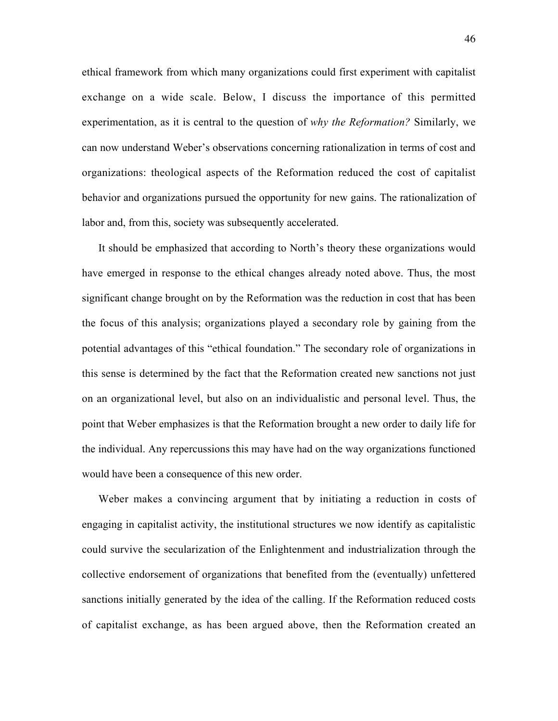ethical framework from which many organizations could first experiment with capitalist exchange on a wide scale. Below, I discuss the importance of this permitted experimentation, as it is central to the question of *why the Reformation?* Similarly, we can now understand Weber's observations concerning rationalization in terms of cost and organizations: theological aspects of the Reformation reduced the cost of capitalist behavior and organizations pursued the opportunity for new gains. The rationalization of labor and, from this, society was subsequently accelerated.

It should be emphasized that according to North's theory these organizations would have emerged in response to the ethical changes already noted above. Thus, the most significant change brought on by the Reformation was the reduction in cost that has been the focus of this analysis; organizations played a secondary role by gaining from the potential advantages of this "ethical foundation." The secondary role of organizations in this sense is determined by the fact that the Reformation created new sanctions not just on an organizational level, but also on an individualistic and personal level. Thus, the point that Weber emphasizes is that the Reformation brought a new order to daily life for the individual. Any repercussions this may have had on the way organizations functioned would have been a consequence of this new order.

Weber makes a convincing argument that by initiating a reduction in costs of engaging in capitalist activity, the institutional structures we now identify as capitalistic could survive the secularization of the Enlightenment and industrialization through the collective endorsement of organizations that benefited from the (eventually) unfettered sanctions initially generated by the idea of the calling. If the Reformation reduced costs of capitalist exchange, as has been argued above, then the Reformation created an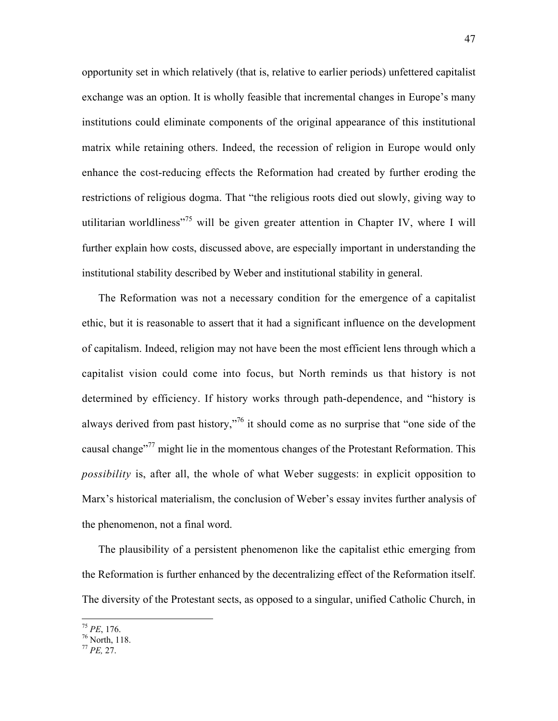opportunity set in which relatively (that is, relative to earlier periods) unfettered capitalist exchange was an option. It is wholly feasible that incremental changes in Europe's many institutions could eliminate components of the original appearance of this institutional matrix while retaining others. Indeed, the recession of religion in Europe would only enhance the cost-reducing effects the Reformation had created by further eroding the restrictions of religious dogma. That "the religious roots died out slowly, giving way to utilitarian worldliness<sup> $275$ </sup> will be given greater attention in Chapter IV, where I will further explain how costs, discussed above, are especially important in understanding the institutional stability described by Weber and institutional stability in general.

The Reformation was not a necessary condition for the emergence of a capitalist ethic, but it is reasonable to assert that it had a significant influence on the development of capitalism. Indeed, religion may not have been the most efficient lens through which a capitalist vision could come into focus, but North reminds us that history is not determined by efficiency. If history works through path-dependence, and "history is always derived from past history,"76 it should come as no surprise that "one side of the causal change<sup>77</sup> might lie in the momentous changes of the Protestant Reformation. This *possibility* is, after all, the whole of what Weber suggests: in explicit opposition to Marx's historical materialism, the conclusion of Weber's essay invites further analysis of the phenomenon, not a final word.

The plausibility of a persistent phenomenon like the capitalist ethic emerging from the Reformation is further enhanced by the decentralizing effect of the Reformation itself. The diversity of the Protestant sects, as opposed to a singular, unified Catholic Church, in

<sup>&</sup>lt;sup>75</sup> *PE*, 176.<br><sup>76</sup> North, 118.

<sup>77</sup> *PE,* 27.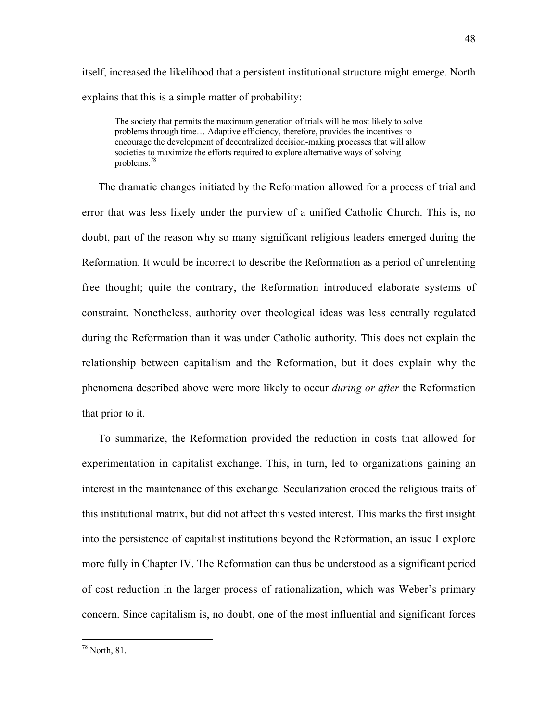itself, increased the likelihood that a persistent institutional structure might emerge. North explains that this is a simple matter of probability:

The society that permits the maximum generation of trials will be most likely to solve problems through time… Adaptive efficiency, therefore, provides the incentives to encourage the development of decentralized decision-making processes that will allow societies to maximize the efforts required to explore alternative ways of solving problems.<sup>78</sup>

The dramatic changes initiated by the Reformation allowed for a process of trial and error that was less likely under the purview of a unified Catholic Church. This is, no doubt, part of the reason why so many significant religious leaders emerged during the Reformation. It would be incorrect to describe the Reformation as a period of unrelenting free thought; quite the contrary, the Reformation introduced elaborate systems of constraint. Nonetheless, authority over theological ideas was less centrally regulated during the Reformation than it was under Catholic authority. This does not explain the relationship between capitalism and the Reformation, but it does explain why the phenomena described above were more likely to occur *during or after* the Reformation that prior to it.

To summarize, the Reformation provided the reduction in costs that allowed for experimentation in capitalist exchange. This, in turn, led to organizations gaining an interest in the maintenance of this exchange. Secularization eroded the religious traits of this institutional matrix, but did not affect this vested interest. This marks the first insight into the persistence of capitalist institutions beyond the Reformation, an issue I explore more fully in Chapter IV. The Reformation can thus be understood as a significant period of cost reduction in the larger process of rationalization, which was Weber's primary concern. Since capitalism is, no doubt, one of the most influential and significant forces

78 North, 81.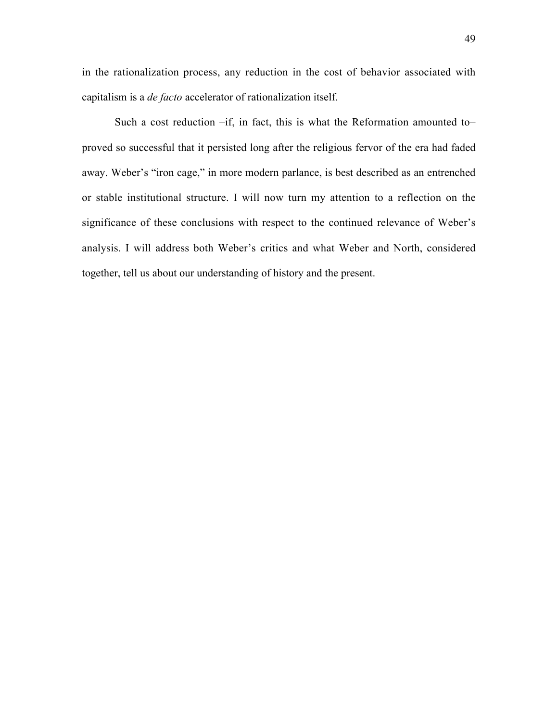in the rationalization process, any reduction in the cost of behavior associated with capitalism is a *de facto* accelerator of rationalization itself.

Such a cost reduction –if, in fact, this is what the Reformation amounted to– proved so successful that it persisted long after the religious fervor of the era had faded away. Weber's "iron cage," in more modern parlance, is best described as an entrenched or stable institutional structure. I will now turn my attention to a reflection on the significance of these conclusions with respect to the continued relevance of Weber's analysis. I will address both Weber's critics and what Weber and North, considered together, tell us about our understanding of history and the present.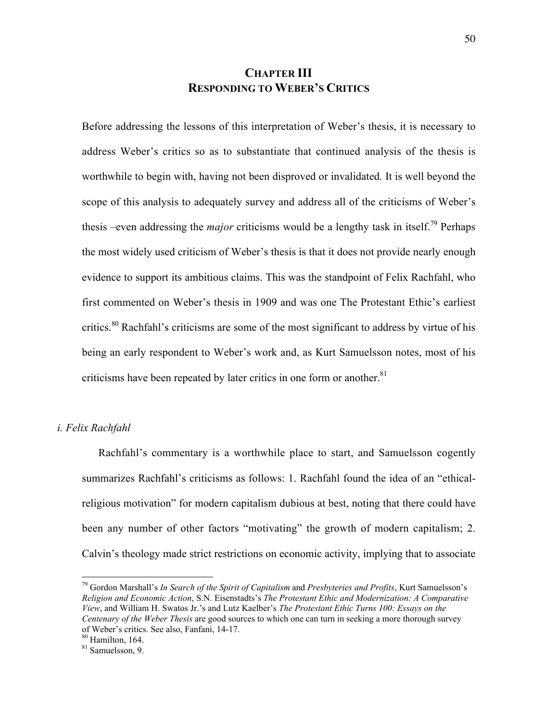## **CHAPTER III RESPONDING TO WEBER'S CRITICS**

Before addressing the lessons of this interpretation of Weber's thesis, it is necessary to address Weber's critics so as to substantiate that continued analysis of the thesis is worthwhile to begin with, having not been disproved or invalidated*.* It is well beyond the scope of this analysis to adequately survey and address all of the criticisms of Weber's thesis –even addressing the *major* criticisms would be a lengthy task in itself.<sup>79</sup> Perhaps the most widely used criticism of Weber's thesis is that it does not provide nearly enough evidence to support its ambitious claims. This was the standpoint of Felix Rachfahl, who first commented on Weber's thesis in 1909 and was one The Protestant Ethic's earliest critics.<sup>80</sup> Rachfahl's criticisms are some of the most significant to address by virtue of his being an early respondent to Weber's work and, as Kurt Samuelsson notes, most of his criticisms have been repeated by later critics in one form or another. $81$ 

*i. Felix Rachfahl*

Rachfahl's commentary is a worthwhile place to start, and Samuelsson cogently summarizes Rachfahl's criticisms as follows: 1. Rachfahl found the idea of an "ethicalreligious motivation" for modern capitalism dubious at best, noting that there could have been any number of other factors "motivating" the growth of modern capitalism; 2. Calvin's theology made strict restrictions on economic activity, implying that to associate

79 Gordon Marshall's *In Search of the Spirit of Capitalism* and *Presbyteries and Profits*, Kurt Samuelsson's *Religion and Economic Action*, S.N. Eisenstadts's *The Protestant Ethic and Modernization: A Comparative View*, and William H. Swatos Jr.'s and Lutz Kaelber's *The Protestant Ethic Turns 100: Essays on the Centenary of the Weber Thesis* are good sources to which one can turn in seeking a more thorough survey of Weber's critics. See also, Fanfani, 14-17.

<sup>&</sup>lt;sup>80</sup> Hamilton, 164.

<sup>&</sup>lt;sup>81</sup> Samuelsson, 9.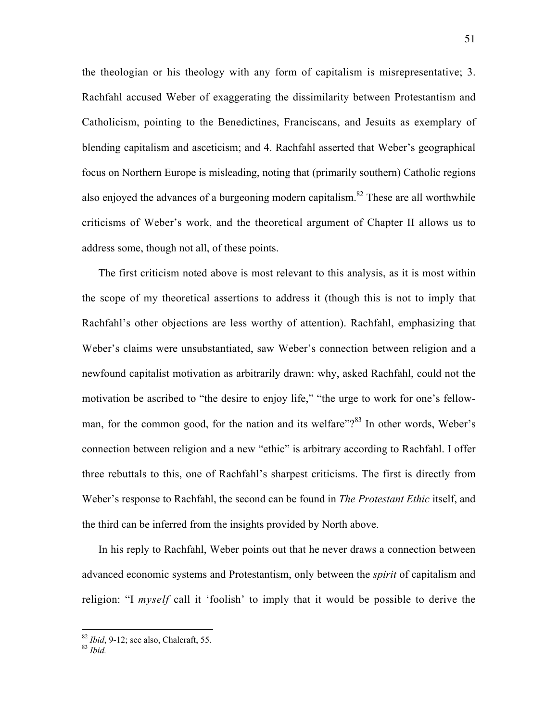the theologian or his theology with any form of capitalism is misrepresentative; 3. Rachfahl accused Weber of exaggerating the dissimilarity between Protestantism and Catholicism, pointing to the Benedictines, Franciscans, and Jesuits as exemplary of blending capitalism and asceticism; and 4. Rachfahl asserted that Weber's geographical focus on Northern Europe is misleading, noting that (primarily southern) Catholic regions also enjoyed the advances of a burgeoning modern capitalism.<sup>82</sup> These are all worthwhile criticisms of Weber's work, and the theoretical argument of Chapter II allows us to address some, though not all, of these points.

The first criticism noted above is most relevant to this analysis, as it is most within the scope of my theoretical assertions to address it (though this is not to imply that Rachfahl's other objections are less worthy of attention). Rachfahl, emphasizing that Weber's claims were unsubstantiated, saw Weber's connection between religion and a newfound capitalist motivation as arbitrarily drawn: why, asked Rachfahl, could not the motivation be ascribed to "the desire to enjoy life," "the urge to work for one's fellowman, for the common good, for the nation and its welfare"? $83$  In other words, Weber's connection between religion and a new "ethic" is arbitrary according to Rachfahl. I offer three rebuttals to this, one of Rachfahl's sharpest criticisms. The first is directly from Weber's response to Rachfahl, the second can be found in *The Protestant Ethic* itself, and the third can be inferred from the insights provided by North above.

In his reply to Rachfahl, Weber points out that he never draws a connection between advanced economic systems and Protestantism, only between the *spirit* of capitalism and religion: "I *myself* call it 'foolish' to imply that it would be possible to derive the

<sup>82</sup> *Ibid*, 9-12; see also, Chalcraft, 55. <sup>83</sup> *Ibid.*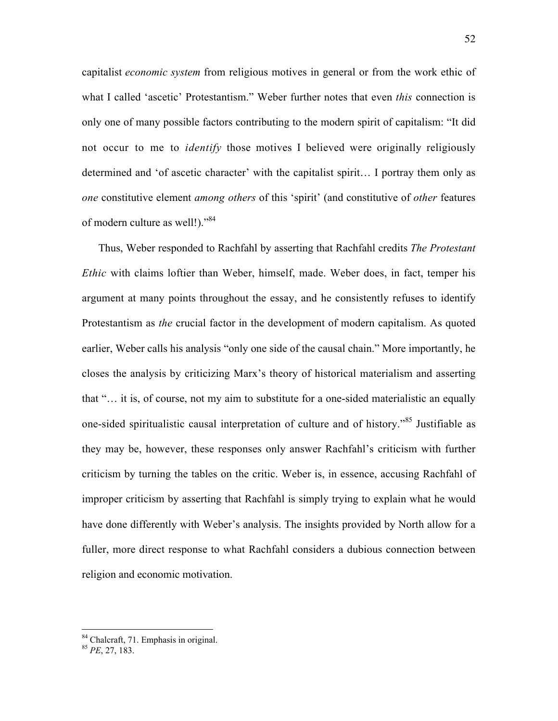capitalist *economic system* from religious motives in general or from the work ethic of what I called 'ascetic' Protestantism." Weber further notes that even *this* connection is only one of many possible factors contributing to the modern spirit of capitalism: "It did not occur to me to *identify* those motives I believed were originally religiously determined and 'of ascetic character' with the capitalist spirit… I portray them only as *one* constitutive element *among others* of this 'spirit' (and constitutive of *other* features of modern culture as well!)."<sup>84</sup>

Thus, Weber responded to Rachfahl by asserting that Rachfahl credits *The Protestant Ethic* with claims loftier than Weber, himself, made. Weber does, in fact, temper his argument at many points throughout the essay, and he consistently refuses to identify Protestantism as *the* crucial factor in the development of modern capitalism. As quoted earlier, Weber calls his analysis "only one side of the causal chain." More importantly, he closes the analysis by criticizing Marx's theory of historical materialism and asserting that "… it is, of course, not my aim to substitute for a one-sided materialistic an equally one-sided spiritualistic causal interpretation of culture and of history."<sup>85</sup> Justifiable as they may be, however, these responses only answer Rachfahl's criticism with further criticism by turning the tables on the critic. Weber is, in essence, accusing Rachfahl of improper criticism by asserting that Rachfahl is simply trying to explain what he would have done differently with Weber's analysis. The insights provided by North allow for a fuller, more direct response to what Rachfahl considers a dubious connection between religion and economic motivation.

84 Chalcraft, 71. Emphasis in original.

<sup>85</sup> *PE*, 27, 183.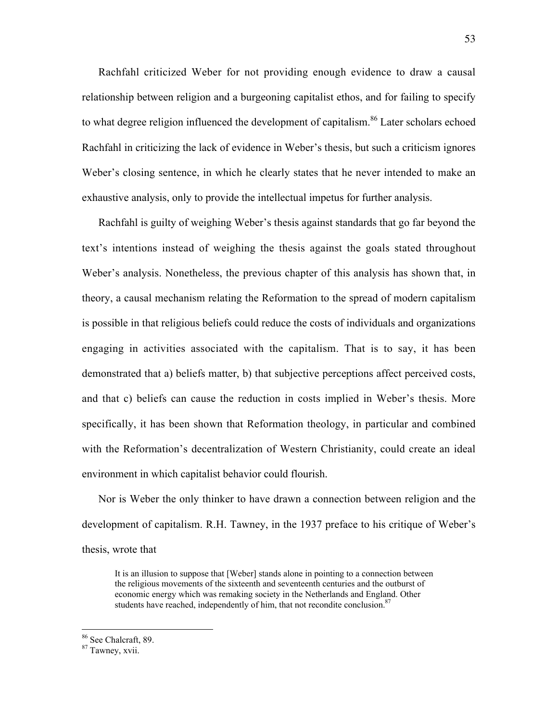Rachfahl criticized Weber for not providing enough evidence to draw a causal relationship between religion and a burgeoning capitalist ethos, and for failing to specify to what degree religion influenced the development of capitalism.<sup>86</sup> Later scholars echoed Rachfahl in criticizing the lack of evidence in Weber's thesis, but such a criticism ignores Weber's closing sentence, in which he clearly states that he never intended to make an exhaustive analysis, only to provide the intellectual impetus for further analysis.

Rachfahl is guilty of weighing Weber's thesis against standards that go far beyond the text's intentions instead of weighing the thesis against the goals stated throughout Weber's analysis. Nonetheless, the previous chapter of this analysis has shown that, in theory, a causal mechanism relating the Reformation to the spread of modern capitalism is possible in that religious beliefs could reduce the costs of individuals and organizations engaging in activities associated with the capitalism. That is to say, it has been demonstrated that a) beliefs matter, b) that subjective perceptions affect perceived costs, and that c) beliefs can cause the reduction in costs implied in Weber's thesis. More specifically, it has been shown that Reformation theology, in particular and combined with the Reformation's decentralization of Western Christianity, could create an ideal environment in which capitalist behavior could flourish.

Nor is Weber the only thinker to have drawn a connection between religion and the development of capitalism. R.H. Tawney, in the 1937 preface to his critique of Weber's thesis, wrote that

It is an illusion to suppose that [Weber] stands alone in pointing to a connection between the religious movements of the sixteenth and seventeenth centuries and the outburst of economic energy which was remaking society in the Netherlands and England. Other students have reached, independently of him, that not recondite conclusion.<sup>87</sup>

86 See Chalcraft, 89.

<sup>87</sup> Tawney, xvii.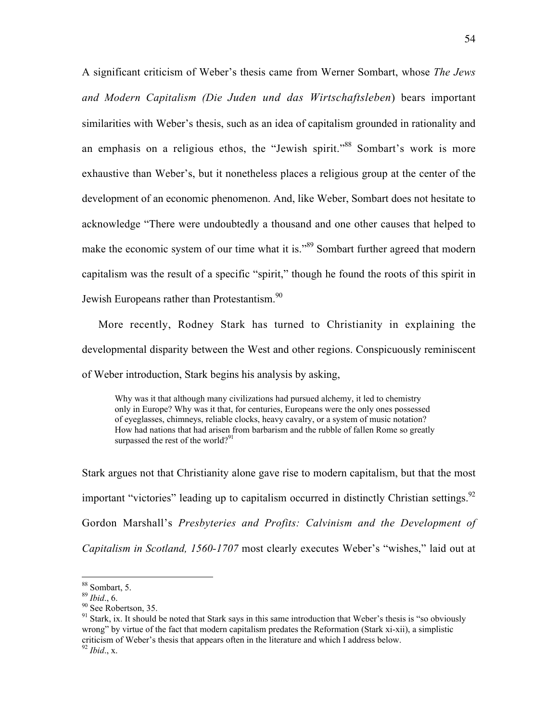A significant criticism of Weber's thesis came from Werner Sombart, whose *The Jews and Modern Capitalism (Die Juden und das Wirtschaftsleben*) bears important similarities with Weber's thesis, such as an idea of capitalism grounded in rationality and an emphasis on a religious ethos, the "Jewish spirit."<sup>88</sup> Sombart's work is more exhaustive than Weber's, but it nonetheless places a religious group at the center of the development of an economic phenomenon. And, like Weber, Sombart does not hesitate to acknowledge "There were undoubtedly a thousand and one other causes that helped to make the economic system of our time what it is."<sup>89</sup> Sombart further agreed that modern capitalism was the result of a specific "spirit," though he found the roots of this spirit in Jewish Europeans rather than Protestantism.<sup>90</sup>

More recently, Rodney Stark has turned to Christianity in explaining the developmental disparity between the West and other regions. Conspicuously reminiscent of Weber introduction, Stark begins his analysis by asking,

Why was it that although many civilizations had pursued alchemy, it led to chemistry only in Europe? Why was it that, for centuries, Europeans were the only ones possessed of eyeglasses, chimneys, reliable clocks, heavy cavalry, or a system of music notation? How had nations that had arisen from barbarism and the rubble of fallen Rome so greatly surpassed the rest of the world? $91$ 

Stark argues not that Christianity alone gave rise to modern capitalism, but that the most important "victories" leading up to capitalism occurred in distinctly Christian settings.<sup>92</sup> Gordon Marshall's *Presbyteries and Profits: Calvinism and the Development of Capitalism in Scotland, 1560-1707* most clearly executes Weber's "wishes," laid out at

88 Sombart, 5.

 $89$  *Ibid.*, 6.

<sup>&</sup>lt;sup>90</sup> See Robertson, 35.

<sup>&</sup>lt;sup>91</sup> Stark, ix. It should be noted that Stark says in this same introduction that Weber's thesis is "so obviously wrong" by virtue of the fact that modern capitalism predates the Reformation (Stark xi-xii), a simplistic criticism of Weber's thesis that appears often in the literature and which I address below. <sup>92</sup> *Ibid*., x.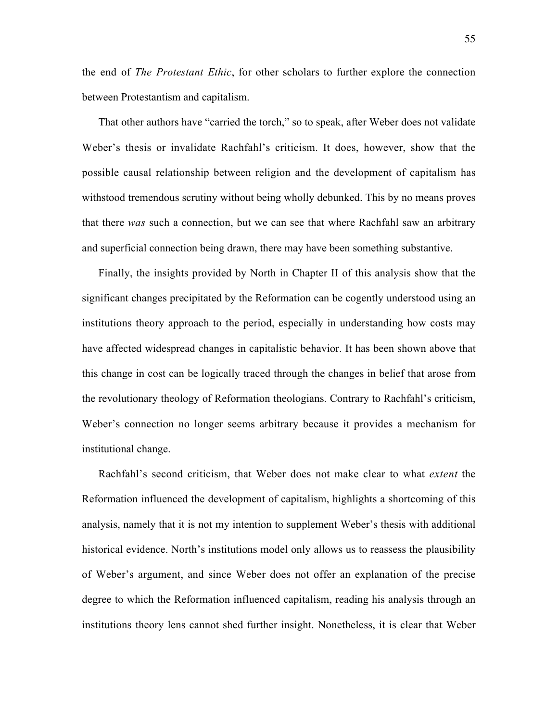the end of *The Protestant Ethic*, for other scholars to further explore the connection between Protestantism and capitalism.

That other authors have "carried the torch," so to speak, after Weber does not validate Weber's thesis or invalidate Rachfahl's criticism. It does, however, show that the possible causal relationship between religion and the development of capitalism has withstood tremendous scrutiny without being wholly debunked. This by no means proves that there *was* such a connection, but we can see that where Rachfahl saw an arbitrary and superficial connection being drawn, there may have been something substantive.

Finally, the insights provided by North in Chapter II of this analysis show that the significant changes precipitated by the Reformation can be cogently understood using an institutions theory approach to the period, especially in understanding how costs may have affected widespread changes in capitalistic behavior. It has been shown above that this change in cost can be logically traced through the changes in belief that arose from the revolutionary theology of Reformation theologians. Contrary to Rachfahl's criticism, Weber's connection no longer seems arbitrary because it provides a mechanism for institutional change.

Rachfahl's second criticism, that Weber does not make clear to what *extent* the Reformation influenced the development of capitalism, highlights a shortcoming of this analysis, namely that it is not my intention to supplement Weber's thesis with additional historical evidence. North's institutions model only allows us to reassess the plausibility of Weber's argument, and since Weber does not offer an explanation of the precise degree to which the Reformation influenced capitalism, reading his analysis through an institutions theory lens cannot shed further insight. Nonetheless, it is clear that Weber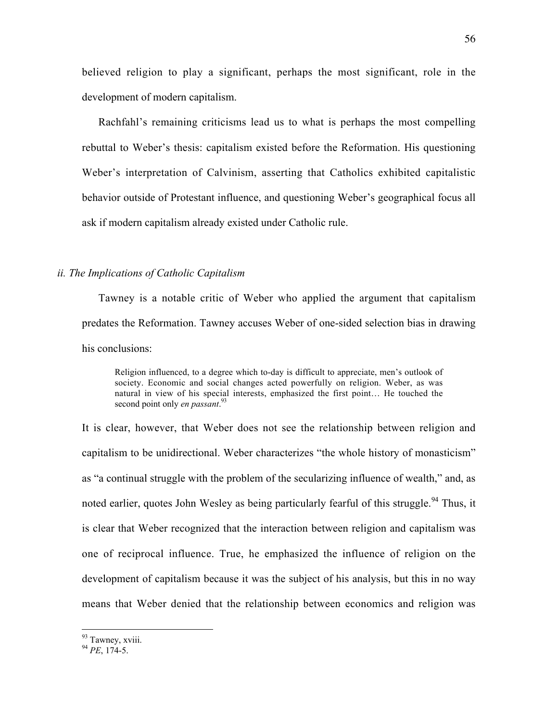believed religion to play a significant, perhaps the most significant, role in the development of modern capitalism.

Rachfahl's remaining criticisms lead us to what is perhaps the most compelling rebuttal to Weber's thesis: capitalism existed before the Reformation. His questioning Weber's interpretation of Calvinism, asserting that Catholics exhibited capitalistic behavior outside of Protestant influence, and questioning Weber's geographical focus all ask if modern capitalism already existed under Catholic rule.

## *ii. The Implications of Catholic Capitalism*

Tawney is a notable critic of Weber who applied the argument that capitalism predates the Reformation. Tawney accuses Weber of one-sided selection bias in drawing his conclusions:

Religion influenced, to a degree which to-day is difficult to appreciate, men's outlook of society. Economic and social changes acted powerfully on religion. Weber, as was natural in view of his special interests, emphasized the first point… He touched the second point only *en passant*. 93

It is clear, however, that Weber does not see the relationship between religion and capitalism to be unidirectional. Weber characterizes "the whole history of monasticism" as "a continual struggle with the problem of the secularizing influence of wealth," and, as noted earlier, quotes John Wesley as being particularly fearful of this struggle.<sup>94</sup> Thus, it is clear that Weber recognized that the interaction between religion and capitalism was one of reciprocal influence. True, he emphasized the influence of religion on the development of capitalism because it was the subject of his analysis, but this in no way means that Weber denied that the relationship between economics and religion was

<sup>&</sup>lt;sup>93</sup> Tawney, xviii.

<sup>94</sup> *PE*, 174-5.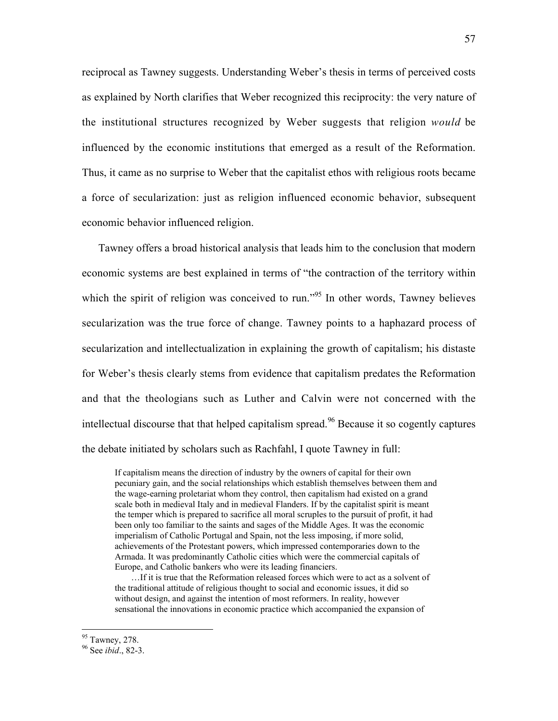reciprocal as Tawney suggests. Understanding Weber's thesis in terms of perceived costs as explained by North clarifies that Weber recognized this reciprocity: the very nature of the institutional structures recognized by Weber suggests that religion *would* be influenced by the economic institutions that emerged as a result of the Reformation. Thus, it came as no surprise to Weber that the capitalist ethos with religious roots became a force of secularization: just as religion influenced economic behavior, subsequent economic behavior influenced religion.

Tawney offers a broad historical analysis that leads him to the conclusion that modern economic systems are best explained in terms of "the contraction of the territory within which the spirit of religion was conceived to run."<sup>95</sup> In other words, Tawney believes secularization was the true force of change. Tawney points to a haphazard process of secularization and intellectualization in explaining the growth of capitalism; his distaste for Weber's thesis clearly stems from evidence that capitalism predates the Reformation and that the theologians such as Luther and Calvin were not concerned with the intellectual discourse that that helped capitalism spread.<sup>96</sup> Because it so cogently captures the debate initiated by scholars such as Rachfahl, I quote Tawney in full:

If capitalism means the direction of industry by the owners of capital for their own pecuniary gain, and the social relationships which establish themselves between them and the wage-earning proletariat whom they control, then capitalism had existed on a grand scale both in medieval Italy and in medieval Flanders. If by the capitalist spirit is meant the temper which is prepared to sacrifice all moral scruples to the pursuit of profit, it had been only too familiar to the saints and sages of the Middle Ages. It was the economic imperialism of Catholic Portugal and Spain, not the less imposing, if more solid, achievements of the Protestant powers, which impressed contemporaries down to the Armada. It was predominantly Catholic cities which were the commercial capitals of Europe, and Catholic bankers who were its leading financiers.

…If it is true that the Reformation released forces which were to act as a solvent of the traditional attitude of religious thought to social and economic issues, it did so without design, and against the intention of most reformers. In reality, however sensational the innovations in economic practice which accompanied the expansion of

<sup>&</sup>lt;sup>95</sup> Tawney, 278.

<sup>96</sup> See *ibid*., 82-3.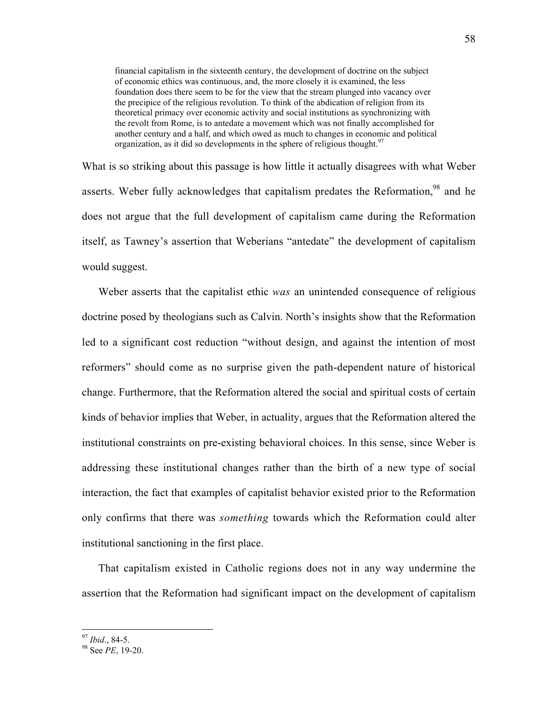financial capitalism in the sixteenth century, the development of doctrine on the subject of economic ethics was continuous, and, the more closely it is examined, the less foundation does there seem to be for the view that the stream plunged into vacancy over the precipice of the religious revolution. To think of the abdication of religion from its theoretical primacy over economic activity and social institutions as synchronizing with the revolt from Rome, is to antedate a movement which was not finally accomplished for another century and a half, and which owed as much to changes in economic and political organization, as it did so developments in the sphere of religious thought.<sup>97</sup>

What is so striking about this passage is how little it actually disagrees with what Weber asserts. Weber fully acknowledges that capitalism predates the Reformation,  $98$  and he does not argue that the full development of capitalism came during the Reformation itself, as Tawney's assertion that Weberians "antedate" the development of capitalism would suggest.

Weber asserts that the capitalist ethic *was* an unintended consequence of religious doctrine posed by theologians such as Calvin. North's insights show that the Reformation led to a significant cost reduction "without design, and against the intention of most reformers" should come as no surprise given the path-dependent nature of historical change. Furthermore, that the Reformation altered the social and spiritual costs of certain kinds of behavior implies that Weber, in actuality, argues that the Reformation altered the institutional constraints on pre-existing behavioral choices. In this sense, since Weber is addressing these institutional changes rather than the birth of a new type of social interaction, the fact that examples of capitalist behavior existed prior to the Reformation only confirms that there was *something* towards which the Reformation could alter institutional sanctioning in the first place.

That capitalism existed in Catholic regions does not in any way undermine the assertion that the Reformation had significant impact on the development of capitalism

 $97$  *Ibid.*, 84-5.

See *PE*, 19-20.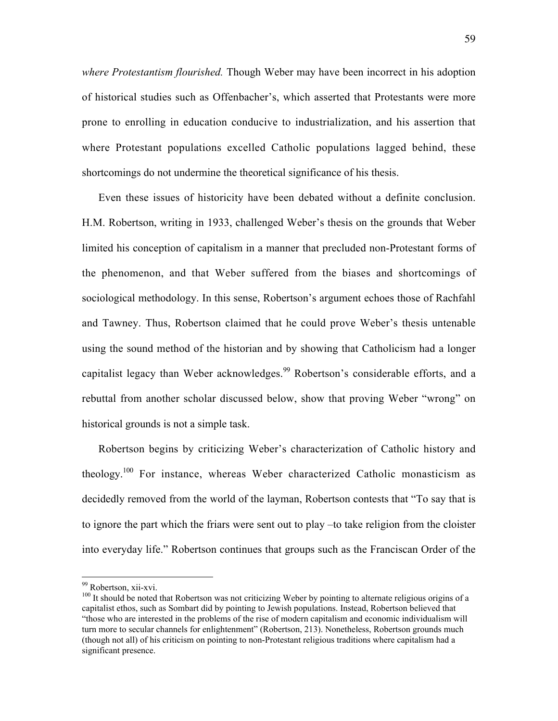*where Protestantism flourished.* Though Weber may have been incorrect in his adoption of historical studies such as Offenbacher's, which asserted that Protestants were more prone to enrolling in education conducive to industrialization, and his assertion that where Protestant populations excelled Catholic populations lagged behind, these shortcomings do not undermine the theoretical significance of his thesis.

Even these issues of historicity have been debated without a definite conclusion. H.M. Robertson, writing in 1933, challenged Weber's thesis on the grounds that Weber limited his conception of capitalism in a manner that precluded non-Protestant forms of the phenomenon, and that Weber suffered from the biases and shortcomings of sociological methodology. In this sense, Robertson's argument echoes those of Rachfahl and Tawney. Thus, Robertson claimed that he could prove Weber's thesis untenable using the sound method of the historian and by showing that Catholicism had a longer capitalist legacy than Weber acknowledges.<sup>99</sup> Robertson's considerable efforts, and a rebuttal from another scholar discussed below, show that proving Weber "wrong" on historical grounds is not a simple task.

Robertson begins by criticizing Weber's characterization of Catholic history and theology.<sup>100</sup> For instance, whereas Weber characterized Catholic monasticism as decidedly removed from the world of the layman, Robertson contests that "To say that is to ignore the part which the friars were sent out to play –to take religion from the cloister into everyday life." Robertson continues that groups such as the Franciscan Order of the

<sup>&</sup>lt;sup>99</sup> Robertson, xii-xvi.

 $100$  It should be noted that Robertson was not criticizing Weber by pointing to alternate religious origins of a capitalist ethos, such as Sombart did by pointing to Jewish populations. Instead, Robertson believed that "those who are interested in the problems of the rise of modern capitalism and economic individualism will turn more to secular channels for enlightenment" (Robertson, 213). Nonetheless, Robertson grounds much (though not all) of his criticism on pointing to non-Protestant religious traditions where capitalism had a significant presence.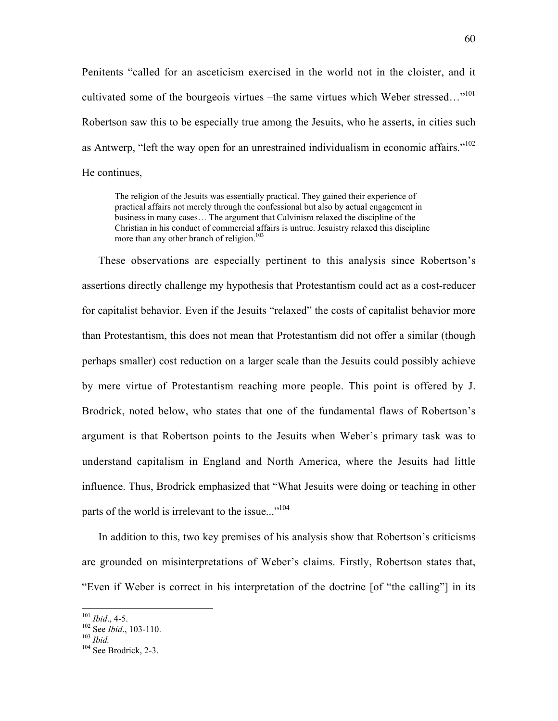Penitents "called for an asceticism exercised in the world not in the cloister, and it cultivated some of the bourgeois virtues –the same virtues which Weber stressed..."<sup>101</sup> Robertson saw this to be especially true among the Jesuits, who he asserts, in cities such as Antwerp, "left the way open for an unrestrained individualism in economic affairs."<sup>102</sup> He continues,

The religion of the Jesuits was essentially practical. They gained their experience of practical affairs not merely through the confessional but also by actual engagement in business in many cases… The argument that Calvinism relaxed the discipline of the Christian in his conduct of commercial affairs is untrue. Jesuistry relaxed this discipline more than any other branch of religion.<sup>103</sup>

These observations are especially pertinent to this analysis since Robertson's assertions directly challenge my hypothesis that Protestantism could act as a cost-reducer for capitalist behavior. Even if the Jesuits "relaxed" the costs of capitalist behavior more than Protestantism, this does not mean that Protestantism did not offer a similar (though perhaps smaller) cost reduction on a larger scale than the Jesuits could possibly achieve by mere virtue of Protestantism reaching more people. This point is offered by J. Brodrick, noted below, who states that one of the fundamental flaws of Robertson's argument is that Robertson points to the Jesuits when Weber's primary task was to understand capitalism in England and North America, where the Jesuits had little influence. Thus, Brodrick emphasized that "What Jesuits were doing or teaching in other parts of the world is irrelevant to the issue..."<sup>104</sup>

In addition to this, two key premises of his analysis show that Robertson's criticisms are grounded on misinterpretations of Weber's claims. Firstly, Robertson states that, "Even if Weber is correct in his interpretation of the doctrine [of "the calling"] in its

 $101$  *Ibid.*, 4-5.

<sup>&</sup>lt;sup>102</sup> See *Ibid.*, 103-110.<br><sup>103</sup> *Ibid.* 

 $104$  See Brodrick, 2-3.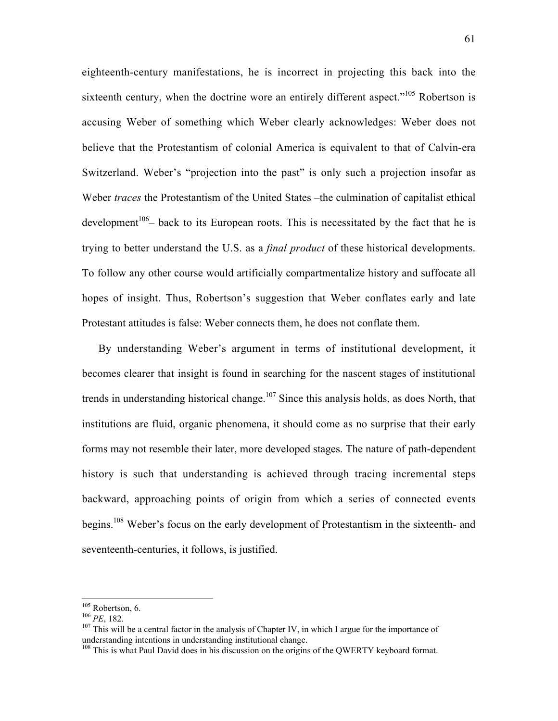eighteenth-century manifestations, he is incorrect in projecting this back into the sixteenth century, when the doctrine wore an entirely different aspect."<sup>105</sup> Robertson is accusing Weber of something which Weber clearly acknowledges: Weber does not believe that the Protestantism of colonial America is equivalent to that of Calvin-era Switzerland. Weber's "projection into the past" is only such a projection insofar as Weber *traces* the Protestantism of the United States –the culmination of capitalist ethical development<sup>106</sup> – back to its European roots. This is necessitated by the fact that he is trying to better understand the U.S. as a *final product* of these historical developments. To follow any other course would artificially compartmentalize history and suffocate all hopes of insight. Thus, Robertson's suggestion that Weber conflates early and late Protestant attitudes is false: Weber connects them, he does not conflate them.

By understanding Weber's argument in terms of institutional development, it becomes clearer that insight is found in searching for the nascent stages of institutional trends in understanding historical change.<sup>107</sup> Since this analysis holds, as does North, that institutions are fluid, organic phenomena, it should come as no surprise that their early forms may not resemble their later, more developed stages. The nature of path-dependent history is such that understanding is achieved through tracing incremental steps backward, approaching points of origin from which a series of connected events begins.108 Weber's focus on the early development of Protestantism in the sixteenth- and seventeenth-centuries, it follows, is justified.

 $\frac{105}{105}$ <sup>105</sup> Robertson, 6.<br><sup>106</sup> *PE*, 182.<br><sup>107</sup> This will be a

 $107$  This will be a central factor in the analysis of Chapter IV, in which I argue for the importance of understanding intentions in understanding institutional change.

<sup>&</sup>lt;sup>108</sup> This is what Paul David does in his discussion on the origins of the QWERTY keyboard format.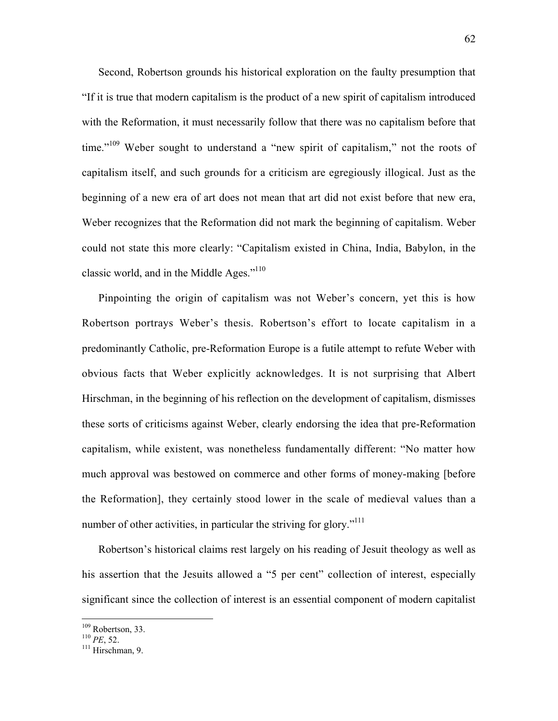Second, Robertson grounds his historical exploration on the faulty presumption that "If it is true that modern capitalism is the product of a new spirit of capitalism introduced with the Reformation, it must necessarily follow that there was no capitalism before that time."<sup>109</sup> Weber sought to understand a "new spirit of capitalism," not the roots of capitalism itself, and such grounds for a criticism are egregiously illogical. Just as the beginning of a new era of art does not mean that art did not exist before that new era, Weber recognizes that the Reformation did not mark the beginning of capitalism. Weber could not state this more clearly: "Capitalism existed in China, India, Babylon, in the classic world, and in the Middle Ages." $110$ 

Pinpointing the origin of capitalism was not Weber's concern, yet this is how Robertson portrays Weber's thesis. Robertson's effort to locate capitalism in a predominantly Catholic, pre-Reformation Europe is a futile attempt to refute Weber with obvious facts that Weber explicitly acknowledges. It is not surprising that Albert Hirschman, in the beginning of his reflection on the development of capitalism, dismisses these sorts of criticisms against Weber, clearly endorsing the idea that pre-Reformation capitalism, while existent, was nonetheless fundamentally different: "No matter how much approval was bestowed on commerce and other forms of money-making [before the Reformation], they certainly stood lower in the scale of medieval values than a number of other activities, in particular the striving for glory."<sup>111</sup>

Robertson's historical claims rest largely on his reading of Jesuit theology as well as his assertion that the Jesuits allowed a "5 per cent" collection of interest, especially significant since the collection of interest is an essential component of modern capitalist

<sup>&</sup>lt;sup>109</sup> <sup>109</sup> Robertson, 33.<br><sup>110</sup> *PE*, 52.<br><sup>111</sup> Hirschman, 0.

 $111$  Hirschman, 9.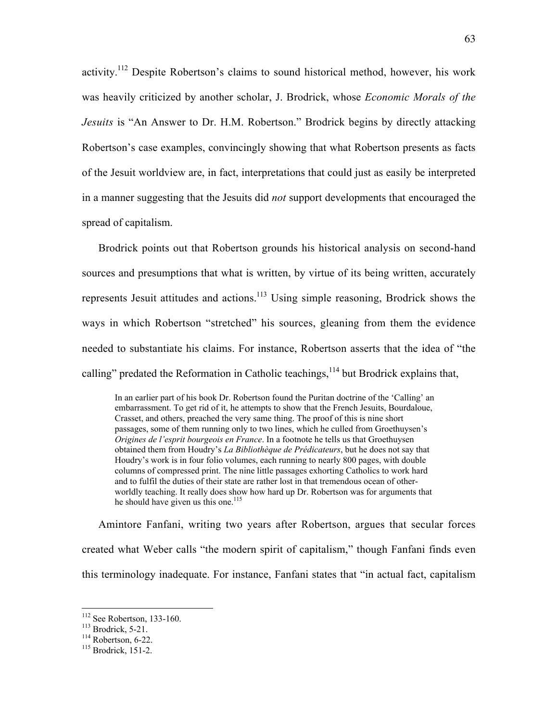activity.112 Despite Robertson's claims to sound historical method, however, his work was heavily criticized by another scholar, J. Brodrick, whose *Economic Morals of the Jesuits* is "An Answer to Dr. H.M. Robertson." Brodrick begins by directly attacking Robertson's case examples, convincingly showing that what Robertson presents as facts of the Jesuit worldview are, in fact, interpretations that could just as easily be interpreted in a manner suggesting that the Jesuits did *not* support developments that encouraged the spread of capitalism.

Brodrick points out that Robertson grounds his historical analysis on second-hand sources and presumptions that what is written, by virtue of its being written, accurately represents Jesuit attitudes and actions.<sup>113</sup> Using simple reasoning, Brodrick shows the ways in which Robertson "stretched" his sources, gleaning from them the evidence needed to substantiate his claims. For instance, Robertson asserts that the idea of "the calling" predated the Reformation in Catholic teachings,  $114$  but Brodrick explains that,

In an earlier part of his book Dr. Robertson found the Puritan doctrine of the 'Calling' an embarrassment. To get rid of it, he attempts to show that the French Jesuits, Bourdaloue, Crasset, and others, preached the very same thing. The proof of this is nine short passages, some of them running only to two lines, which he culled from Groethuysen's *Origines de l'esprit bourgeois en France*. In a footnote he tells us that Groethuysen obtained them from Houdry's *La Bibliothèque de Prédicateurs*, but he does not say that Houdry's work is in four folio volumes, each running to nearly 800 pages, with double columns of compressed print. The nine little passages exhorting Catholics to work hard and to fulfil the duties of their state are rather lost in that tremendous ocean of otherworldly teaching. It really does show how hard up Dr. Robertson was for arguments that he should have given us this one. $115$ 

Amintore Fanfani, writing two years after Robertson, argues that secular forces created what Weber calls "the modern spirit of capitalism," though Fanfani finds even this terminology inadequate. For instance, Fanfani states that "in actual fact, capitalism

 $\frac{1}{112}$  $\frac{112}{113}$  See Robertson, 133-160.

 $113$  Brodrick, 5-21.

 $114$  Robertson, 6-22.

 $115$  Brodrick, 151-2.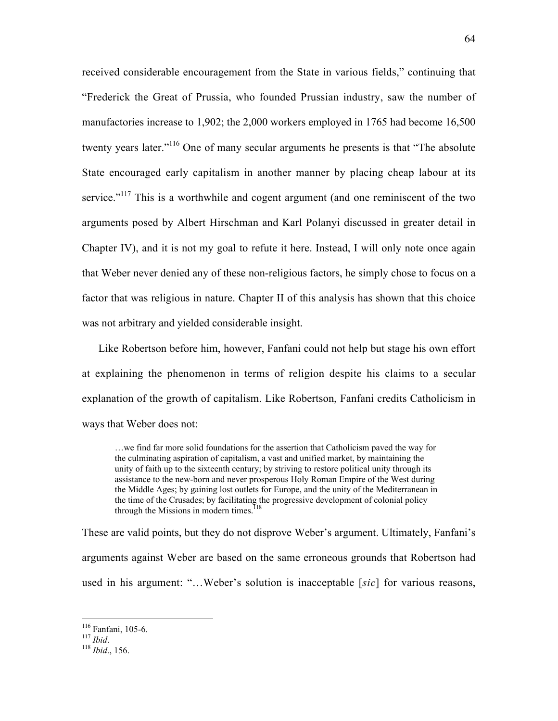received considerable encouragement from the State in various fields," continuing that "Frederick the Great of Prussia, who founded Prussian industry, saw the number of manufactories increase to 1,902; the 2,000 workers employed in 1765 had become 16,500 twenty years later."<sup>116</sup> One of many secular arguments he presents is that "The absolute" State encouraged early capitalism in another manner by placing cheap labour at its service."<sup>117</sup> This is a worthwhile and cogent argument (and one reminiscent of the two arguments posed by Albert Hirschman and Karl Polanyi discussed in greater detail in Chapter IV), and it is not my goal to refute it here. Instead, I will only note once again that Weber never denied any of these non-religious factors, he simply chose to focus on a factor that was religious in nature. Chapter II of this analysis has shown that this choice was not arbitrary and yielded considerable insight.

Like Robertson before him, however, Fanfani could not help but stage his own effort at explaining the phenomenon in terms of religion despite his claims to a secular explanation of the growth of capitalism. Like Robertson, Fanfani credits Catholicism in ways that Weber does not:

…we find far more solid foundations for the assertion that Catholicism paved the way for the culminating aspiration of capitalism, a vast and unified market, by maintaining the unity of faith up to the sixteenth century; by striving to restore political unity through its assistance to the new-born and never prosperous Holy Roman Empire of the West during the Middle Ages; by gaining lost outlets for Europe, and the unity of the Mediterranean in the time of the Crusades; by facilitating the progressive development of colonial policy<br>through the Missions in modern times  $^{118}$ through the Missions in modern times.

These are valid points, but they do not disprove Weber's argument. Ultimately, Fanfani's arguments against Weber are based on the same erroneous grounds that Robertson had used in his argument: "…Weber's solution is inacceptable [*sic*] for various reasons,

<sup>&</sup>lt;sup>116</sup> Fanfani, 105-6.

Fanfani, 105-6. <sup>117</sup> *Ibid*. <sup>118</sup> *Ibid*., 156.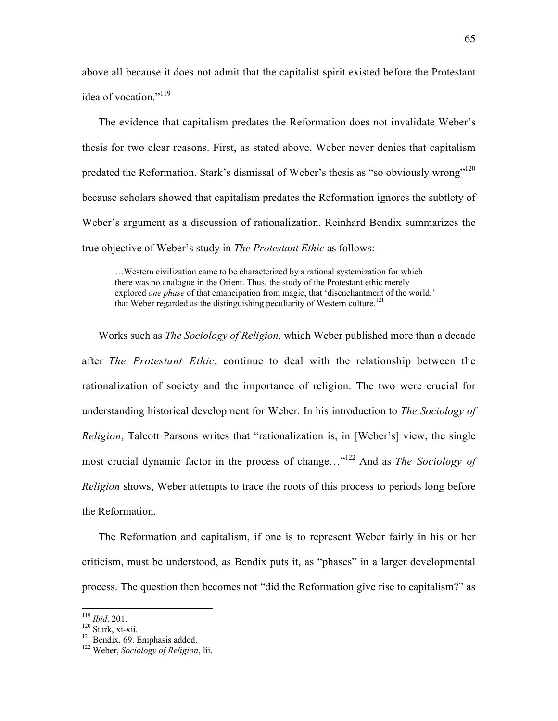above all because it does not admit that the capitalist spirit existed before the Protestant idea of vocation."<sup>119</sup>

The evidence that capitalism predates the Reformation does not invalidate Weber's thesis for two clear reasons. First, as stated above, Weber never denies that capitalism predated the Reformation. Stark's dismissal of Weber's thesis as "so obviously wrong"<sup>120</sup> because scholars showed that capitalism predates the Reformation ignores the subtlety of Weber's argument as a discussion of rationalization. Reinhard Bendix summarizes the true objective of Weber's study in *The Protestant Ethic* as follows:

…Western civilization came to be characterized by a rational systemization for which there was no analogue in the Orient. Thus, the study of the Protestant ethic merely explored *one phase* of that emancipation from magic, that 'disenchantment of the world,' that Weber regarded as the distinguishing peculiarity of Western culture.<sup>121</sup>

Works such as *The Sociology of Religion*, which Weber published more than a decade after *The Protestant Ethic*, continue to deal with the relationship between the rationalization of society and the importance of religion. The two were crucial for understanding historical development for Weber. In his introduction to *The Sociology of Religion*, Talcott Parsons writes that "rationalization is, in [Weber's] view, the single most crucial dynamic factor in the process of change…"122 And as *The Sociology of Religion* shows, Weber attempts to trace the roots of this process to periods long before the Reformation.

The Reformation and capitalism, if one is to represent Weber fairly in his or her criticism, must be understood, as Bendix puts it, as "phases" in a larger developmental process. The question then becomes not "did the Reformation give rise to capitalism?" as

<sup>&</sup>lt;sup>119</sup> *Ibid.* 201.

 $120$  Stark, xi-xii.

 $121$  Bendix, 69. Emphasis added.

Weber, *Sociology of Religion*, lii.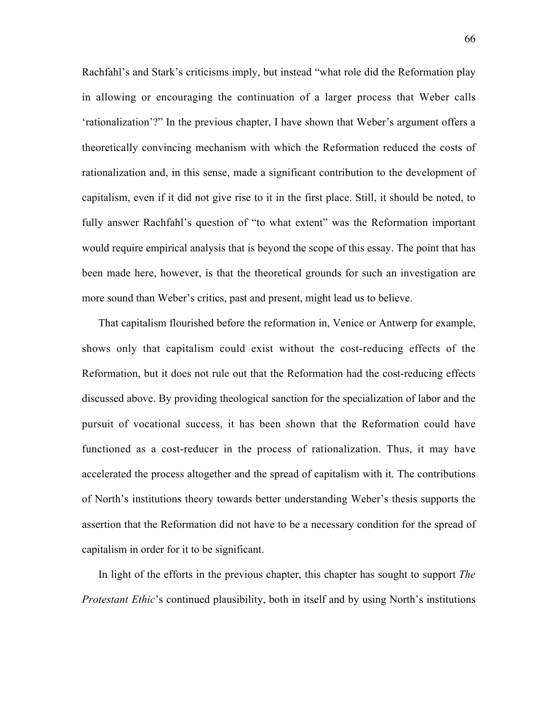Rachfahl's and Stark's criticisms imply, but instead "what role did the Reformation play in allowing or encouraging the continuation of a larger process that Weber calls 'rationalization'?" In the previous chapter, I have shown that Weber's argument offers a theoretically convincing mechanism with which the Reformation reduced the costs of rationalization and, in this sense, made a significant contribution to the development of capitalism, even if it did not give rise to it in the first place. Still, it should be noted, to fully answer Rachfahl's question of "to what extent" was the Reformation important would require empirical analysis that is beyond the scope of this essay. The point that has been made here, however, is that the theoretical grounds for such an investigation are more sound than Weber's critics, past and present, might lead us to believe.

That capitalism flourished before the reformation in, Venice or Antwerp for example, shows only that capitalism could exist without the cost-reducing effects of the Reformation, but it does not rule out that the Reformation had the cost-reducing effects discussed above. By providing theological sanction for the specialization of labor and the pursuit of vocational success, it has been shown that the Reformation could have functioned as a cost-reducer in the process of rationalization. Thus, it may have accelerated the process altogether and the spread of capitalism with it. The contributions of North's institutions theory towards better understanding Weber's thesis supports the assertion that the Reformation did not have to be a necessary condition for the spread of capitalism in order for it to be significant.

In light of the efforts in the previous chapter, this chapter has sought to support *The Protestant Ethic*'s continued plausibility, both in itself and by using North's institutions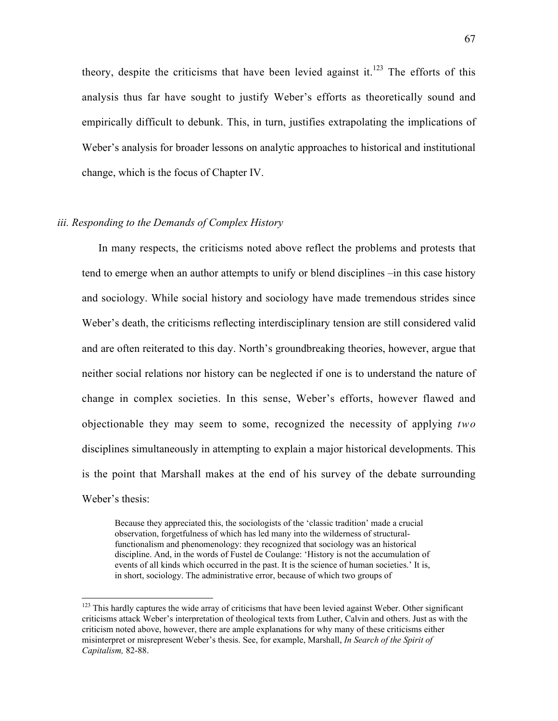theory, despite the criticisms that have been levied against it.<sup>123</sup> The efforts of this analysis thus far have sought to justify Weber's efforts as theoretically sound and empirically difficult to debunk. This, in turn, justifies extrapolating the implications of Weber's analysis for broader lessons on analytic approaches to historical and institutional change, which is the focus of Chapter IV.

## *iii. Responding to the Demands of Complex History*

In many respects, the criticisms noted above reflect the problems and protests that tend to emerge when an author attempts to unify or blend disciplines –in this case history and sociology. While social history and sociology have made tremendous strides since Weber's death, the criticisms reflecting interdisciplinary tension are still considered valid and are often reiterated to this day. North's groundbreaking theories, however, argue that neither social relations nor history can be neglected if one is to understand the nature of change in complex societies. In this sense, Weber's efforts, however flawed and objectionable they may seem to some, recognized the necessity of applying *two* disciplines simultaneously in attempting to explain a major historical developments. This is the point that Marshall makes at the end of his survey of the debate surrounding Weber's thesis:

Because they appreciated this, the sociologists of the 'classic tradition' made a crucial observation, forgetfulness of which has led many into the wilderness of structuralfunctionalism and phenomenology: they recognized that sociology was an historical discipline. And, in the words of Fustel de Coulange: 'History is not the accumulation of events of all kinds which occurred in the past. It is the science of human societies.' It is, in short, sociology. The administrative error, because of which two groups of

<sup>&</sup>lt;sup>123</sup> This hardly captures the wide array of criticisms that have been levied against Weber. Other significant criticisms attack Weber's interpretation of theological texts from Luther, Calvin and others. Just as with the criticism noted above, however, there are ample explanations for why many of these criticisms either misinterpret or misrepresent Weber's thesis. See, for example, Marshall, *In Search of the Spirit of Capitalism,* 82-88.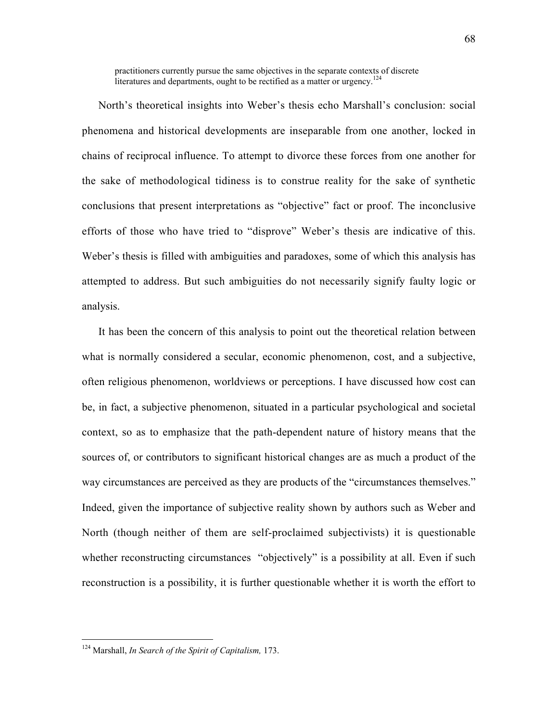practitioners currently pursue the same objectives in the separate contexts of discrete literatures and departments, ought to be rectified as a matter or urgency.<sup>124</sup>

North's theoretical insights into Weber's thesis echo Marshall's conclusion: social phenomena and historical developments are inseparable from one another, locked in chains of reciprocal influence. To attempt to divorce these forces from one another for the sake of methodological tidiness is to construe reality for the sake of synthetic conclusions that present interpretations as "objective" fact or proof. The inconclusive efforts of those who have tried to "disprove" Weber's thesis are indicative of this. Weber's thesis is filled with ambiguities and paradoxes, some of which this analysis has attempted to address. But such ambiguities do not necessarily signify faulty logic or analysis.

It has been the concern of this analysis to point out the theoretical relation between what is normally considered a secular, economic phenomenon, cost, and a subjective, often religious phenomenon, worldviews or perceptions. I have discussed how cost can be, in fact, a subjective phenomenon, situated in a particular psychological and societal context, so as to emphasize that the path-dependent nature of history means that the sources of, or contributors to significant historical changes are as much a product of the way circumstances are perceived as they are products of the "circumstances themselves." Indeed, given the importance of subjective reality shown by authors such as Weber and North (though neither of them are self-proclaimed subjectivists) it is questionable whether reconstructing circumstances "objectively" is a possibility at all. Even if such reconstruction is a possibility, it is further questionable whether it is worth the effort to

124 Marshall, *In Search of the Spirit of Capitalism,* 173.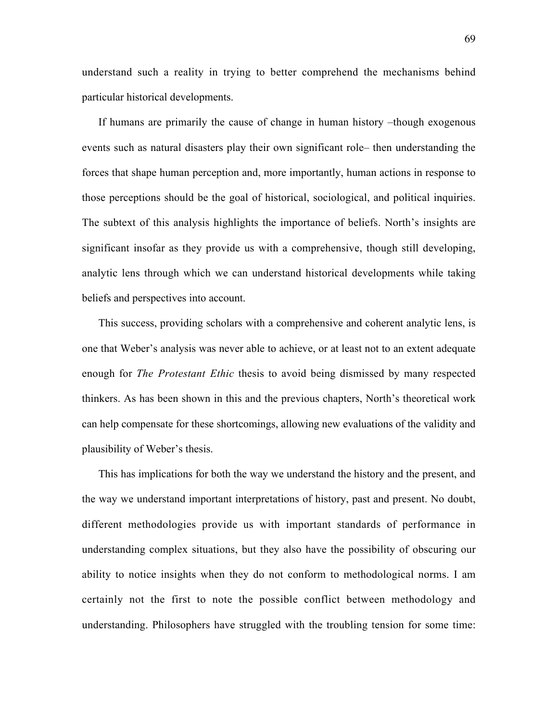understand such a reality in trying to better comprehend the mechanisms behind particular historical developments.

If humans are primarily the cause of change in human history –though exogenous events such as natural disasters play their own significant role– then understanding the forces that shape human perception and, more importantly, human actions in response to those perceptions should be the goal of historical, sociological, and political inquiries. The subtext of this analysis highlights the importance of beliefs. North's insights are significant insofar as they provide us with a comprehensive, though still developing, analytic lens through which we can understand historical developments while taking beliefs and perspectives into account.

This success, providing scholars with a comprehensive and coherent analytic lens, is one that Weber's analysis was never able to achieve, or at least not to an extent adequate enough for *The Protestant Ethic* thesis to avoid being dismissed by many respected thinkers. As has been shown in this and the previous chapters, North's theoretical work can help compensate for these shortcomings, allowing new evaluations of the validity and plausibility of Weber's thesis.

This has implications for both the way we understand the history and the present, and the way we understand important interpretations of history, past and present. No doubt, different methodologies provide us with important standards of performance in understanding complex situations, but they also have the possibility of obscuring our ability to notice insights when they do not conform to methodological norms. I am certainly not the first to note the possible conflict between methodology and understanding. Philosophers have struggled with the troubling tension for some time: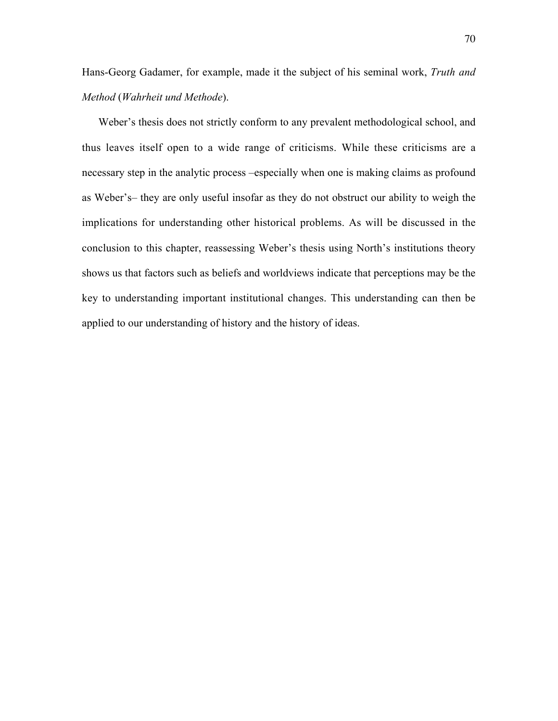Hans-Georg Gadamer, for example, made it the subject of his seminal work, *Truth and Method* (*Wahrheit und Methode*).

Weber's thesis does not strictly conform to any prevalent methodological school, and thus leaves itself open to a wide range of criticisms. While these criticisms are a necessary step in the analytic process –especially when one is making claims as profound as Weber's– they are only useful insofar as they do not obstruct our ability to weigh the implications for understanding other historical problems. As will be discussed in the conclusion to this chapter, reassessing Weber's thesis using North's institutions theory shows us that factors such as beliefs and worldviews indicate that perceptions may be the key to understanding important institutional changes. This understanding can then be applied to our understanding of history and the history of ideas.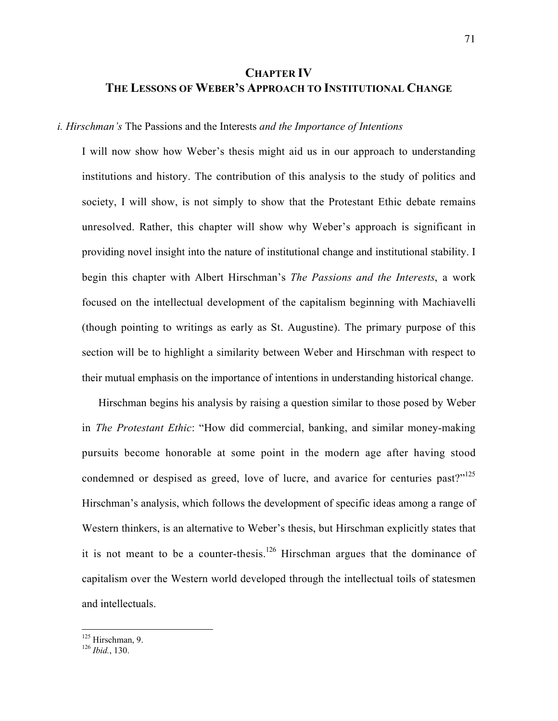# **CHAPTER IV THE LESSONS OF WEBER'S APPROACH TO INSTITUTIONAL CHANGE**

#### *i. Hirschman's* The Passions and the Interests *and the Importance of Intentions*

I will now show how Weber's thesis might aid us in our approach to understanding institutions and history. The contribution of this analysis to the study of politics and society, I will show, is not simply to show that the Protestant Ethic debate remains unresolved. Rather, this chapter will show why Weber's approach is significant in providing novel insight into the nature of institutional change and institutional stability. I begin this chapter with Albert Hirschman's *The Passions and the Interests*, a work focused on the intellectual development of the capitalism beginning with Machiavelli (though pointing to writings as early as St. Augustine). The primary purpose of this section will be to highlight a similarity between Weber and Hirschman with respect to their mutual emphasis on the importance of intentions in understanding historical change.

Hirschman begins his analysis by raising a question similar to those posed by Weber in *The Protestant Ethic*: "How did commercial, banking, and similar money-making pursuits become honorable at some point in the modern age after having stood condemned or despised as greed, love of lucre, and avarice for centuries past?"<sup>125</sup> Hirschman's analysis, which follows the development of specific ideas among a range of Western thinkers, is an alternative to Weber's thesis, but Hirschman explicitly states that it is not meant to be a counter-thesis.<sup>126</sup> Hirschman argues that the dominance of capitalism over the Western world developed through the intellectual toils of statesmen and intellectuals.

 $125$  Hirschman, 9.

<sup>&</sup>lt;sup>126</sup> *Ibid.*, 130.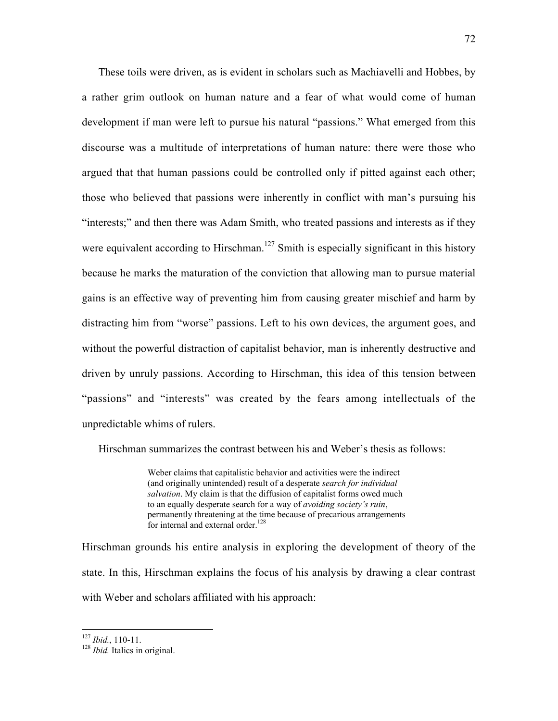These toils were driven, as is evident in scholars such as Machiavelli and Hobbes, by a rather grim outlook on human nature and a fear of what would come of human development if man were left to pursue his natural "passions." What emerged from this discourse was a multitude of interpretations of human nature: there were those who argued that that human passions could be controlled only if pitted against each other; those who believed that passions were inherently in conflict with man's pursuing his "interests;" and then there was Adam Smith, who treated passions and interests as if they were equivalent according to Hirschman.<sup>127</sup> Smith is especially significant in this history because he marks the maturation of the conviction that allowing man to pursue material gains is an effective way of preventing him from causing greater mischief and harm by distracting him from "worse" passions. Left to his own devices, the argument goes, and without the powerful distraction of capitalist behavior, man is inherently destructive and driven by unruly passions. According to Hirschman, this idea of this tension between "passions" and "interests" was created by the fears among intellectuals of the unpredictable whims of rulers.

Hirschman summarizes the contrast between his and Weber's thesis as follows:

Weber claims that capitalistic behavior and activities were the indirect (and originally unintended) result of a desperate *search for individual salvation*. My claim is that the diffusion of capitalist forms owed much to an equally desperate search for a way of *avoiding society's ruin*, permanently threatening at the time because of precarious arrangements for internal and external order.<sup>128</sup>

Hirschman grounds his entire analysis in exploring the development of theory of the state. In this, Hirschman explains the focus of his analysis by drawing a clear contrast with Weber and scholars affiliated with his approach:

 $\frac{127}{128}$ *Ibid.*, 110-11.<br><sup>128</sup> *Ibid.* Italics in original.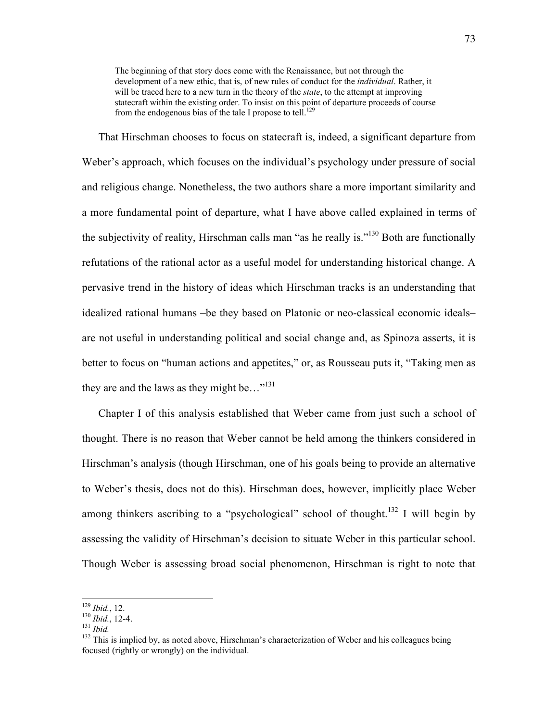The beginning of that story does come with the Renaissance, but not through the development of a new ethic, that is, of new rules of conduct for the *individual*. Rather, it will be traced here to a new turn in the theory of the *state*, to the attempt at improving statecraft within the existing order. To insist on this point of departure proceeds of course from the endogenous bias of the tale I propose to tell.<sup>129</sup>

That Hirschman chooses to focus on statecraft is, indeed, a significant departure from Weber's approach, which focuses on the individual's psychology under pressure of social and religious change. Nonetheless, the two authors share a more important similarity and a more fundamental point of departure, what I have above called explained in terms of the subjectivity of reality, Hirschman calls man "as he really is."<sup>130</sup> Both are functionally refutations of the rational actor as a useful model for understanding historical change. A pervasive trend in the history of ideas which Hirschman tracks is an understanding that idealized rational humans –be they based on Platonic or neo-classical economic ideals– are not useful in understanding political and social change and, as Spinoza asserts, it is better to focus on "human actions and appetites," or, as Rousseau puts it, "Taking men as they are and the laws as they might be..."<sup>131</sup>

Chapter I of this analysis established that Weber came from just such a school of thought. There is no reason that Weber cannot be held among the thinkers considered in Hirschman's analysis (though Hirschman, one of his goals being to provide an alternative to Weber's thesis, does not do this). Hirschman does, however, implicitly place Weber among thinkers ascribing to a "psychological" school of thought.<sup>132</sup> I will begin by assessing the validity of Hirschman's decision to situate Weber in this particular school. Though Weber is assessing broad social phenomenon, Hirschman is right to note that

<sup>&</sup>lt;sup>129</sup> *Ibid.*, 12.<br><sup>130</sup> *Ibid.*, 12-4.<br><sup>131</sup> *Ibid.* 

<sup>&</sup>lt;sup>132</sup> This is implied by, as noted above, Hirschman's characterization of Weber and his colleagues being focused (rightly or wrongly) on the individual.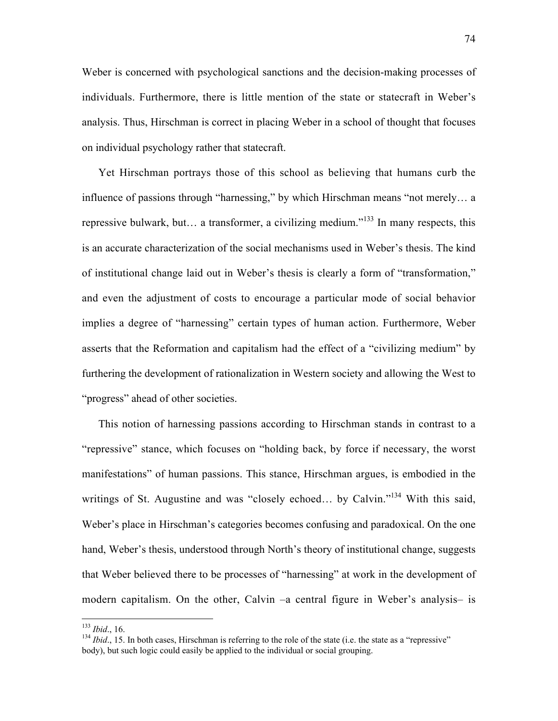Weber is concerned with psychological sanctions and the decision-making processes of individuals. Furthermore, there is little mention of the state or statecraft in Weber's analysis. Thus, Hirschman is correct in placing Weber in a school of thought that focuses on individual psychology rather that statecraft.

Yet Hirschman portrays those of this school as believing that humans curb the influence of passions through "harnessing," by which Hirschman means "not merely… a repressive bulwark, but… a transformer, a civilizing medium."<sup>133</sup> In many respects, this is an accurate characterization of the social mechanisms used in Weber's thesis. The kind of institutional change laid out in Weber's thesis is clearly a form of "transformation," and even the adjustment of costs to encourage a particular mode of social behavior implies a degree of "harnessing" certain types of human action. Furthermore, Weber asserts that the Reformation and capitalism had the effect of a "civilizing medium" by furthering the development of rationalization in Western society and allowing the West to "progress" ahead of other societies.

This notion of harnessing passions according to Hirschman stands in contrast to a "repressive" stance, which focuses on "holding back, by force if necessary, the worst manifestations" of human passions. This stance, Hirschman argues, is embodied in the writings of St. Augustine and was "closely echoed... by Calvin."<sup>134</sup> With this said, Weber's place in Hirschman's categories becomes confusing and paradoxical. On the one hand, Weber's thesis, understood through North's theory of institutional change, suggests that Weber believed there to be processes of "harnessing" at work in the development of modern capitalism. On the other, Calvin –a central figure in Weber's analysis– is

<sup>&</sup>lt;sup>133</sup> *Ibid.*, 16.<br><sup>134</sup> *Ibid.*, 15. In both cases. Hirschman is referring to the role of the state (i.e. the state as a "repressive" body), but such logic could easily be applied to the individual or social grouping.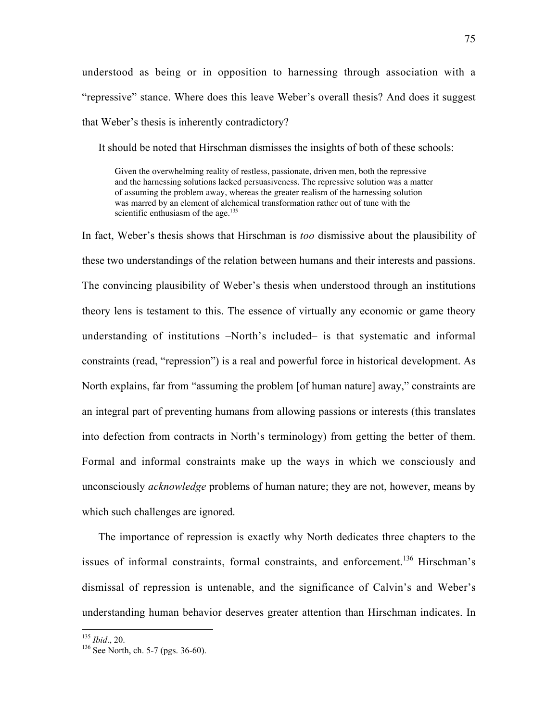understood as being or in opposition to harnessing through association with a "repressive" stance. Where does this leave Weber's overall thesis? And does it suggest that Weber's thesis is inherently contradictory?

It should be noted that Hirschman dismisses the insights of both of these schools:

Given the overwhelming reality of restless, passionate, driven men, both the repressive and the harnessing solutions lacked persuasiveness. The repressive solution was a matter of assuming the problem away, whereas the greater realism of the harnessing solution was marred by an element of alchemical transformation rather out of tune with the scientific enthusiasm of the age.<sup>135</sup>

In fact, Weber's thesis shows that Hirschman is *too* dismissive about the plausibility of these two understandings of the relation between humans and their interests and passions. The convincing plausibility of Weber's thesis when understood through an institutions theory lens is testament to this. The essence of virtually any economic or game theory understanding of institutions –North's included– is that systematic and informal constraints (read, "repression") is a real and powerful force in historical development. As North explains, far from "assuming the problem [of human nature] away," constraints are an integral part of preventing humans from allowing passions or interests (this translates into defection from contracts in North's terminology) from getting the better of them. Formal and informal constraints make up the ways in which we consciously and unconsciously *acknowledge* problems of human nature; they are not, however, means by which such challenges are ignored.

The importance of repression is exactly why North dedicates three chapters to the issues of informal constraints, formal constraints, and enforcement.<sup>136</sup> Hirschman's dismissal of repression is untenable, and the significance of Calvin's and Weber's understanding human behavior deserves greater attention than Hirschman indicates. In

<sup>&</sup>lt;sup>135</sup> *Ibid.*, 20.

 $136$  See North, ch. 5-7 (pgs. 36-60).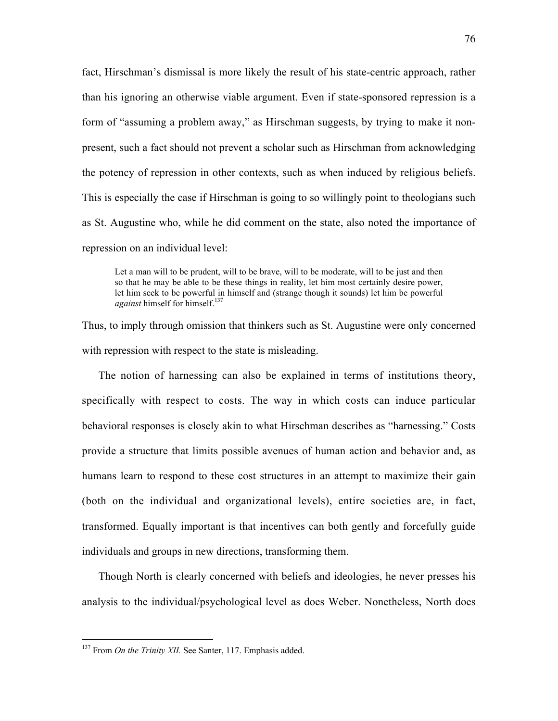fact, Hirschman's dismissal is more likely the result of his state-centric approach, rather than his ignoring an otherwise viable argument. Even if state-sponsored repression is a form of "assuming a problem away," as Hirschman suggests, by trying to make it nonpresent, such a fact should not prevent a scholar such as Hirschman from acknowledging the potency of repression in other contexts, such as when induced by religious beliefs. This is especially the case if Hirschman is going to so willingly point to theologians such as St. Augustine who, while he did comment on the state, also noted the importance of repression on an individual level:

Let a man will to be prudent, will to be brave, will to be moderate, will to be just and then so that he may be able to be these things in reality, let him most certainly desire power, let him seek to be powerful in himself and (strange though it sounds) let him be powerful *against* himself for himself.<sup>137</sup>

Thus, to imply through omission that thinkers such as St. Augustine were only concerned with repression with respect to the state is misleading.

The notion of harnessing can also be explained in terms of institutions theory, specifically with respect to costs. The way in which costs can induce particular behavioral responses is closely akin to what Hirschman describes as "harnessing." Costs provide a structure that limits possible avenues of human action and behavior and, as humans learn to respond to these cost structures in an attempt to maximize their gain (both on the individual and organizational levels), entire societies are, in fact, transformed. Equally important is that incentives can both gently and forcefully guide individuals and groups in new directions, transforming them.

Though North is clearly concerned with beliefs and ideologies, he never presses his analysis to the individual/psychological level as does Weber. Nonetheless, North does

<sup>&</sup>lt;sup>137</sup> From *On the Trinity XII*. See Santer, 117. Emphasis added.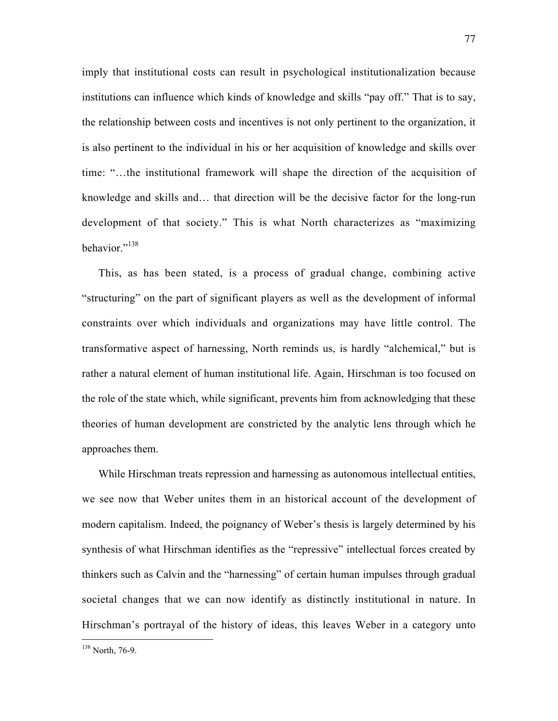imply that institutional costs can result in psychological institutionalization because institutions can influence which kinds of knowledge and skills "pay off." That is to say, the relationship between costs and incentives is not only pertinent to the organization, it is also pertinent to the individual in his or her acquisition of knowledge and skills over time: "…the institutional framework will shape the direction of the acquisition of knowledge and skills and… that direction will be the decisive factor for the long-run development of that society." This is what North characterizes as "maximizing hehavior<sup>"138</sup>

This, as has been stated, is a process of gradual change, combining active "structuring" on the part of significant players as well as the development of informal constraints over which individuals and organizations may have little control. The transformative aspect of harnessing, North reminds us, is hardly "alchemical," but is rather a natural element of human institutional life. Again, Hirschman is too focused on the role of the state which, while significant, prevents him from acknowledging that these theories of human development are constricted by the analytic lens through which he approaches them.

While Hirschman treats repression and harnessing as autonomous intellectual entities, we see now that Weber unites them in an historical account of the development of modern capitalism. Indeed, the poignancy of Weber's thesis is largely determined by his synthesis of what Hirschman identifies as the "repressive" intellectual forces created by thinkers such as Calvin and the "harnessing" of certain human impulses through gradual societal changes that we can now identify as distinctly institutional in nature. In Hirschman's portrayal of the history of ideas, this leaves Weber in a category unto

<sup>138</sup> North, 76-9.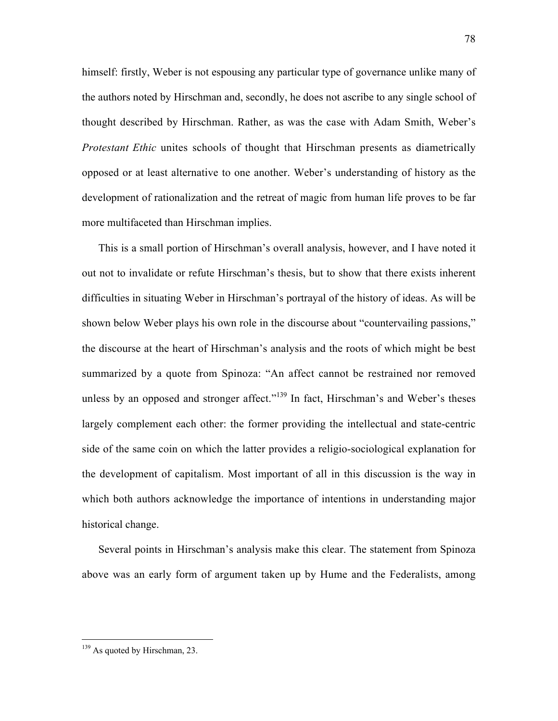himself: firstly, Weber is not espousing any particular type of governance unlike many of the authors noted by Hirschman and, secondly, he does not ascribe to any single school of thought described by Hirschman. Rather, as was the case with Adam Smith, Weber's *Protestant Ethic* unites schools of thought that Hirschman presents as diametrically opposed or at least alternative to one another. Weber's understanding of history as the development of rationalization and the retreat of magic from human life proves to be far more multifaceted than Hirschman implies.

This is a small portion of Hirschman's overall analysis, however, and I have noted it out not to invalidate or refute Hirschman's thesis, but to show that there exists inherent difficulties in situating Weber in Hirschman's portrayal of the history of ideas. As will be shown below Weber plays his own role in the discourse about "countervailing passions," the discourse at the heart of Hirschman's analysis and the roots of which might be best summarized by a quote from Spinoza: "An affect cannot be restrained nor removed unless by an opposed and stronger affect."<sup>139</sup> In fact, Hirschman's and Weber's theses largely complement each other: the former providing the intellectual and state-centric side of the same coin on which the latter provides a religio-sociological explanation for the development of capitalism. Most important of all in this discussion is the way in which both authors acknowledge the importance of intentions in understanding major historical change.

Several points in Hirschman's analysis make this clear. The statement from Spinoza above was an early form of argument taken up by Hume and the Federalists, among

<sup>&</sup>lt;sup>139</sup> As quoted by Hirschman, 23.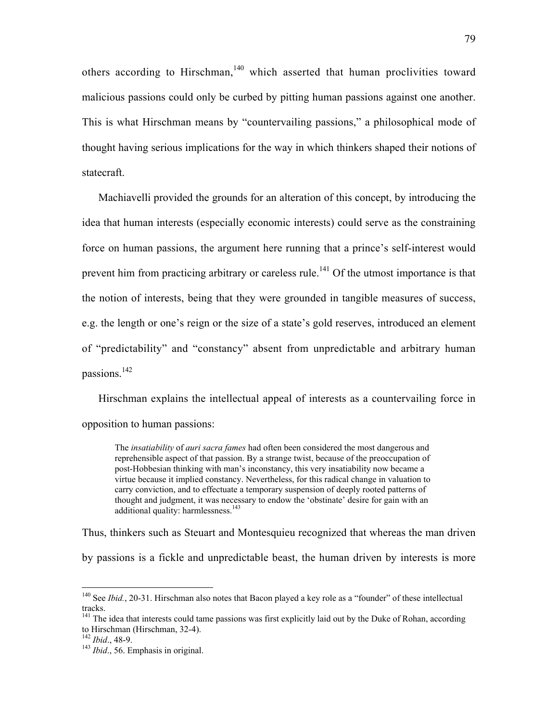others according to Hirschman,<sup>140</sup> which asserted that human proclivities toward malicious passions could only be curbed by pitting human passions against one another. This is what Hirschman means by "countervailing passions," a philosophical mode of thought having serious implications for the way in which thinkers shaped their notions of statecraft.

Machiavelli provided the grounds for an alteration of this concept, by introducing the idea that human interests (especially economic interests) could serve as the constraining force on human passions, the argument here running that a prince's self-interest would prevent him from practicing arbitrary or careless rule.<sup>141</sup> Of the utmost importance is that the notion of interests, being that they were grounded in tangible measures of success, e.g. the length or one's reign or the size of a state's gold reserves, introduced an element of "predictability" and "constancy" absent from unpredictable and arbitrary human passions.<sup>142</sup>

Hirschman explains the intellectual appeal of interests as a countervailing force in opposition to human passions:

The *insatiability* of *auri sacra fames* had often been considered the most dangerous and reprehensible aspect of that passion. By a strange twist, because of the preoccupation of post-Hobbesian thinking with man's inconstancy, this very insatiability now became a virtue because it implied constancy. Nevertheless, for this radical change in valuation to carry conviction, and to effectuate a temporary suspension of deeply rooted patterns of thought and judgment, it was necessary to endow the 'obstinate' desire for gain with an additional quality: harmlessness.<sup>143</sup>

Thus, thinkers such as Steuart and Montesquieu recognized that whereas the man driven

by passions is a fickle and unpredictable beast, the human driven by interests is more

<sup>&</sup>lt;sup>140</sup> See *Ibid.*, 20-31. Hirschman also notes that Bacon played a key role as a "founder" of these intellectual tracks.

<sup>&</sup>lt;sup>141</sup> The idea that interests could tame passions was first explicitly laid out by the Duke of Rohan, according to Hirschman (Hirschman, 32-4).<br><sup>142</sup> *Ibid.*, 48-9.<br><sup>143</sup> *Ibid.*, 56. Emphasis in original.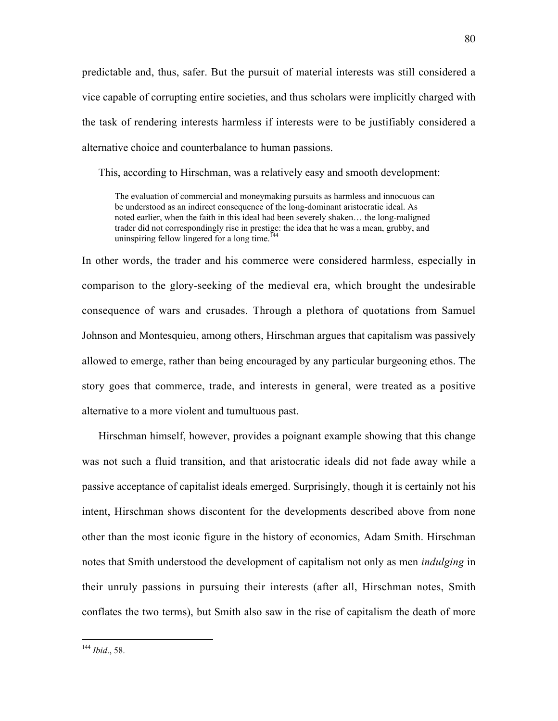predictable and, thus, safer. But the pursuit of material interests was still considered a vice capable of corrupting entire societies, and thus scholars were implicitly charged with the task of rendering interests harmless if interests were to be justifiably considered a alternative choice and counterbalance to human passions.

This, according to Hirschman, was a relatively easy and smooth development:

The evaluation of commercial and moneymaking pursuits as harmless and innocuous can be understood as an indirect consequence of the long-dominant aristocratic ideal. As noted earlier, when the faith in this ideal had been severely shaken… the long-maligned trader did not correspondingly rise in prestige: the idea that he was a mean, grubby, and uninspiring fellow lingered for a long time.<sup>144</sup>

In other words, the trader and his commerce were considered harmless, especially in comparison to the glory-seeking of the medieval era, which brought the undesirable consequence of wars and crusades. Through a plethora of quotations from Samuel Johnson and Montesquieu, among others, Hirschman argues that capitalism was passively allowed to emerge, rather than being encouraged by any particular burgeoning ethos. The story goes that commerce, trade, and interests in general, were treated as a positive alternative to a more violent and tumultuous past.

Hirschman himself, however, provides a poignant example showing that this change was not such a fluid transition, and that aristocratic ideals did not fade away while a passive acceptance of capitalist ideals emerged. Surprisingly, though it is certainly not his intent, Hirschman shows discontent for the developments described above from none other than the most iconic figure in the history of economics, Adam Smith. Hirschman notes that Smith understood the development of capitalism not only as men *indulging* in their unruly passions in pursuing their interests (after all, Hirschman notes, Smith conflates the two terms), but Smith also saw in the rise of capitalism the death of more

<sup>144</sup> *Ibid*., 58.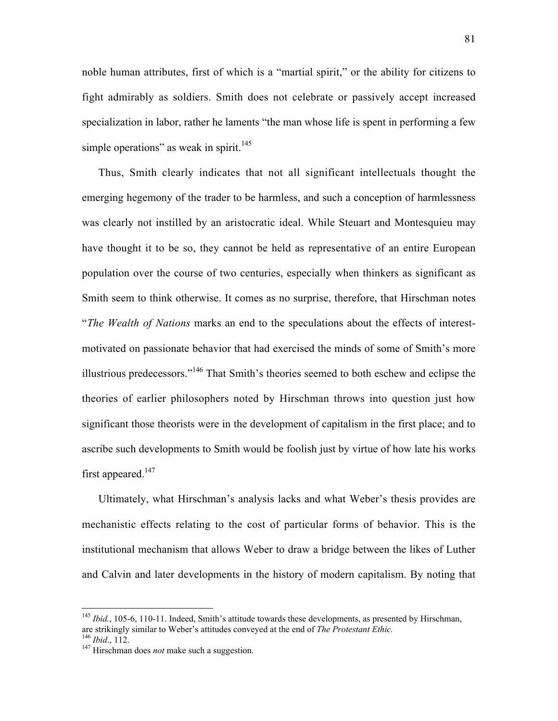noble human attributes, first of which is a "martial spirit," or the ability for citizens to fight admirably as soldiers. Smith does not celebrate or passively accept increased specialization in labor, rather he laments "the man whose life is spent in performing a few simple operations" as weak in spirit.<sup>145</sup>

Thus, Smith clearly indicates that not all significant intellectuals thought the emerging hegemony of the trader to be harmless, and such a conception of harmlessness was clearly not instilled by an aristocratic ideal. While Steuart and Montesquieu may have thought it to be so, they cannot be held as representative of an entire European population over the course of two centuries, especially when thinkers as significant as Smith seem to think otherwise. It comes as no surprise, therefore, that Hirschman notes "*The Wealth of Nations* marks an end to the speculations about the effects of interestmotivated on passionate behavior that had exercised the minds of some of Smith's more illustrious predecessors."<sup>146</sup> That Smith's theories seemed to both eschew and eclipse the theories of earlier philosophers noted by Hirschman throws into question just how significant those theorists were in the development of capitalism in the first place; and to ascribe such developments to Smith would be foolish just by virtue of how late his works first appeared.<sup>147</sup>

Ultimately, what Hirschman's analysis lacks and what Weber's thesis provides are mechanistic effects relating to the cost of particular forms of behavior. This is the institutional mechanism that allows Weber to draw a bridge between the likes of Luther and Calvin and later developments in the history of modern capitalism. By noting that

<sup>&</sup>lt;sup>145</sup> *Ibid.*, 105-6, 110-11. Indeed, Smith's attitude towards these developments, as presented by Hirschman, are strikingly similar to Weber's attitudes conveyed at the end of *The Protestant Ethic.* 146 *Ibid.*, 112.

<sup>&</sup>lt;sup>147</sup> Hirschman does *not* make such a suggestion.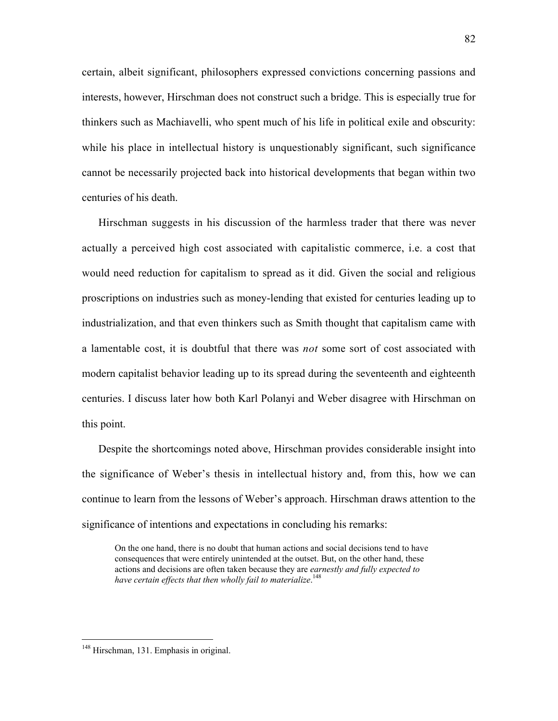certain, albeit significant, philosophers expressed convictions concerning passions and interests, however, Hirschman does not construct such a bridge. This is especially true for thinkers such as Machiavelli, who spent much of his life in political exile and obscurity: while his place in intellectual history is unquestionably significant, such significance cannot be necessarily projected back into historical developments that began within two centuries of his death.

Hirschman suggests in his discussion of the harmless trader that there was never actually a perceived high cost associated with capitalistic commerce, i.e. a cost that would need reduction for capitalism to spread as it did. Given the social and religious proscriptions on industries such as money-lending that existed for centuries leading up to industrialization, and that even thinkers such as Smith thought that capitalism came with a lamentable cost, it is doubtful that there was *not* some sort of cost associated with modern capitalist behavior leading up to its spread during the seventeenth and eighteenth centuries. I discuss later how both Karl Polanyi and Weber disagree with Hirschman on this point.

Despite the shortcomings noted above, Hirschman provides considerable insight into the significance of Weber's thesis in intellectual history and, from this, how we can continue to learn from the lessons of Weber's approach. Hirschman draws attention to the significance of intentions and expectations in concluding his remarks:

On the one hand, there is no doubt that human actions and social decisions tend to have consequences that were entirely unintended at the outset. But, on the other hand, these actions and decisions are often taken because they are *earnestly and fully expected to have certain effects that then wholly fail to materialize*. 148

<sup>82</sup>

148 Hirschman, 131. Emphasis in original.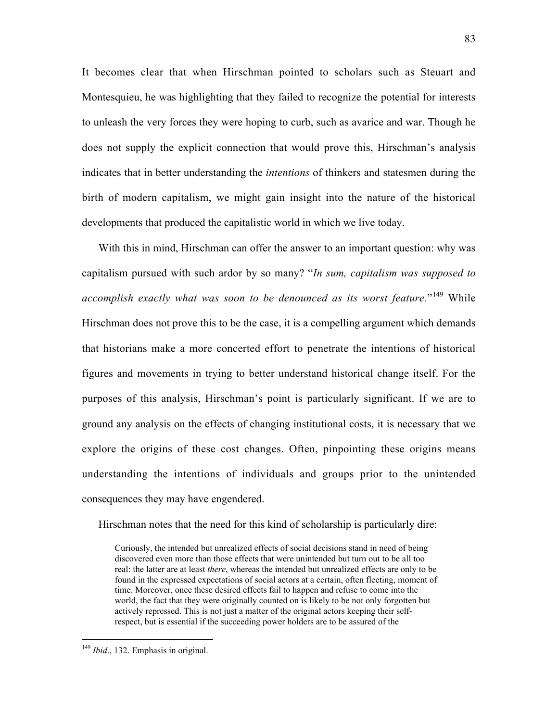It becomes clear that when Hirschman pointed to scholars such as Steuart and Montesquieu, he was highlighting that they failed to recognize the potential for interests to unleash the very forces they were hoping to curb, such as avarice and war. Though he does not supply the explicit connection that would prove this, Hirschman's analysis indicates that in better understanding the *intentions* of thinkers and statesmen during the birth of modern capitalism, we might gain insight into the nature of the historical developments that produced the capitalistic world in which we live today.

With this in mind, Hirschman can offer the answer to an important question: why was capitalism pursued with such ardor by so many? "*In sum, capitalism was supposed to accomplish exactly what was soon to be denounced as its worst feature.*"<sup>149</sup> While Hirschman does not prove this to be the case, it is a compelling argument which demands that historians make a more concerted effort to penetrate the intentions of historical figures and movements in trying to better understand historical change itself. For the purposes of this analysis, Hirschman's point is particularly significant. If we are to ground any analysis on the effects of changing institutional costs, it is necessary that we explore the origins of these cost changes. Often, pinpointing these origins means understanding the intentions of individuals and groups prior to the unintended consequences they may have engendered.

Hirschman notes that the need for this kind of scholarship is particularly dire:

Curiously, the intended but unrealized effects of social decisions stand in need of being discovered even more than those effects that were unintended but turn out to be all too real: the latter are at least *there*, whereas the intended but unrealized effects are only to be found in the expressed expectations of social actors at a certain, often fleeting, moment of time. Moreover, once these desired effects fail to happen and refuse to come into the world, the fact that they were originally counted on is likely to be not only forgotten but actively repressed. This is not just a matter of the original actors keeping their selfrespect, but is essential if the succeeding power holders are to be assured of the

<sup>&</sup>lt;sup>149</sup> *Ibid.*, 132. Emphasis in original.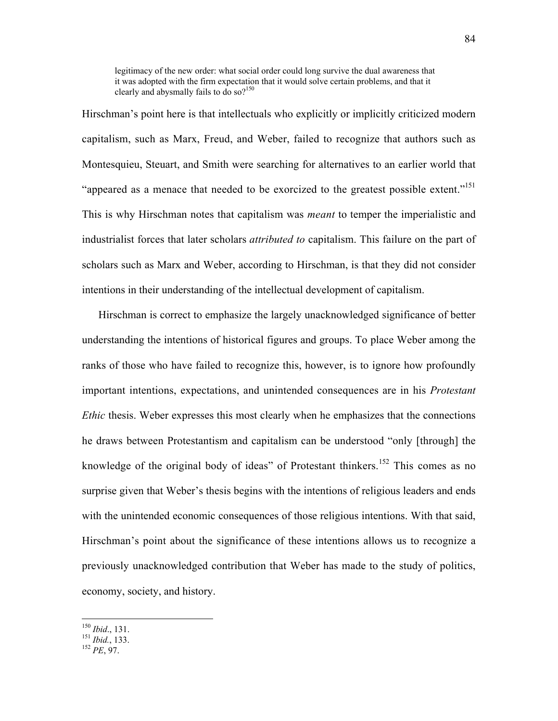legitimacy of the new order: what social order could long survive the dual awareness that it was adopted with the firm expectation that it would solve certain problems, and that it clearly and abysmally fails to do so?<sup>150</sup>

Hirschman's point here is that intellectuals who explicitly or implicitly criticized modern capitalism, such as Marx, Freud, and Weber, failed to recognize that authors such as Montesquieu, Steuart, and Smith were searching for alternatives to an earlier world that "appeared as a menace that needed to be exorcized to the greatest possible extent."<sup>151</sup> This is why Hirschman notes that capitalism was *meant* to temper the imperialistic and industrialist forces that later scholars *attributed to* capitalism. This failure on the part of scholars such as Marx and Weber, according to Hirschman, is that they did not consider intentions in their understanding of the intellectual development of capitalism.

Hirschman is correct to emphasize the largely unacknowledged significance of better understanding the intentions of historical figures and groups. To place Weber among the ranks of those who have failed to recognize this, however, is to ignore how profoundly important intentions, expectations, and unintended consequences are in his *Protestant Ethic* thesis. Weber expresses this most clearly when he emphasizes that the connections he draws between Protestantism and capitalism can be understood "only [through] the knowledge of the original body of ideas" of Protestant thinkers.<sup>152</sup> This comes as no surprise given that Weber's thesis begins with the intentions of religious leaders and ends with the unintended economic consequences of those religious intentions. With that said, Hirschman's point about the significance of these intentions allows us to recognize a previously unacknowledged contribution that Weber has made to the study of politics, economy, society, and history.

<sup>150</sup> *Ibid*., 131. <sup>151</sup> *Ibid.*, 133. <sup>152</sup> *PE*, 97.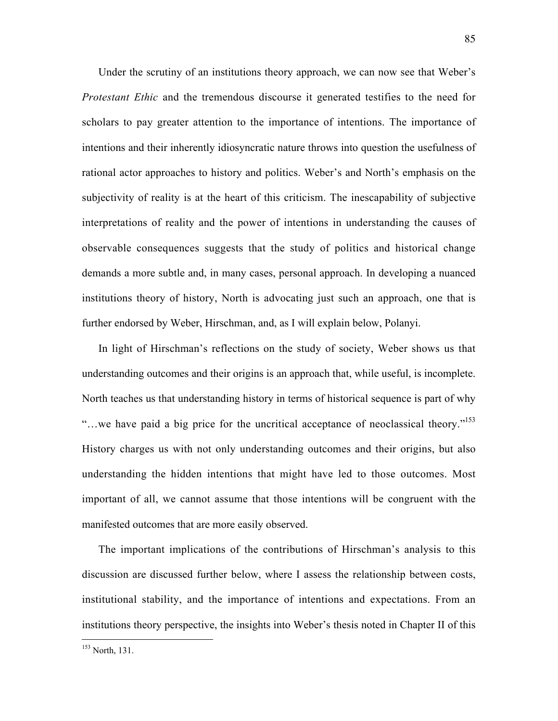Under the scrutiny of an institutions theory approach, we can now see that Weber's *Protestant Ethic* and the tremendous discourse it generated testifies to the need for scholars to pay greater attention to the importance of intentions. The importance of intentions and their inherently idiosyncratic nature throws into question the usefulness of rational actor approaches to history and politics. Weber's and North's emphasis on the subjectivity of reality is at the heart of this criticism. The inescapability of subjective interpretations of reality and the power of intentions in understanding the causes of observable consequences suggests that the study of politics and historical change demands a more subtle and, in many cases, personal approach. In developing a nuanced institutions theory of history, North is advocating just such an approach, one that is further endorsed by Weber, Hirschman, and, as I will explain below, Polanyi.

In light of Hirschman's reflections on the study of society, Weber shows us that understanding outcomes and their origins is an approach that, while useful, is incomplete. North teaches us that understanding history in terms of historical sequence is part of why "...we have paid a big price for the uncritical acceptance of neoclassical theory."<sup>153</sup> History charges us with not only understanding outcomes and their origins, but also understanding the hidden intentions that might have led to those outcomes. Most important of all, we cannot assume that those intentions will be congruent with the manifested outcomes that are more easily observed.

The important implications of the contributions of Hirschman's analysis to this discussion are discussed further below, where I assess the relationship between costs, institutional stability, and the importance of intentions and expectations. From an institutions theory perspective, the insights into Weber's thesis noted in Chapter II of this

<sup>153</sup> North, 131.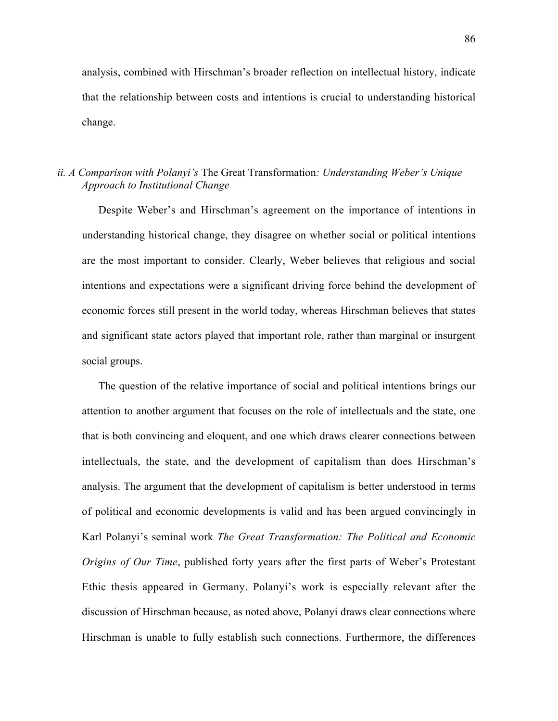analysis, combined with Hirschman's broader reflection on intellectual history, indicate that the relationship between costs and intentions is crucial to understanding historical change.

### *ii. A Comparison with Polanyi's* The Great Transformation*: Understanding Weber's Unique Approach to Institutional Change*

Despite Weber's and Hirschman's agreement on the importance of intentions in understanding historical change, they disagree on whether social or political intentions are the most important to consider. Clearly, Weber believes that religious and social intentions and expectations were a significant driving force behind the development of economic forces still present in the world today, whereas Hirschman believes that states and significant state actors played that important role, rather than marginal or insurgent social groups.

The question of the relative importance of social and political intentions brings our attention to another argument that focuses on the role of intellectuals and the state, one that is both convincing and eloquent, and one which draws clearer connections between intellectuals, the state, and the development of capitalism than does Hirschman's analysis. The argument that the development of capitalism is better understood in terms of political and economic developments is valid and has been argued convincingly in Karl Polanyi's seminal work *The Great Transformation: The Political and Economic Origins of Our Time*, published forty years after the first parts of Weber's Protestant Ethic thesis appeared in Germany. Polanyi's work is especially relevant after the discussion of Hirschman because, as noted above, Polanyi draws clear connections where Hirschman is unable to fully establish such connections. Furthermore, the differences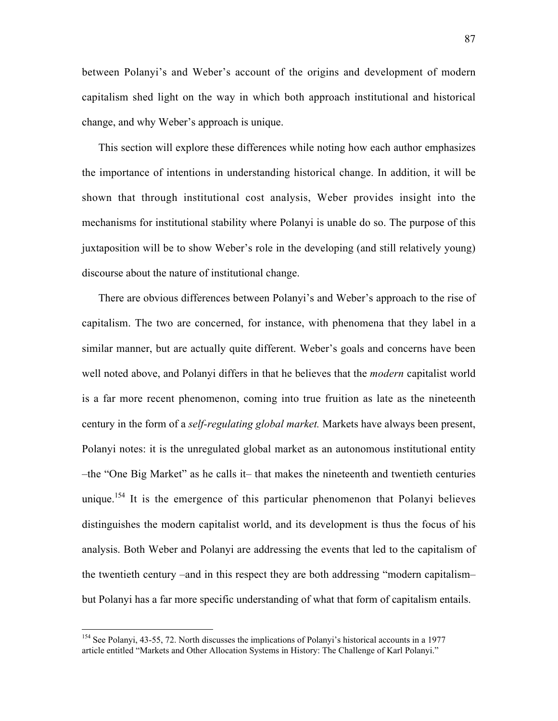between Polanyi's and Weber's account of the origins and development of modern capitalism shed light on the way in which both approach institutional and historical change, and why Weber's approach is unique.

This section will explore these differences while noting how each author emphasizes the importance of intentions in understanding historical change. In addition, it will be shown that through institutional cost analysis, Weber provides insight into the mechanisms for institutional stability where Polanyi is unable do so. The purpose of this juxtaposition will be to show Weber's role in the developing (and still relatively young) discourse about the nature of institutional change.

There are obvious differences between Polanyi's and Weber's approach to the rise of capitalism. The two are concerned, for instance, with phenomena that they label in a similar manner, but are actually quite different. Weber's goals and concerns have been well noted above, and Polanyi differs in that he believes that the *modern* capitalist world is a far more recent phenomenon, coming into true fruition as late as the nineteenth century in the form of a *self-regulating global market.* Markets have always been present, Polanyi notes: it is the unregulated global market as an autonomous institutional entity –the "One Big Market" as he calls it– that makes the nineteenth and twentieth centuries unique.<sup>154</sup> It is the emergence of this particular phenomenon that Polanyi believes distinguishes the modern capitalist world, and its development is thus the focus of his analysis. Both Weber and Polanyi are addressing the events that led to the capitalism of the twentieth century –and in this respect they are both addressing "modern capitalism– but Polanyi has a far more specific understanding of what that form of capitalism entails.

154 See Polanyi, 43-55, 72. North discusses the implications of Polanyi's historical accounts in a 1977 article entitled "Markets and Other Allocation Systems in History: The Challenge of Karl Polanyi."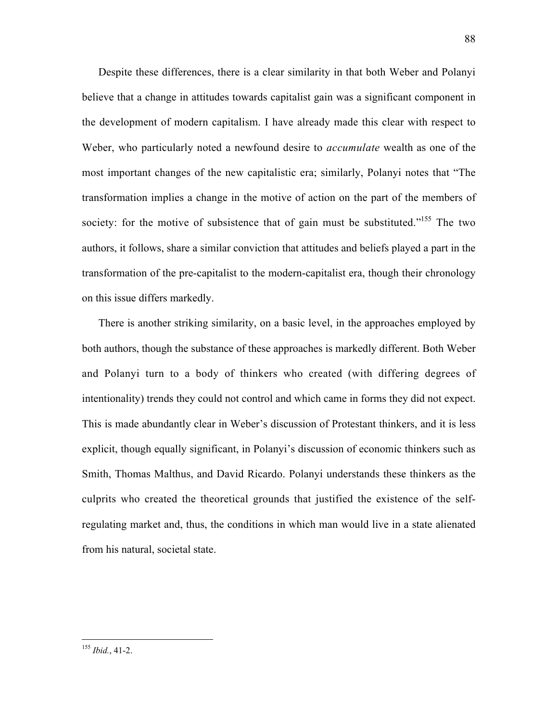Despite these differences, there is a clear similarity in that both Weber and Polanyi believe that a change in attitudes towards capitalist gain was a significant component in the development of modern capitalism. I have already made this clear with respect to Weber, who particularly noted a newfound desire to *accumulate* wealth as one of the most important changes of the new capitalistic era; similarly, Polanyi notes that "The transformation implies a change in the motive of action on the part of the members of society: for the motive of subsistence that of gain must be substituted."<sup>155</sup> The two authors, it follows, share a similar conviction that attitudes and beliefs played a part in the transformation of the pre-capitalist to the modern-capitalist era, though their chronology on this issue differs markedly.

There is another striking similarity, on a basic level, in the approaches employed by both authors, though the substance of these approaches is markedly different. Both Weber and Polanyi turn to a body of thinkers who created (with differing degrees of intentionality) trends they could not control and which came in forms they did not expect. This is made abundantly clear in Weber's discussion of Protestant thinkers, and it is less explicit, though equally significant, in Polanyi's discussion of economic thinkers such as Smith, Thomas Malthus, and David Ricardo. Polanyi understands these thinkers as the culprits who created the theoretical grounds that justified the existence of the selfregulating market and, thus, the conditions in which man would live in a state alienated from his natural, societal state.

<sup>155</sup> *Ibid.*, 41-2.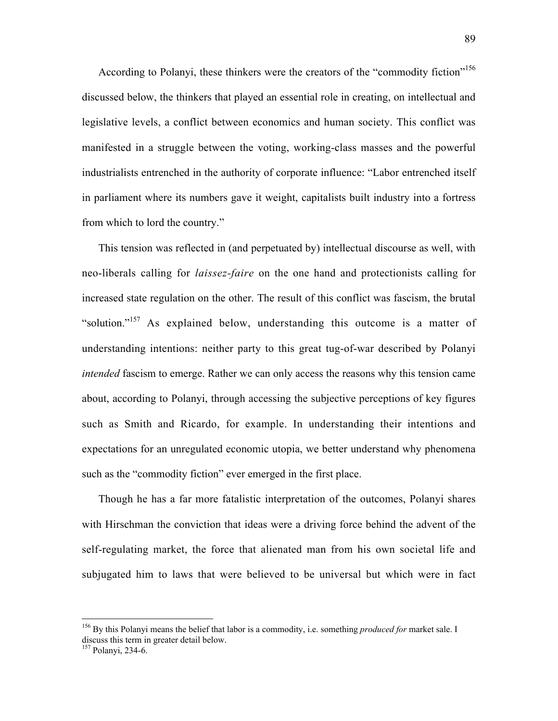According to Polanyi, these thinkers were the creators of the "commodity fiction"<sup>156</sup> discussed below, the thinkers that played an essential role in creating, on intellectual and legislative levels, a conflict between economics and human society. This conflict was manifested in a struggle between the voting, working-class masses and the powerful industrialists entrenched in the authority of corporate influence: "Labor entrenched itself in parliament where its numbers gave it weight, capitalists built industry into a fortress from which to lord the country."

This tension was reflected in (and perpetuated by) intellectual discourse as well, with neo-liberals calling for *laissez-faire* on the one hand and protectionists calling for increased state regulation on the other. The result of this conflict was fascism, the brutal "solution."157 As explained below, understanding this outcome is a matter of understanding intentions: neither party to this great tug-of-war described by Polanyi *intended* fascism to emerge. Rather we can only access the reasons why this tension came about, according to Polanyi, through accessing the subjective perceptions of key figures such as Smith and Ricardo, for example. In understanding their intentions and expectations for an unregulated economic utopia, we better understand why phenomena such as the "commodity fiction" ever emerged in the first place.

Though he has a far more fatalistic interpretation of the outcomes, Polanyi shares with Hirschman the conviction that ideas were a driving force behind the advent of the self-regulating market, the force that alienated man from his own societal life and subjugated him to laws that were believed to be universal but which were in fact

<sup>&</sup>lt;sup>156</sup> By this Polanyi means the belief that labor is a commodity, i.e. something *produced for* market sale. I discuss this term in greater detail below. 157 Polanyi, 234-6.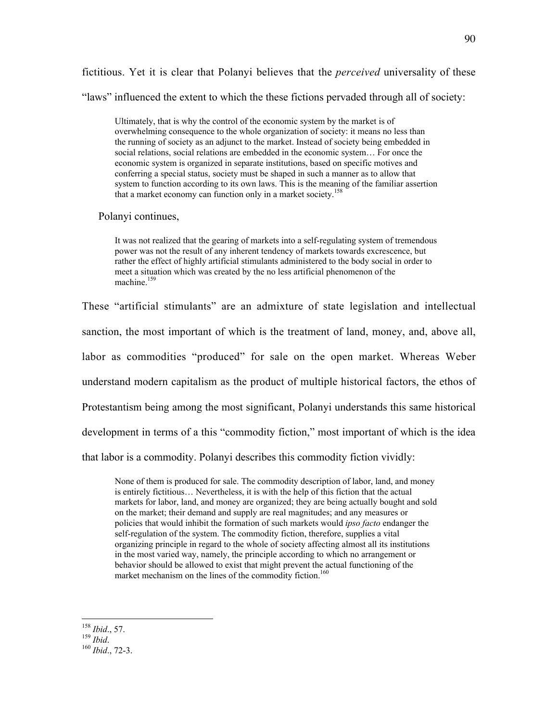fictitious. Yet it is clear that Polanyi believes that the *perceived* universality of these "laws" influenced the extent to which the these fictions pervaded through all of society:

Ultimately, that is why the control of the economic system by the market is of overwhelming consequence to the whole organization of society: it means no less than the running of society as an adjunct to the market. Instead of society being embedded in social relations, social relations are embedded in the economic system… For once the economic system is organized in separate institutions, based on specific motives and conferring a special status, society must be shaped in such a manner as to allow that system to function according to its own laws. This is the meaning of the familiar assertion that a market economy can function only in a market society.<sup>158</sup>

Polanyi continues,

It was not realized that the gearing of markets into a self-regulating system of tremendous power was not the result of any inherent tendency of markets towards excrescence, but rather the effect of highly artificial stimulants administered to the body social in order to meet a situation which was created by the no less artificial phenomenon of the machine $159$ 

These "artificial stimulants" are an admixture of state legislation and intellectual sanction, the most important of which is the treatment of land, money, and, above all, labor as commodities "produced" for sale on the open market. Whereas Weber understand modern capitalism as the product of multiple historical factors, the ethos of Protestantism being among the most significant, Polanyi understands this same historical development in terms of a this "commodity fiction," most important of which is the idea that labor is a commodity. Polanyi describes this commodity fiction vividly:

None of them is produced for sale. The commodity description of labor, land, and money is entirely fictitious… Nevertheless, it is with the help of this fiction that the actual markets for labor, land, and money are organized; they are being actually bought and sold on the market; their demand and supply are real magnitudes; and any measures or policies that would inhibit the formation of such markets would *ipso facto* endanger the self-regulation of the system. The commodity fiction, therefore, supplies a vital organizing principle in regard to the whole of society affecting almost all its institutions in the most varied way, namely, the principle according to which no arrangement or behavior should be allowed to exist that might prevent the actual functioning of the market mechanism on the lines of the commodity fiction.<sup>160</sup>

<sup>158</sup> *Ibid*., 57. <sup>159</sup> *Ibid*. <sup>160</sup> *Ibid*., 72-3.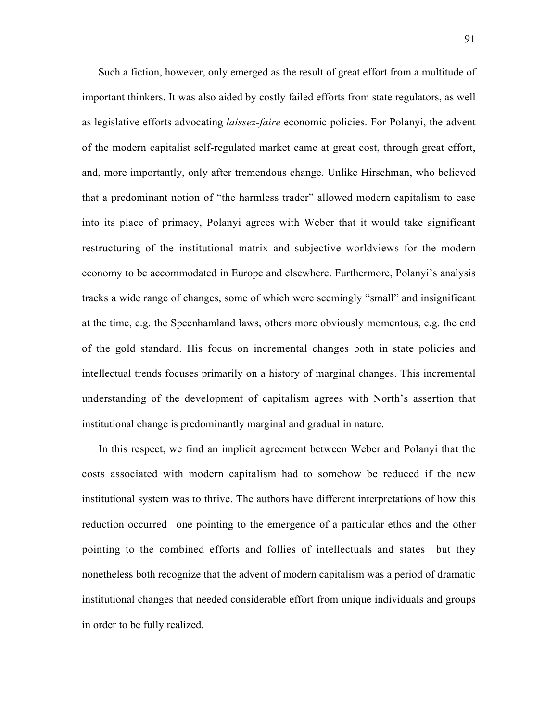Such a fiction, however, only emerged as the result of great effort from a multitude of important thinkers. It was also aided by costly failed efforts from state regulators, as well as legislative efforts advocating *laissez-faire* economic policies. For Polanyi, the advent of the modern capitalist self-regulated market came at great cost, through great effort, and, more importantly, only after tremendous change. Unlike Hirschman, who believed that a predominant notion of "the harmless trader" allowed modern capitalism to ease into its place of primacy, Polanyi agrees with Weber that it would take significant restructuring of the institutional matrix and subjective worldviews for the modern economy to be accommodated in Europe and elsewhere. Furthermore, Polanyi's analysis tracks a wide range of changes, some of which were seemingly "small" and insignificant at the time, e.g. the Speenhamland laws, others more obviously momentous, e.g. the end of the gold standard. His focus on incremental changes both in state policies and intellectual trends focuses primarily on a history of marginal changes. This incremental understanding of the development of capitalism agrees with North's assertion that institutional change is predominantly marginal and gradual in nature.

In this respect, we find an implicit agreement between Weber and Polanyi that the costs associated with modern capitalism had to somehow be reduced if the new institutional system was to thrive. The authors have different interpretations of how this reduction occurred –one pointing to the emergence of a particular ethos and the other pointing to the combined efforts and follies of intellectuals and states– but they nonetheless both recognize that the advent of modern capitalism was a period of dramatic institutional changes that needed considerable effort from unique individuals and groups in order to be fully realized.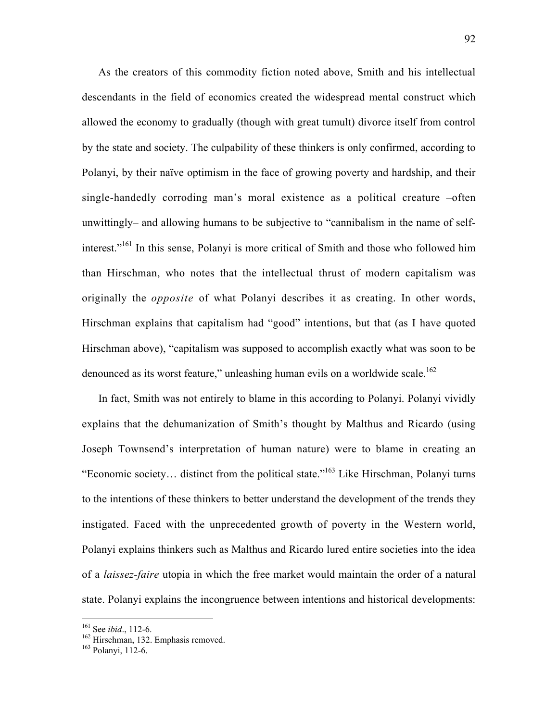As the creators of this commodity fiction noted above, Smith and his intellectual descendants in the field of economics created the widespread mental construct which allowed the economy to gradually (though with great tumult) divorce itself from control by the state and society. The culpability of these thinkers is only confirmed, according to Polanyi, by their naïve optimism in the face of growing poverty and hardship, and their single-handedly corroding man's moral existence as a political creature –often unwittingly– and allowing humans to be subjective to "cannibalism in the name of selfinterest."<sup>161</sup> In this sense, Polanyi is more critical of Smith and those who followed him than Hirschman, who notes that the intellectual thrust of modern capitalism was originally the *opposite* of what Polanyi describes it as creating. In other words, Hirschman explains that capitalism had "good" intentions, but that (as I have quoted Hirschman above), "capitalism was supposed to accomplish exactly what was soon to be denounced as its worst feature," unleashing human evils on a worldwide scale.<sup>162</sup>

In fact, Smith was not entirely to blame in this according to Polanyi. Polanyi vividly explains that the dehumanization of Smith's thought by Malthus and Ricardo (using Joseph Townsend's interpretation of human nature) were to blame in creating an "Economic society… distinct from the political state."163 Like Hirschman, Polanyi turns to the intentions of these thinkers to better understand the development of the trends they instigated. Faced with the unprecedented growth of poverty in the Western world, Polanyi explains thinkers such as Malthus and Ricardo lured entire societies into the idea of a *laissez-faire* utopia in which the free market would maintain the order of a natural state. Polanyi explains the incongruence between intentions and historical developments:

161  $\frac{161}{162}$  See *ibid.*, 112-6.

 $\frac{162}{163}$  Hirschman, 132. Emphasis removed.

<sup>&</sup>lt;sup>163</sup> Polanvi, 112-6.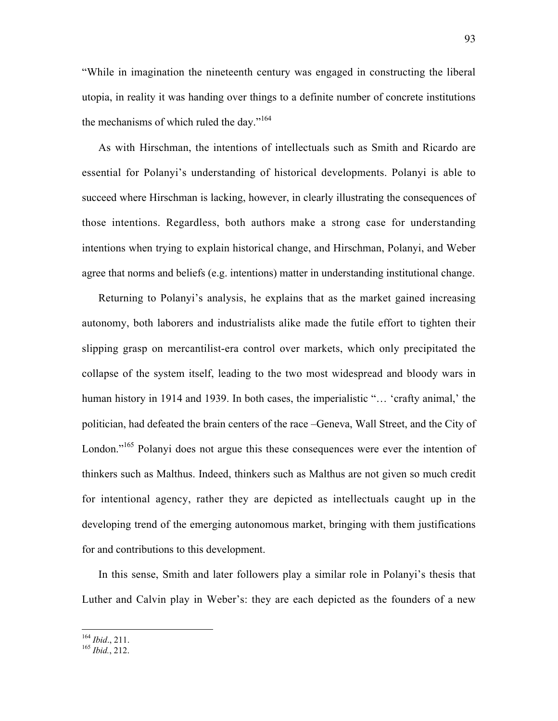"While in imagination the nineteenth century was engaged in constructing the liberal utopia, in reality it was handing over things to a definite number of concrete institutions the mechanisms of which ruled the day."<sup>164</sup>

As with Hirschman, the intentions of intellectuals such as Smith and Ricardo are essential for Polanyi's understanding of historical developments. Polanyi is able to succeed where Hirschman is lacking, however, in clearly illustrating the consequences of those intentions. Regardless, both authors make a strong case for understanding intentions when trying to explain historical change, and Hirschman, Polanyi, and Weber agree that norms and beliefs (e.g. intentions) matter in understanding institutional change.

Returning to Polanyi's analysis, he explains that as the market gained increasing autonomy, both laborers and industrialists alike made the futile effort to tighten their slipping grasp on mercantilist-era control over markets, which only precipitated the collapse of the system itself, leading to the two most widespread and bloody wars in human history in 1914 and 1939. In both cases, the imperialistic "... 'crafty animal,' the politician, had defeated the brain centers of the race –Geneva, Wall Street, and the City of London."<sup>165</sup> Polanyi does not argue this these consequences were ever the intention of thinkers such as Malthus. Indeed, thinkers such as Malthus are not given so much credit for intentional agency, rather they are depicted as intellectuals caught up in the developing trend of the emerging autonomous market, bringing with them justifications for and contributions to this development.

In this sense, Smith and later followers play a similar role in Polanyi's thesis that Luther and Calvin play in Weber's: they are each depicted as the founders of a new

<sup>164</sup> *Ibid*., 211. <sup>165</sup> *Ibid.*, 212.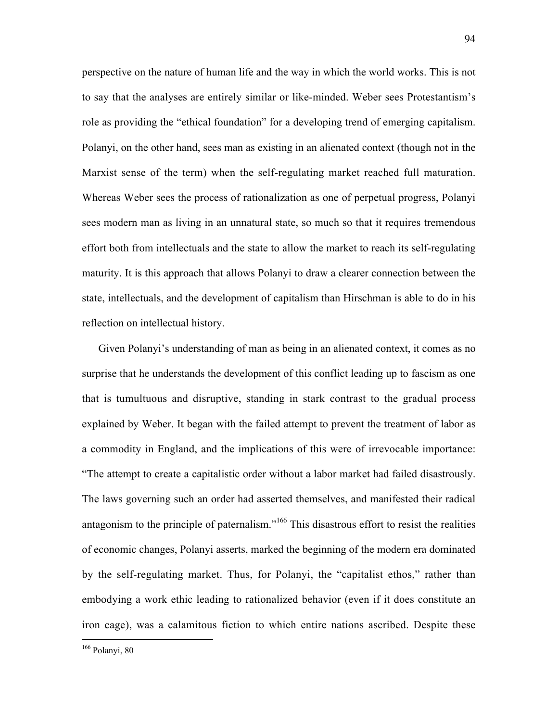perspective on the nature of human life and the way in which the world works. This is not to say that the analyses are entirely similar or like-minded. Weber sees Protestantism's role as providing the "ethical foundation" for a developing trend of emerging capitalism. Polanyi, on the other hand, sees man as existing in an alienated context (though not in the Marxist sense of the term) when the self-regulating market reached full maturation. Whereas Weber sees the process of rationalization as one of perpetual progress, Polanyi sees modern man as living in an unnatural state, so much so that it requires tremendous effort both from intellectuals and the state to allow the market to reach its self-regulating maturity. It is this approach that allows Polanyi to draw a clearer connection between the state, intellectuals, and the development of capitalism than Hirschman is able to do in his reflection on intellectual history.

Given Polanyi's understanding of man as being in an alienated context, it comes as no surprise that he understands the development of this conflict leading up to fascism as one that is tumultuous and disruptive, standing in stark contrast to the gradual process explained by Weber. It began with the failed attempt to prevent the treatment of labor as a commodity in England, and the implications of this were of irrevocable importance: "The attempt to create a capitalistic order without a labor market had failed disastrously. The laws governing such an order had asserted themselves, and manifested their radical antagonism to the principle of paternalism."<sup>166</sup> This disastrous effort to resist the realities of economic changes, Polanyi asserts, marked the beginning of the modern era dominated by the self-regulating market. Thus, for Polanyi, the "capitalist ethos," rather than embodying a work ethic leading to rationalized behavior (even if it does constitute an iron cage), was a calamitous fiction to which entire nations ascribed. Despite these

<sup>94</sup>

166 Polanyi, 80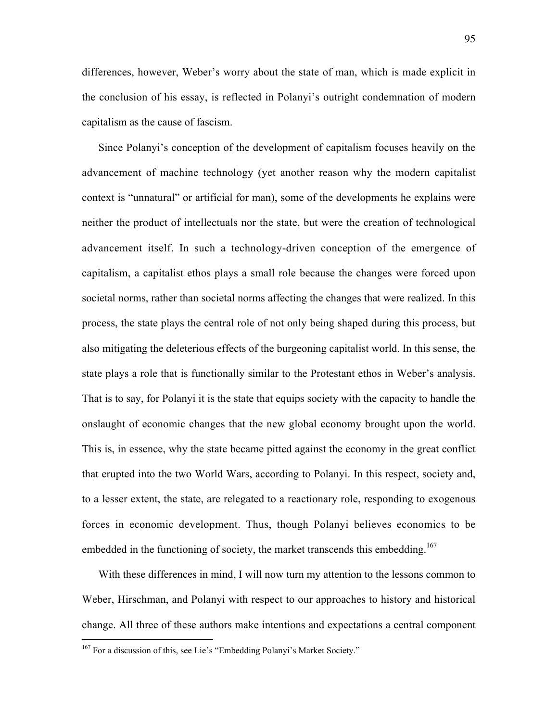differences, however, Weber's worry about the state of man, which is made explicit in the conclusion of his essay, is reflected in Polanyi's outright condemnation of modern capitalism as the cause of fascism.

Since Polanyi's conception of the development of capitalism focuses heavily on the advancement of machine technology (yet another reason why the modern capitalist context is "unnatural" or artificial for man), some of the developments he explains were neither the product of intellectuals nor the state, but were the creation of technological advancement itself. In such a technology-driven conception of the emergence of capitalism, a capitalist ethos plays a small role because the changes were forced upon societal norms, rather than societal norms affecting the changes that were realized. In this process, the state plays the central role of not only being shaped during this process, but also mitigating the deleterious effects of the burgeoning capitalist world. In this sense, the state plays a role that is functionally similar to the Protestant ethos in Weber's analysis. That is to say, for Polanyi it is the state that equips society with the capacity to handle the onslaught of economic changes that the new global economy brought upon the world. This is, in essence, why the state became pitted against the economy in the great conflict that erupted into the two World Wars, according to Polanyi. In this respect, society and, to a lesser extent, the state, are relegated to a reactionary role, responding to exogenous forces in economic development. Thus, though Polanyi believes economics to be embedded in the functioning of society, the market transcends this embedding.<sup>167</sup>

With these differences in mind, I will now turn my attention to the lessons common to Weber, Hirschman, and Polanyi with respect to our approaches to history and historical change. All three of these authors make intentions and expectations a central component

167 For a discussion of this, see Lie's "Embedding Polanyi's Market Society."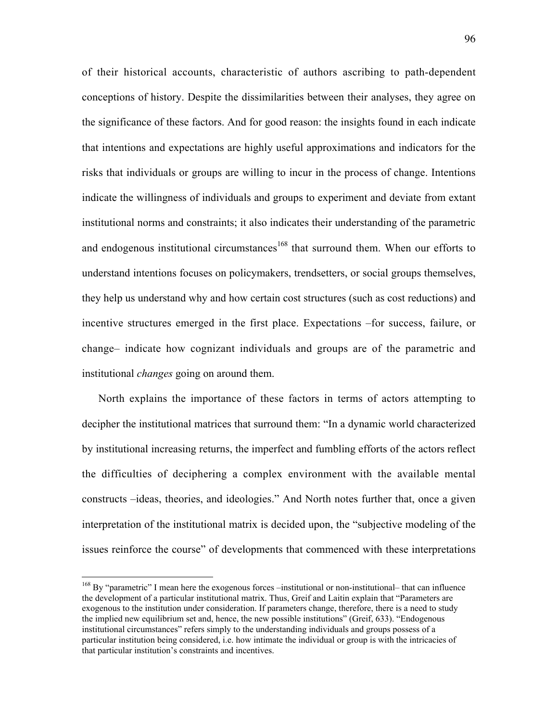of their historical accounts, characteristic of authors ascribing to path-dependent conceptions of history. Despite the dissimilarities between their analyses, they agree on the significance of these factors. And for good reason: the insights found in each indicate that intentions and expectations are highly useful approximations and indicators for the risks that individuals or groups are willing to incur in the process of change. Intentions indicate the willingness of individuals and groups to experiment and deviate from extant institutional norms and constraints; it also indicates their understanding of the parametric and endogenous institutional circumstances<sup>168</sup> that surround them. When our efforts to understand intentions focuses on policymakers, trendsetters, or social groups themselves, they help us understand why and how certain cost structures (such as cost reductions) and incentive structures emerged in the first place. Expectations –for success, failure, or change– indicate how cognizant individuals and groups are of the parametric and institutional *changes* going on around them.

North explains the importance of these factors in terms of actors attempting to decipher the institutional matrices that surround them: "In a dynamic world characterized by institutional increasing returns, the imperfect and fumbling efforts of the actors reflect the difficulties of deciphering a complex environment with the available mental constructs –ideas, theories, and ideologies." And North notes further that, once a given interpretation of the institutional matrix is decided upon, the "subjective modeling of the issues reinforce the course" of developments that commenced with these interpretations

<sup>&</sup>lt;sup>168</sup> By "parametric" I mean here the exogenous forces –institutional or non-institutional– that can influence the development of a particular institutional matrix. Thus, Greif and Laitin explain that "Parameters are exogenous to the institution under consideration. If parameters change, therefore, there is a need to study the implied new equilibrium set and, hence, the new possible institutions" (Greif, 633). "Endogenous institutional circumstances" refers simply to the understanding individuals and groups possess of a particular institution being considered, i.e. how intimate the individual or group is with the intricacies of that particular institution's constraints and incentives.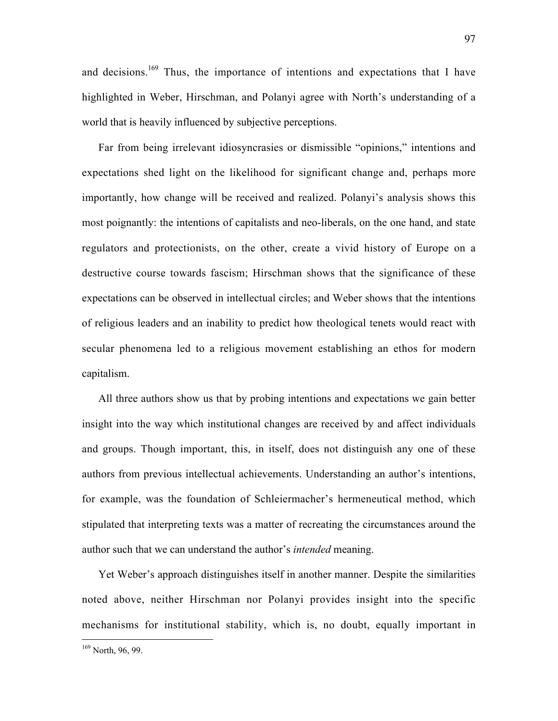and decisions.<sup>169</sup> Thus, the importance of intentions and expectations that I have highlighted in Weber, Hirschman, and Polanyi agree with North's understanding of a world that is heavily influenced by subjective perceptions.

Far from being irrelevant idiosyncrasies or dismissible "opinions," intentions and expectations shed light on the likelihood for significant change and, perhaps more importantly, how change will be received and realized. Polanyi's analysis shows this most poignantly: the intentions of capitalists and neo-liberals, on the one hand, and state regulators and protectionists, on the other, create a vivid history of Europe on a destructive course towards fascism; Hirschman shows that the significance of these expectations can be observed in intellectual circles; and Weber shows that the intentions of religious leaders and an inability to predict how theological tenets would react with secular phenomena led to a religious movement establishing an ethos for modern capitalism.

All three authors show us that by probing intentions and expectations we gain better insight into the way which institutional changes are received by and affect individuals and groups. Though important, this, in itself, does not distinguish any one of these authors from previous intellectual achievements. Understanding an author's intentions, for example, was the foundation of Schleiermacher's hermeneutical method, which stipulated that interpreting texts was a matter of recreating the circumstances around the author such that we can understand the author's *intended* meaning.

Yet Weber's approach distinguishes itself in another manner. Despite the similarities noted above, neither Hirschman nor Polanyi provides insight into the specific mechanisms for institutional stability, which is, no doubt, equally important in

<sup>&</sup>lt;sup>169</sup> North, 96, 99.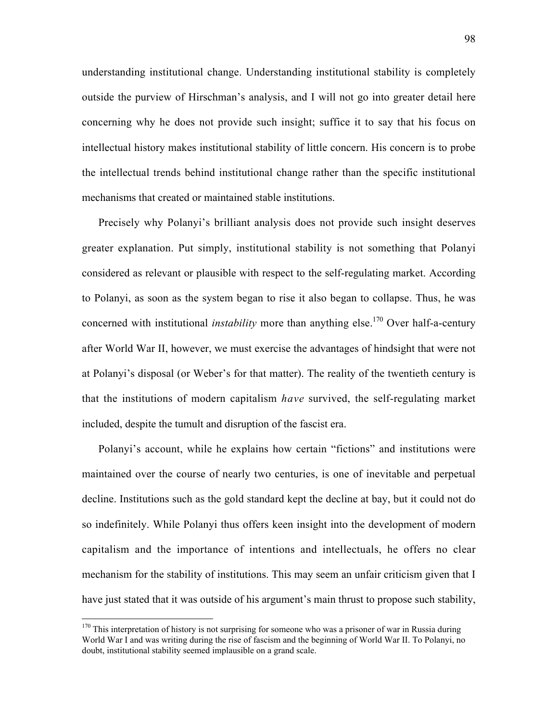understanding institutional change. Understanding institutional stability is completely outside the purview of Hirschman's analysis, and I will not go into greater detail here concerning why he does not provide such insight; suffice it to say that his focus on intellectual history makes institutional stability of little concern. His concern is to probe the intellectual trends behind institutional change rather than the specific institutional mechanisms that created or maintained stable institutions.

Precisely why Polanyi's brilliant analysis does not provide such insight deserves greater explanation. Put simply, institutional stability is not something that Polanyi considered as relevant or plausible with respect to the self-regulating market. According to Polanyi, as soon as the system began to rise it also began to collapse. Thus, he was concerned with institutional *instability* more than anything else.<sup>170</sup> Over half-a-century after World War II, however, we must exercise the advantages of hindsight that were not at Polanyi's disposal (or Weber's for that matter). The reality of the twentieth century is that the institutions of modern capitalism *have* survived, the self-regulating market included, despite the tumult and disruption of the fascist era.

Polanyi's account, while he explains how certain "fictions" and institutions were maintained over the course of nearly two centuries, is one of inevitable and perpetual decline. Institutions such as the gold standard kept the decline at bay, but it could not do so indefinitely. While Polanyi thus offers keen insight into the development of modern capitalism and the importance of intentions and intellectuals, he offers no clear mechanism for the stability of institutions. This may seem an unfair criticism given that I have just stated that it was outside of his argument's main thrust to propose such stability,

<sup>&</sup>lt;sup>170</sup> This interpretation of history is not surprising for someone who was a prisoner of war in Russia during World War I and was writing during the rise of fascism and the beginning of World War II. To Polanyi, no doubt, institutional stability seemed implausible on a grand scale.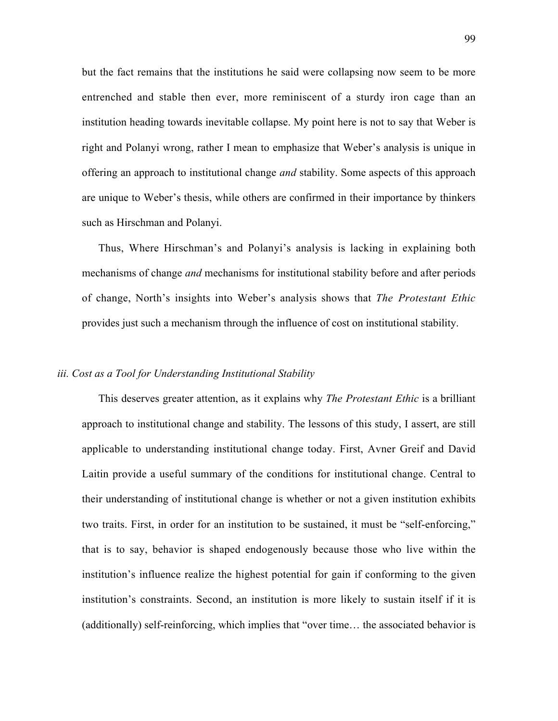but the fact remains that the institutions he said were collapsing now seem to be more entrenched and stable then ever, more reminiscent of a sturdy iron cage than an institution heading towards inevitable collapse. My point here is not to say that Weber is right and Polanyi wrong, rather I mean to emphasize that Weber's analysis is unique in offering an approach to institutional change *and* stability. Some aspects of this approach are unique to Weber's thesis, while others are confirmed in their importance by thinkers such as Hirschman and Polanyi.

Thus, Where Hirschman's and Polanyi's analysis is lacking in explaining both mechanisms of change *and* mechanisms for institutional stability before and after periods of change, North's insights into Weber's analysis shows that *The Protestant Ethic* provides just such a mechanism through the influence of cost on institutional stability.

#### *iii. Cost as a Tool for Understanding Institutional Stability*

This deserves greater attention, as it explains why *The Protestant Ethic* is a brilliant approach to institutional change and stability. The lessons of this study, I assert, are still applicable to understanding institutional change today. First, Avner Greif and David Laitin provide a useful summary of the conditions for institutional change. Central to their understanding of institutional change is whether or not a given institution exhibits two traits. First, in order for an institution to be sustained, it must be "self-enforcing," that is to say, behavior is shaped endogenously because those who live within the institution's influence realize the highest potential for gain if conforming to the given institution's constraints. Second, an institution is more likely to sustain itself if it is (additionally) self-reinforcing, which implies that "over time… the associated behavior is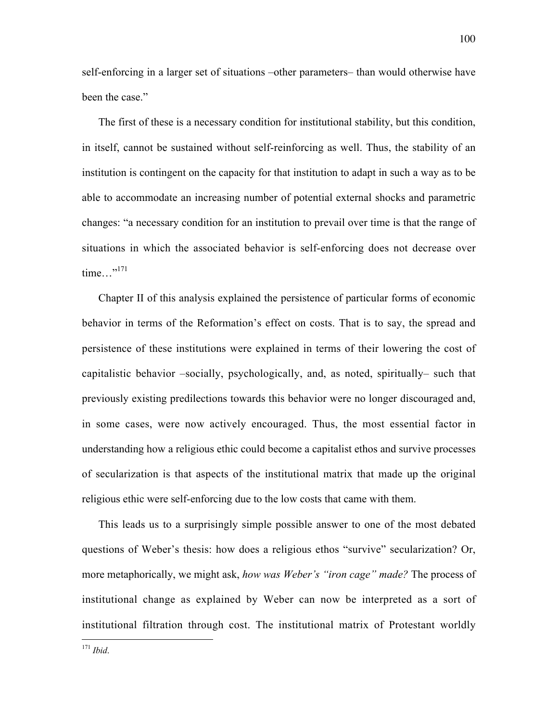self-enforcing in a larger set of situations –other parameters– than would otherwise have been the case."

The first of these is a necessary condition for institutional stability, but this condition, in itself, cannot be sustained without self-reinforcing as well. Thus, the stability of an institution is contingent on the capacity for that institution to adapt in such a way as to be able to accommodate an increasing number of potential external shocks and parametric changes: "a necessary condition for an institution to prevail over time is that the range of situations in which the associated behavior is self-enforcing does not decrease over time..." $^{171}$ 

Chapter II of this analysis explained the persistence of particular forms of economic behavior in terms of the Reformation's effect on costs. That is to say, the spread and persistence of these institutions were explained in terms of their lowering the cost of capitalistic behavior –socially, psychologically, and, as noted, spiritually– such that previously existing predilections towards this behavior were no longer discouraged and, in some cases, were now actively encouraged. Thus, the most essential factor in understanding how a religious ethic could become a capitalist ethos and survive processes of secularization is that aspects of the institutional matrix that made up the original religious ethic were self-enforcing due to the low costs that came with them.

This leads us to a surprisingly simple possible answer to one of the most debated questions of Weber's thesis: how does a religious ethos "survive" secularization? Or, more metaphorically, we might ask, *how was Weber's "iron cage" made?* The process of institutional change as explained by Weber can now be interpreted as a sort of institutional filtration through cost. The institutional matrix of Protestant worldly

<sup>171</sup> *Ibid*.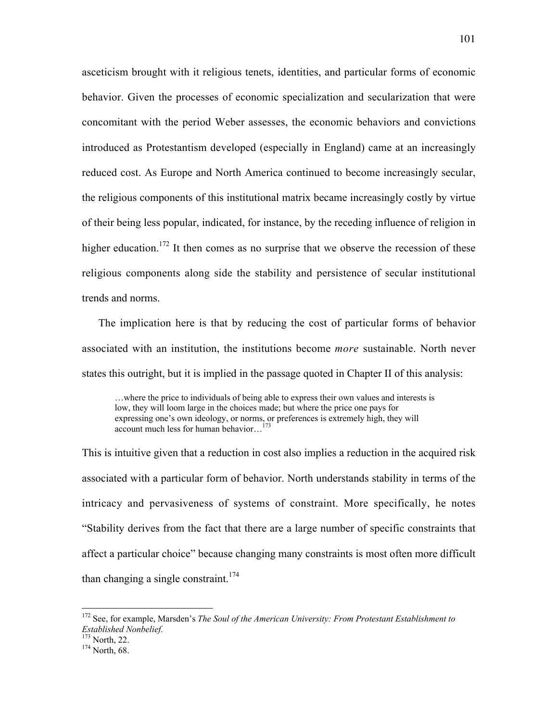asceticism brought with it religious tenets, identities, and particular forms of economic behavior. Given the processes of economic specialization and secularization that were concomitant with the period Weber assesses, the economic behaviors and convictions introduced as Protestantism developed (especially in England) came at an increasingly reduced cost. As Europe and North America continued to become increasingly secular, the religious components of this institutional matrix became increasingly costly by virtue of their being less popular, indicated, for instance, by the receding influence of religion in higher education.<sup>172</sup> It then comes as no surprise that we observe the recession of these religious components along side the stability and persistence of secular institutional trends and norms.

The implication here is that by reducing the cost of particular forms of behavior associated with an institution, the institutions become *more* sustainable. North never states this outright, but it is implied in the passage quoted in Chapter II of this analysis:

…where the price to individuals of being able to express their own values and interests is low, they will loom large in the choices made; but where the price one pays for expressing one's own ideology, or norms, or preferences is extremely high, they will account much less for human behavior...<sup>173</sup>

This is intuitive given that a reduction in cost also implies a reduction in the acquired risk associated with a particular form of behavior. North understands stability in terms of the intricacy and pervasiveness of systems of constraint. More specifically, he notes "Stability derives from the fact that there are a large number of specific constraints that affect a particular choice" because changing many constraints is most often more difficult than changing a single constraint.<sup>174</sup>

172 See, for example, Marsden's *The Soul of the American University: From Protestant Establishment to Established Nonbelief.*

 $^{173}_{174}$  North, 22.

 $174$  North, 68.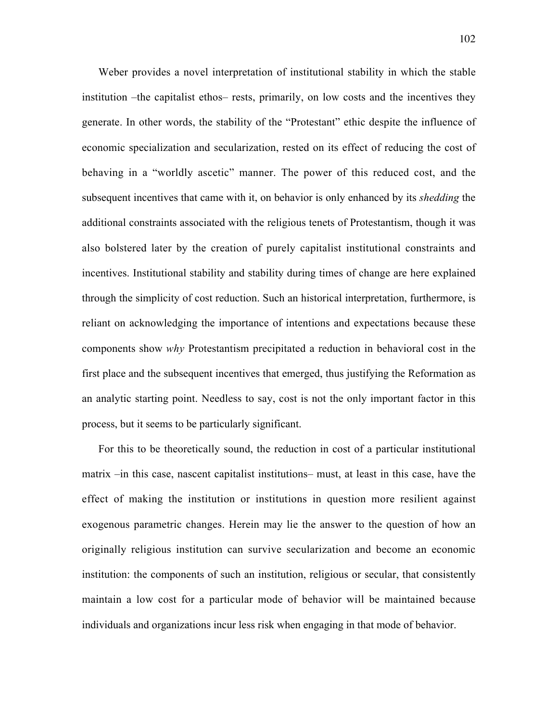Weber provides a novel interpretation of institutional stability in which the stable institution –the capitalist ethos– rests, primarily, on low costs and the incentives they generate. In other words, the stability of the "Protestant" ethic despite the influence of economic specialization and secularization, rested on its effect of reducing the cost of behaving in a "worldly ascetic" manner. The power of this reduced cost, and the subsequent incentives that came with it, on behavior is only enhanced by its *shedding* the additional constraints associated with the religious tenets of Protestantism, though it was also bolstered later by the creation of purely capitalist institutional constraints and incentives. Institutional stability and stability during times of change are here explained through the simplicity of cost reduction. Such an historical interpretation, furthermore, is reliant on acknowledging the importance of intentions and expectations because these components show *why* Protestantism precipitated a reduction in behavioral cost in the first place and the subsequent incentives that emerged, thus justifying the Reformation as an analytic starting point. Needless to say, cost is not the only important factor in this process, but it seems to be particularly significant.

For this to be theoretically sound, the reduction in cost of a particular institutional matrix –in this case, nascent capitalist institutions– must, at least in this case, have the effect of making the institution or institutions in question more resilient against exogenous parametric changes. Herein may lie the answer to the question of how an originally religious institution can survive secularization and become an economic institution: the components of such an institution, religious or secular, that consistently maintain a low cost for a particular mode of behavior will be maintained because individuals and organizations incur less risk when engaging in that mode of behavior.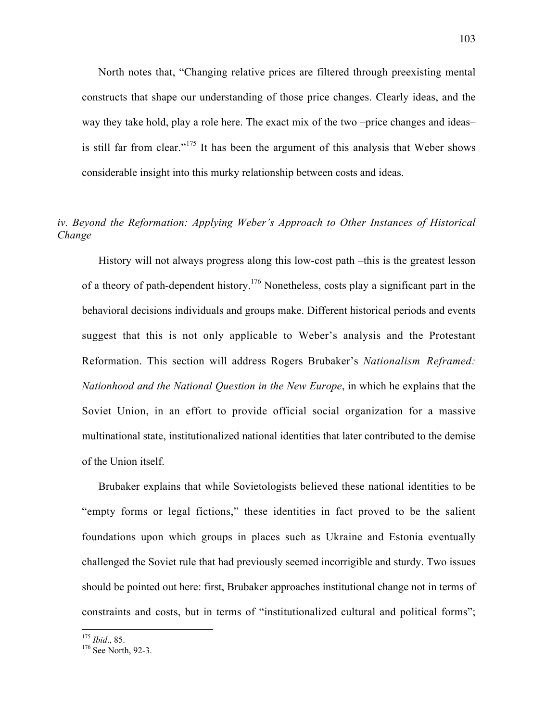North notes that, "Changing relative prices are filtered through preexisting mental constructs that shape our understanding of those price changes. Clearly ideas, and the way they take hold, play a role here. The exact mix of the two –price changes and ideas– is still far from clear." $175$  It has been the argument of this analysis that Weber shows considerable insight into this murky relationship between costs and ideas.

## *iv. Beyond the Reformation: Applying Weber's Approach to Other Instances of Historical Change*

History will not always progress along this low-cost path –this is the greatest lesson of a theory of path-dependent history.<sup>176</sup> Nonetheless, costs play a significant part in the behavioral decisions individuals and groups make. Different historical periods and events suggest that this is not only applicable to Weber's analysis and the Protestant Reformation. This section will address Rogers Brubaker's *Nationalism Reframed: Nationhood and the National Question in the New Europe*, in which he explains that the Soviet Union, in an effort to provide official social organization for a massive multinational state, institutionalized national identities that later contributed to the demise of the Union itself.

Brubaker explains that while Sovietologists believed these national identities to be "empty forms or legal fictions," these identities in fact proved to be the salient foundations upon which groups in places such as Ukraine and Estonia eventually challenged the Soviet rule that had previously seemed incorrigible and sturdy. Two issues should be pointed out here: first, Brubaker approaches institutional change not in terms of constraints and costs, but in terms of "institutionalized cultural and political forms";

 $175$  *Ibid.*, 85.

 $176$  See North, 92-3.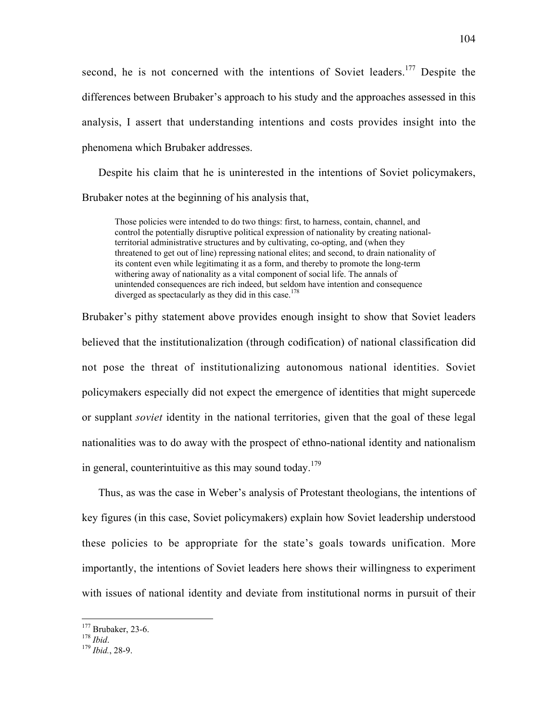second, he is not concerned with the intentions of Soviet leaders.<sup>177</sup> Despite the differences between Brubaker's approach to his study and the approaches assessed in this analysis, I assert that understanding intentions and costs provides insight into the phenomena which Brubaker addresses.

Despite his claim that he is uninterested in the intentions of Soviet policymakers, Brubaker notes at the beginning of his analysis that,

Those policies were intended to do two things: first, to harness, contain, channel, and control the potentially disruptive political expression of nationality by creating nationalterritorial administrative structures and by cultivating, co-opting, and (when they threatened to get out of line) repressing national elites; and second, to drain nationality of its content even while legitimating it as a form, and thereby to promote the long-term withering away of nationality as a vital component of social life. The annals of unintended consequences are rich indeed, but seldom have intention and consequence diverged as spectacularly as they did in this case.<sup>178</sup>

Brubaker's pithy statement above provides enough insight to show that Soviet leaders believed that the institutionalization (through codification) of national classification did not pose the threat of institutionalizing autonomous national identities. Soviet policymakers especially did not expect the emergence of identities that might supercede or supplant *soviet* identity in the national territories, given that the goal of these legal nationalities was to do away with the prospect of ethno-national identity and nationalism in general, counterintuitive as this may sound today.<sup>179</sup>

Thus, as was the case in Weber's analysis of Protestant theologians, the intentions of key figures (in this case, Soviet policymakers) explain how Soviet leadership understood these policies to be appropriate for the state's goals towards unification. More importantly, the intentions of Soviet leaders here shows their willingness to experiment with issues of national identity and deviate from institutional norms in pursuit of their

<sup>&</sup>lt;u>177</u> Brubaker, 23-6. <sup>178</sup> *Ibid*. <sup>179</sup> *Ibid.*, 28-9.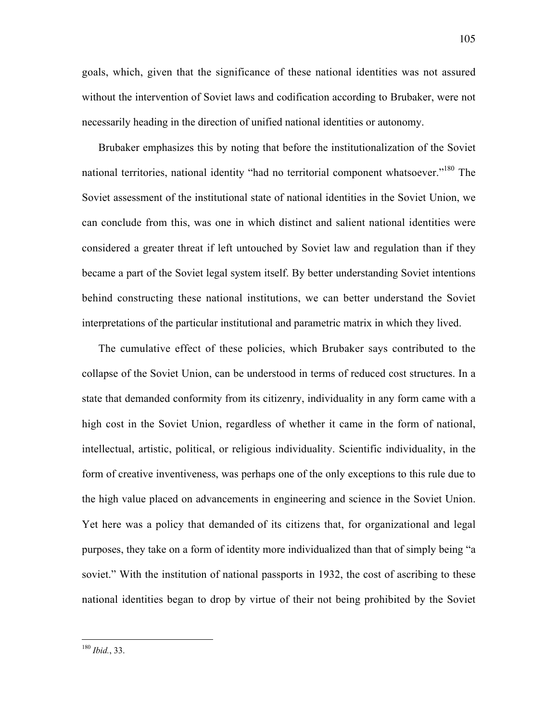goals, which, given that the significance of these national identities was not assured without the intervention of Soviet laws and codification according to Brubaker, were not necessarily heading in the direction of unified national identities or autonomy.

Brubaker emphasizes this by noting that before the institutionalization of the Soviet national territories, national identity "had no territorial component whatsoever."<sup>180</sup> The Soviet assessment of the institutional state of national identities in the Soviet Union, we can conclude from this, was one in which distinct and salient national identities were considered a greater threat if left untouched by Soviet law and regulation than if they became a part of the Soviet legal system itself. By better understanding Soviet intentions behind constructing these national institutions, we can better understand the Soviet interpretations of the particular institutional and parametric matrix in which they lived.

The cumulative effect of these policies, which Brubaker says contributed to the collapse of the Soviet Union, can be understood in terms of reduced cost structures. In a state that demanded conformity from its citizenry, individuality in any form came with a high cost in the Soviet Union, regardless of whether it came in the form of national, intellectual, artistic, political, or religious individuality. Scientific individuality, in the form of creative inventiveness, was perhaps one of the only exceptions to this rule due to the high value placed on advancements in engineering and science in the Soviet Union. Yet here was a policy that demanded of its citizens that, for organizational and legal purposes, they take on a form of identity more individualized than that of simply being "a soviet." With the institution of national passports in 1932, the cost of ascribing to these national identities began to drop by virtue of their not being prohibited by the Soviet

<sup>180</sup> *Ibid.*, 33.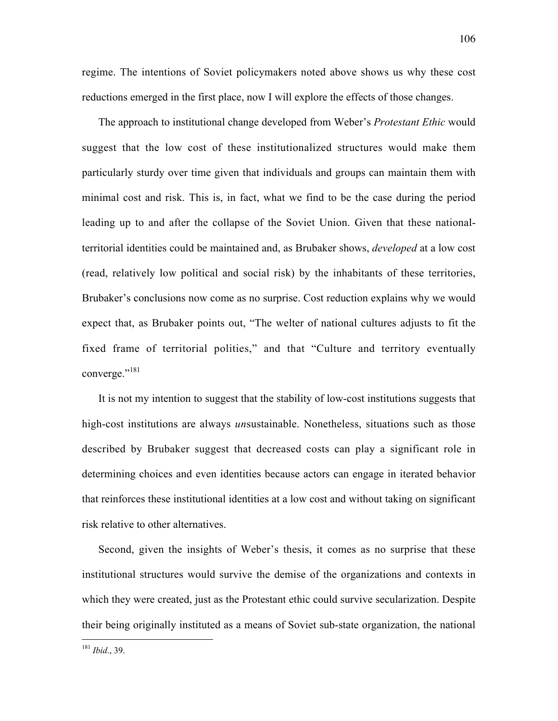regime. The intentions of Soviet policymakers noted above shows us why these cost reductions emerged in the first place, now I will explore the effects of those changes.

The approach to institutional change developed from Weber's *Protestant Ethic* would suggest that the low cost of these institutionalized structures would make them particularly sturdy over time given that individuals and groups can maintain them with minimal cost and risk. This is, in fact, what we find to be the case during the period leading up to and after the collapse of the Soviet Union. Given that these nationalterritorial identities could be maintained and, as Brubaker shows, *developed* at a low cost (read, relatively low political and social risk) by the inhabitants of these territories, Brubaker's conclusions now come as no surprise. Cost reduction explains why we would expect that, as Brubaker points out, "The welter of national cultures adjusts to fit the fixed frame of territorial polities," and that "Culture and territory eventually converge."<sup>181</sup>

It is not my intention to suggest that the stability of low-cost institutions suggests that high-cost institutions are always *un*sustainable. Nonetheless, situations such as those described by Brubaker suggest that decreased costs can play a significant role in determining choices and even identities because actors can engage in iterated behavior that reinforces these institutional identities at a low cost and without taking on significant risk relative to other alternatives.

Second, given the insights of Weber's thesis, it comes as no surprise that these institutional structures would survive the demise of the organizations and contexts in which they were created, just as the Protestant ethic could survive secularization. Despite their being originally instituted as a means of Soviet sub-state organization, the national

<sup>181</sup> *Ibid*., 39.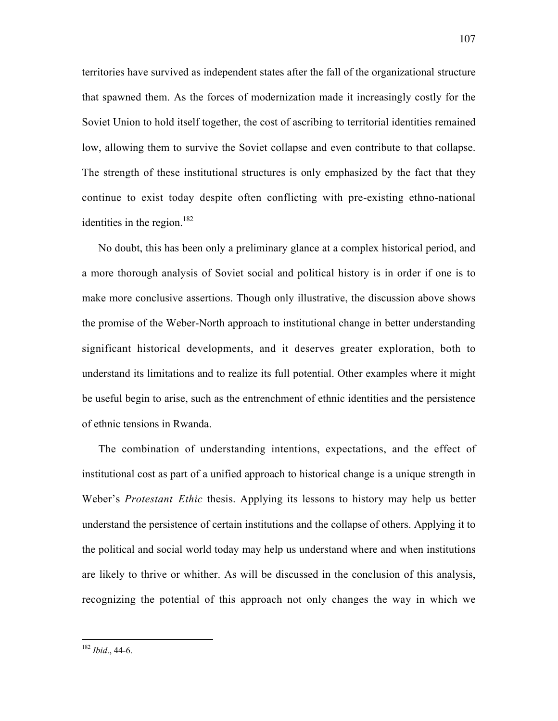territories have survived as independent states after the fall of the organizational structure that spawned them. As the forces of modernization made it increasingly costly for the Soviet Union to hold itself together, the cost of ascribing to territorial identities remained low, allowing them to survive the Soviet collapse and even contribute to that collapse. The strength of these institutional structures is only emphasized by the fact that they continue to exist today despite often conflicting with pre-existing ethno-national identities in the region. $182$ 

No doubt, this has been only a preliminary glance at a complex historical period, and a more thorough analysis of Soviet social and political history is in order if one is to make more conclusive assertions. Though only illustrative, the discussion above shows the promise of the Weber-North approach to institutional change in better understanding significant historical developments, and it deserves greater exploration, both to understand its limitations and to realize its full potential. Other examples where it might be useful begin to arise, such as the entrenchment of ethnic identities and the persistence of ethnic tensions in Rwanda.

The combination of understanding intentions, expectations, and the effect of institutional cost as part of a unified approach to historical change is a unique strength in Weber's *Protestant Ethic* thesis. Applying its lessons to history may help us better understand the persistence of certain institutions and the collapse of others. Applying it to the political and social world today may help us understand where and when institutions are likely to thrive or whither. As will be discussed in the conclusion of this analysis, recognizing the potential of this approach not only changes the way in which we

<sup>182</sup> *Ibid*., 44-6.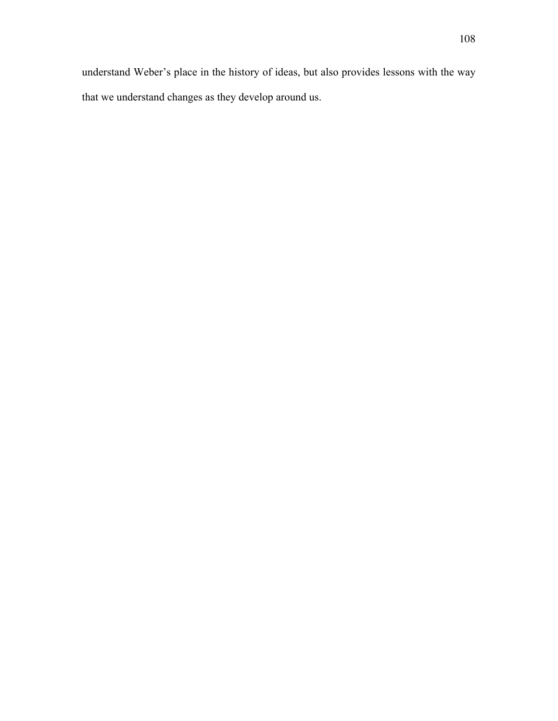understand Weber's place in the history of ideas, but also provides lessons with the way that we understand changes as they develop around us.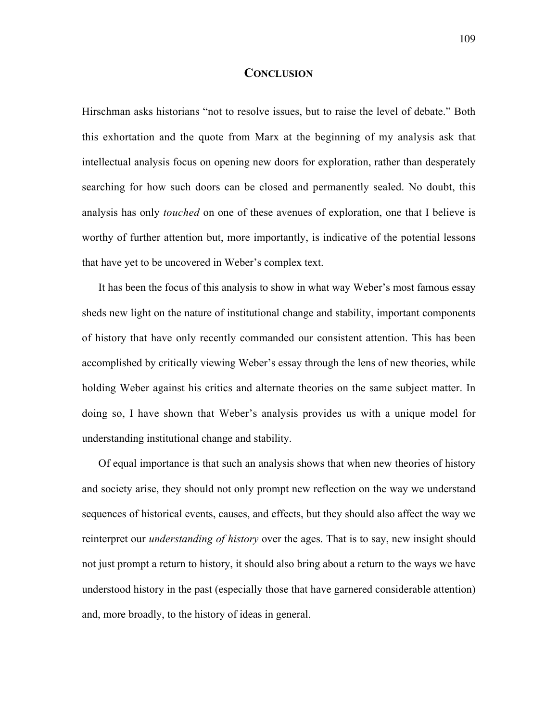## **CONCLUSION**

Hirschman asks historians "not to resolve issues, but to raise the level of debate." Both this exhortation and the quote from Marx at the beginning of my analysis ask that intellectual analysis focus on opening new doors for exploration, rather than desperately searching for how such doors can be closed and permanently sealed. No doubt, this analysis has only *touched* on one of these avenues of exploration, one that I believe is worthy of further attention but, more importantly, is indicative of the potential lessons that have yet to be uncovered in Weber's complex text.

It has been the focus of this analysis to show in what way Weber's most famous essay sheds new light on the nature of institutional change and stability, important components of history that have only recently commanded our consistent attention. This has been accomplished by critically viewing Weber's essay through the lens of new theories, while holding Weber against his critics and alternate theories on the same subject matter. In doing so, I have shown that Weber's analysis provides us with a unique model for understanding institutional change and stability.

Of equal importance is that such an analysis shows that when new theories of history and society arise, they should not only prompt new reflection on the way we understand sequences of historical events, causes, and effects, but they should also affect the way we reinterpret our *understanding of history* over the ages. That is to say, new insight should not just prompt a return to history, it should also bring about a return to the ways we have understood history in the past (especially those that have garnered considerable attention) and, more broadly, to the history of ideas in general.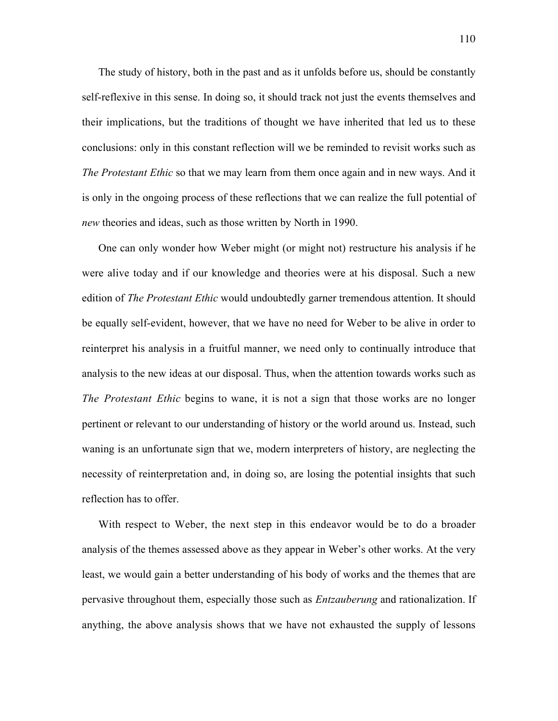The study of history, both in the past and as it unfolds before us, should be constantly self-reflexive in this sense. In doing so, it should track not just the events themselves and their implications, but the traditions of thought we have inherited that led us to these conclusions: only in this constant reflection will we be reminded to revisit works such as *The Protestant Ethic* so that we may learn from them once again and in new ways. And it is only in the ongoing process of these reflections that we can realize the full potential of *new* theories and ideas, such as those written by North in 1990.

One can only wonder how Weber might (or might not) restructure his analysis if he were alive today and if our knowledge and theories were at his disposal. Such a new edition of *The Protestant Ethic* would undoubtedly garner tremendous attention. It should be equally self-evident, however, that we have no need for Weber to be alive in order to reinterpret his analysis in a fruitful manner, we need only to continually introduce that analysis to the new ideas at our disposal. Thus, when the attention towards works such as *The Protestant Ethic* begins to wane, it is not a sign that those works are no longer pertinent or relevant to our understanding of history or the world around us. Instead, such waning is an unfortunate sign that we, modern interpreters of history, are neglecting the necessity of reinterpretation and, in doing so, are losing the potential insights that such reflection has to offer.

With respect to Weber, the next step in this endeavor would be to do a broader analysis of the themes assessed above as they appear in Weber's other works. At the very least, we would gain a better understanding of his body of works and the themes that are pervasive throughout them, especially those such as *Entzauberung* and rationalization. If anything, the above analysis shows that we have not exhausted the supply of lessons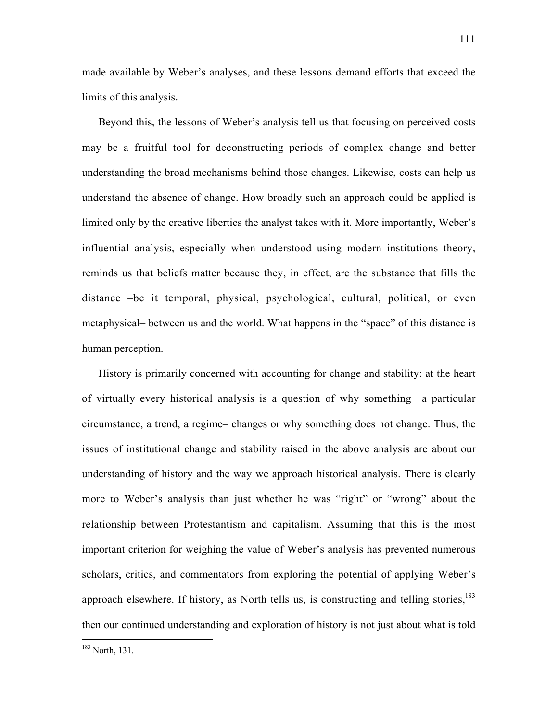made available by Weber's analyses, and these lessons demand efforts that exceed the limits of this analysis.

Beyond this, the lessons of Weber's analysis tell us that focusing on perceived costs may be a fruitful tool for deconstructing periods of complex change and better understanding the broad mechanisms behind those changes. Likewise, costs can help us understand the absence of change. How broadly such an approach could be applied is limited only by the creative liberties the analyst takes with it. More importantly, Weber's influential analysis, especially when understood using modern institutions theory, reminds us that beliefs matter because they, in effect, are the substance that fills the distance –be it temporal, physical, psychological, cultural, political, or even metaphysical– between us and the world. What happens in the "space" of this distance is human perception.

History is primarily concerned with accounting for change and stability: at the heart of virtually every historical analysis is a question of why something –a particular circumstance, a trend, a regime– changes or why something does not change. Thus, the issues of institutional change and stability raised in the above analysis are about our understanding of history and the way we approach historical analysis. There is clearly more to Weber's analysis than just whether he was "right" or "wrong" about the relationship between Protestantism and capitalism. Assuming that this is the most important criterion for weighing the value of Weber's analysis has prevented numerous scholars, critics, and commentators from exploring the potential of applying Weber's approach elsewhere. If history, as North tells us, is constructing and telling stories, $183$ then our continued understanding and exploration of history is not just about what is told

<sup>183</sup> North, 131.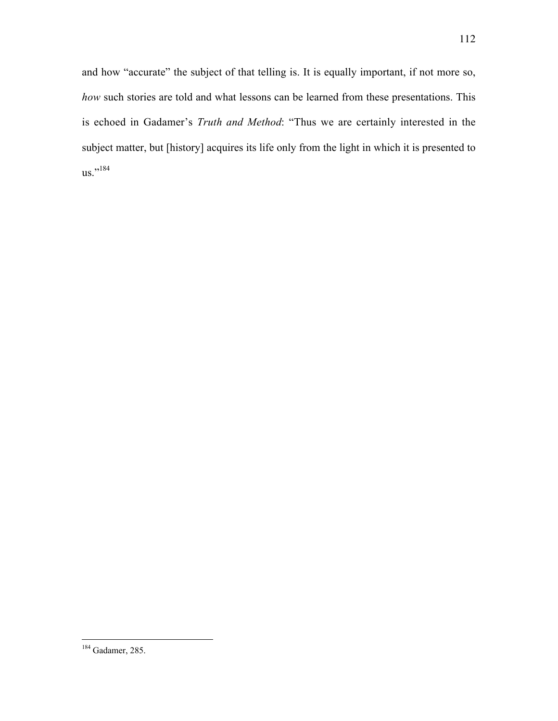and how "accurate" the subject of that telling is. It is equally important, if not more so, *how* such stories are told and what lessons can be learned from these presentations. This is echoed in Gadamer's *Truth and Method*: "Thus we are certainly interested in the subject matter, but [history] acquires its life only from the light in which it is presented to us."<sup>184</sup>

184 Gadamer, 285.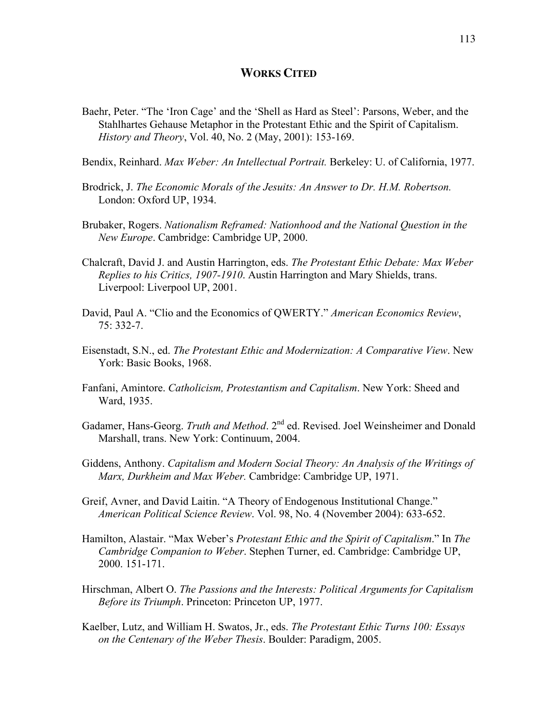## **WORKS CITED**

Baehr, Peter. "The 'Iron Cage' and the 'Shell as Hard as Steel': Parsons, Weber, and the Stahlhartes Gehause Metaphor in the Protestant Ethic and the Spirit of Capitalism. *History and Theory*, Vol. 40, No. 2 (May, 2001): 153-169.

Bendix, Reinhard. *Max Weber: An Intellectual Portrait.* Berkeley: U. of California, 1977.

- Brodrick, J. *The Economic Morals of the Jesuits: An Answer to Dr. H.M. Robertson.* London: Oxford UP, 1934.
- Brubaker, Rogers. *Nationalism Reframed: Nationhood and the National Question in the New Europe*. Cambridge: Cambridge UP, 2000.
- Chalcraft, David J. and Austin Harrington, eds. *The Protestant Ethic Debate: Max Weber Replies to his Critics, 1907-1910*. Austin Harrington and Mary Shields, trans. Liverpool: Liverpool UP, 2001.
- David, Paul A. "Clio and the Economics of QWERTY." *American Economics Review*, 75: 332-7.
- Eisenstadt, S.N., ed. *The Protestant Ethic and Modernization: A Comparative View*. New York: Basic Books, 1968.
- Fanfani, Amintore. *Catholicism, Protestantism and Capitalism*. New York: Sheed and Ward, 1935.
- Gadamer, Hans-Georg. *Truth and Method*. 2<sup>nd</sup> ed. Revised. Joel Weinsheimer and Donald Marshall, trans. New York: Continuum, 2004.
- Giddens, Anthony. *Capitalism and Modern Social Theory: An Analysis of the Writings of Marx, Durkheim and Max Weber.* Cambridge: Cambridge UP, 1971.
- Greif, Avner, and David Laitin. "A Theory of Endogenous Institutional Change." *American Political Science Review*. Vol. 98, No. 4 (November 2004): 633-652.
- Hamilton, Alastair. "Max Weber's *Protestant Ethic and the Spirit of Capitalism*." In *The Cambridge Companion to Weber*. Stephen Turner, ed. Cambridge: Cambridge UP, 2000. 151-171.
- Hirschman, Albert O. *The Passions and the Interests: Political Arguments for Capitalism Before its Triumph*. Princeton: Princeton UP, 1977.
- Kaelber, Lutz, and William H. Swatos, Jr., eds. *The Protestant Ethic Turns 100: Essays on the Centenary of the Weber Thesis*. Boulder: Paradigm, 2005.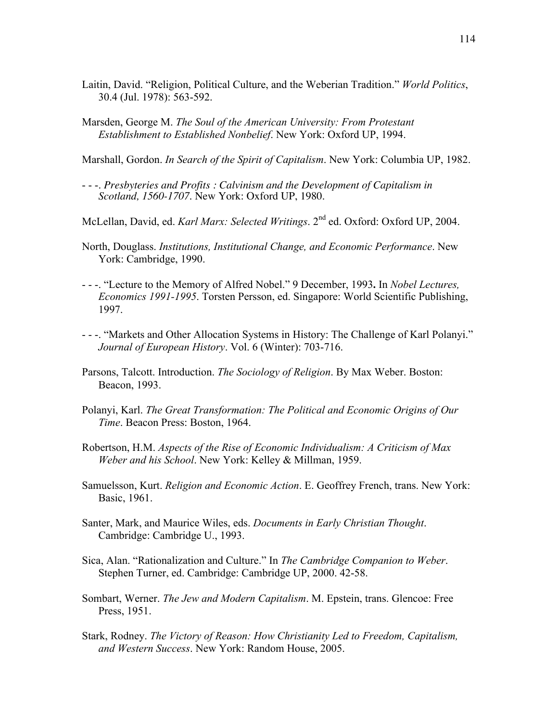- Laitin, David. "Religion, Political Culture, and the Weberian Tradition." *World Politics*, 30.4 (Jul. 1978): 563-592.
- Marsden, George M. *The Soul of the American University: From Protestant Establishment to Established Nonbelief*. New York: Oxford UP, 1994.
- Marshall, Gordon. *In Search of the Spirit of Capitalism*. New York: Columbia UP, 1982.
- - -. *Presbyteries and Profits : Calvinism and the Development of Capitalism in Scotland, 1560-1707*. New York: Oxford UP, 1980.
- McLellan, David, ed. *Karl Marx: Selected Writings*. 2<sup>nd</sup> ed. Oxford: Oxford UP, 2004.
- North, Douglass. *Institutions, Institutional Change, and Economic Performance*. New York: Cambridge, 1990.
- - -. "Lecture to the Memory of Alfred Nobel." 9 December, 1993**.** In *Nobel Lectures, Economics 1991-1995*. Torsten Persson, ed. Singapore: World Scientific Publishing, 1997.
- - -. "Markets and Other Allocation Systems in History: The Challenge of Karl Polanyi." *Journal of European History*. Vol. 6 (Winter): 703-716.
- Parsons, Talcott. Introduction. *The Sociology of Religion*. By Max Weber. Boston: Beacon, 1993.
- Polanyi, Karl. *The Great Transformation: The Political and Economic Origins of Our Time*. Beacon Press: Boston, 1964.
- Robertson, H.M. *Aspects of the Rise of Economic Individualism: A Criticism of Max Weber and his School*. New York: Kelley & Millman, 1959.
- Samuelsson, Kurt. *Religion and Economic Action*. E. Geoffrey French, trans. New York: Basic, 1961.
- Santer, Mark, and Maurice Wiles, eds. *Documents in Early Christian Thought*. Cambridge: Cambridge U., 1993.
- Sica, Alan. "Rationalization and Culture." In *The Cambridge Companion to Weber*. Stephen Turner, ed. Cambridge: Cambridge UP, 2000. 42-58.
- Sombart, Werner. *The Jew and Modern Capitalism*. M. Epstein, trans. Glencoe: Free Press, 1951.
- Stark, Rodney. *The Victory of Reason: How Christianity Led to Freedom, Capitalism, and Western Success*. New York: Random House, 2005.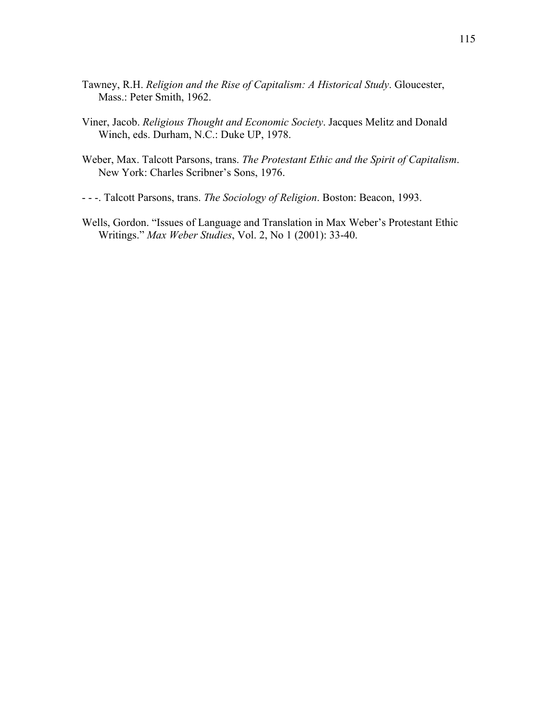- Tawney, R.H. *Religion and the Rise of Capitalism: A Historical Study*. Gloucester, Mass.: Peter Smith, 1962.
- Viner, Jacob. *Religious Thought and Economic Society*. Jacques Melitz and Donald Winch, eds. Durham, N.C.: Duke UP, 1978.
- Weber, Max. Talcott Parsons, trans. *The Protestant Ethic and the Spirit of Capitalism*. New York: Charles Scribner's Sons, 1976.

- - -. Talcott Parsons, trans. *The Sociology of Religion*. Boston: Beacon, 1993.

Wells, Gordon. "Issues of Language and Translation in Max Weber's Protestant Ethic Writings." *Max Weber Studies*, Vol. 2, No 1 (2001): 33-40.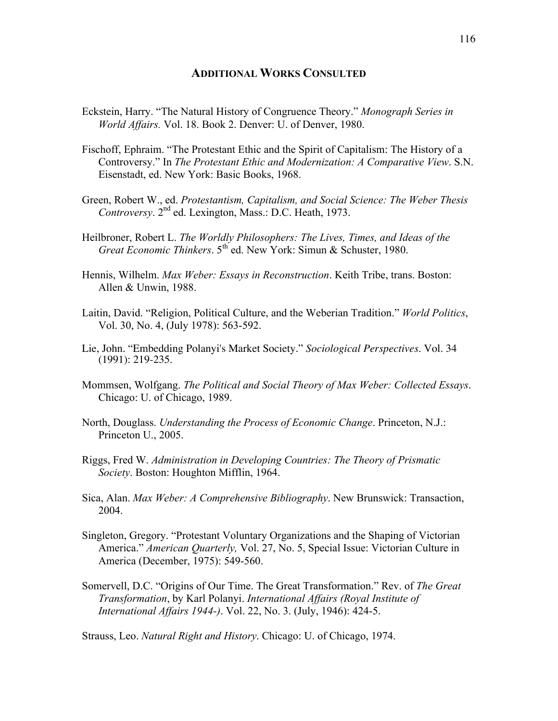## **ADDITIONAL WORKS CONSULTED**

- Eckstein, Harry. "The Natural History of Congruence Theory." *Monograph Series in World Affairs.* Vol. 18. Book 2. Denver: U. of Denver, 1980.
- Fischoff, Ephraim. "The Protestant Ethic and the Spirit of Capitalism: The History of a Controversy." In *The Protestant Ethic and Modernization: A Comparative View*. S.N. Eisenstadt, ed. New York: Basic Books, 1968.
- Green, Robert W., ed. *Protestantism, Capitalism, and Social Science: The Weber Thesis Controversy*. 2nd ed. Lexington, Mass.: D.C. Heath, 1973.
- Heilbroner, Robert L. *The Worldly Philosophers: The Lives, Times, and Ideas of the Great Economic Thinkers*. 5<sup>th</sup> ed. New York: Simun & Schuster, 1980.
- Hennis, Wilhelm. *Max Weber: Essays in Reconstruction*. Keith Tribe, trans. Boston: Allen & Unwin, 1988.
- Laitin, David. "Religion, Political Culture, and the Weberian Tradition." *World Politics*, Vol. 30, No. 4, (July 1978): 563-592.
- Lie, John. "Embedding Polanyi's Market Society." *Sociological Perspectives.* Vol. 34 (1991): 219-235.
- Mommsen, Wolfgang. *The Political and Social Theory of Max Weber: Collected Essays*. Chicago: U. of Chicago, 1989.
- North, Douglass. *Understanding the Process of Economic Change*. Princeton, N.J.: Princeton U., 2005.
- Riggs, Fred W. *Administration in Developing Countries: The Theory of Prismatic Society*. Boston: Houghton Mifflin, 1964.
- Sica, Alan. *Max Weber: A Comprehensive Bibliography*. New Brunswick: Transaction, 2004.
- Singleton, Gregory. "Protestant Voluntary Organizations and the Shaping of Victorian America." *American Quarterly,* Vol. 27, No. 5, Special Issue: Victorian Culture in America (December, 1975): 549-560.
- Somervell, D.C. "Origins of Our Time. The Great Transformation." Rev. of *The Great Transformation*, by Karl Polanyi. *International Affairs (Royal Institute of International Affairs 1944-)*. Vol. 22, No. 3. (July, 1946): 424-5.

Strauss, Leo. *Natural Right and History*. Chicago: U. of Chicago, 1974.